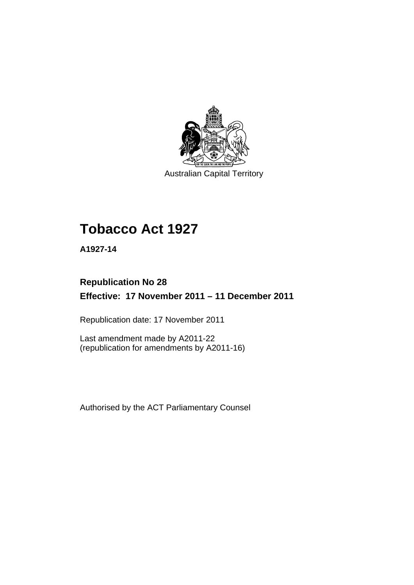

Australian Capital Territory

# **Tobacco Act 1927**

**A1927-14** 

# **Republication No 28 Effective: 17 November 2011 – 11 December 2011**

Republication date: 17 November 2011

Last amendment made by A2011-22 (republication for amendments by A2011-16)

Authorised by the ACT Parliamentary Counsel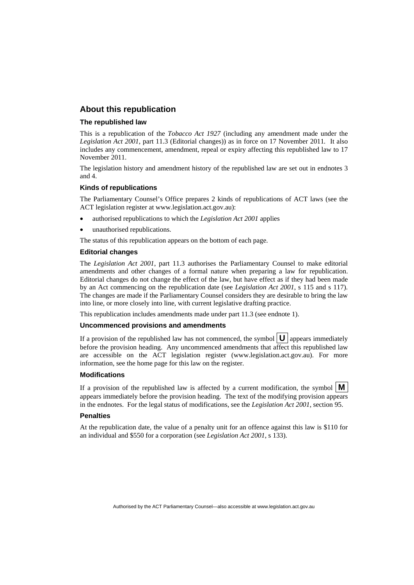#### **About this republication**

#### **The republished law**

This is a republication of the *Tobacco Act 1927* (including any amendment made under the *Legislation Act 2001*, part 11.3 (Editorial changes)) as in force on 17 November 2011*.* It also includes any commencement, amendment, repeal or expiry affecting this republished law to 17 November 2011.

The legislation history and amendment history of the republished law are set out in endnotes 3 and 4.

#### **Kinds of republications**

The Parliamentary Counsel's Office prepares 2 kinds of republications of ACT laws (see the ACT legislation register at www.legislation.act.gov.au):

- authorised republications to which the *Legislation Act 2001* applies
- unauthorised republications.

The status of this republication appears on the bottom of each page.

#### **Editorial changes**

The *Legislation Act 2001*, part 11.3 authorises the Parliamentary Counsel to make editorial amendments and other changes of a formal nature when preparing a law for republication. Editorial changes do not change the effect of the law, but have effect as if they had been made by an Act commencing on the republication date (see *Legislation Act 2001*, s 115 and s 117). The changes are made if the Parliamentary Counsel considers they are desirable to bring the law into line, or more closely into line, with current legislative drafting practice.

This republication includes amendments made under part 11.3 (see endnote 1).

#### **Uncommenced provisions and amendments**

If a provision of the republished law has not commenced, the symbol  $\mathbf{U}$  appears immediately before the provision heading. Any uncommenced amendments that affect this republished law are accessible on the ACT legislation register (www.legislation.act.gov.au). For more information, see the home page for this law on the register.

#### **Modifications**

If a provision of the republished law is affected by a current modification, the symbol  $\vert \mathbf{M} \vert$ appears immediately before the provision heading. The text of the modifying provision appears in the endnotes. For the legal status of modifications, see the *Legislation Act 2001*, section 95.

#### **Penalties**

At the republication date, the value of a penalty unit for an offence against this law is \$110 for an individual and \$550 for a corporation (see *Legislation Act 2001*, s 133).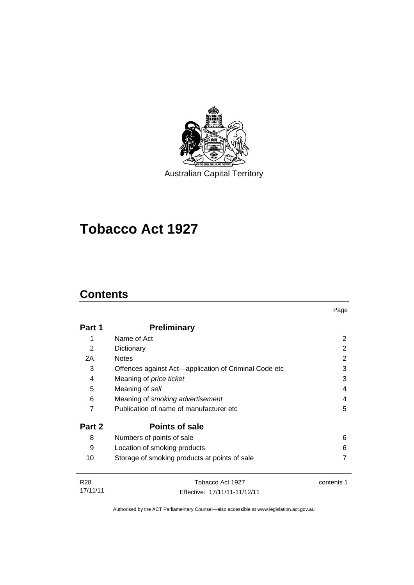

Australian Capital Territory

# **Tobacco Act 1927**

# **Contents**

17/11/11

| Part 1 | <b>Preliminary</b>                                    |            |
|--------|-------------------------------------------------------|------------|
| 1      | Name of Act                                           |            |
| 2      | Dictionary                                            | 2          |
| 2A     | <b>Notes</b>                                          | 2          |
| 3      | Offences against Act—application of Criminal Code etc | 3          |
| 4      | Meaning of <i>price ticket</i>                        | 3          |
| 5      | Meaning of sell                                       | 4          |
| 6      | Meaning of smoking advertisement                      | 4          |
| 7      | Publication of name of manufacturer etc               | 5          |
| Part 2 | <b>Points of sale</b>                                 |            |
| 8      | Numbers of points of sale                             | 6          |
| 9      | Location of smoking products                          | 6          |
| 10     | Storage of smoking products at points of sale         |            |
| R28    | Tobacco Act 1927                                      | contents 1 |

Page

Authorised by the ACT Parliamentary Counsel—also accessible at www.legislation.act.gov.au

Effective: 17/11/11-11/12/11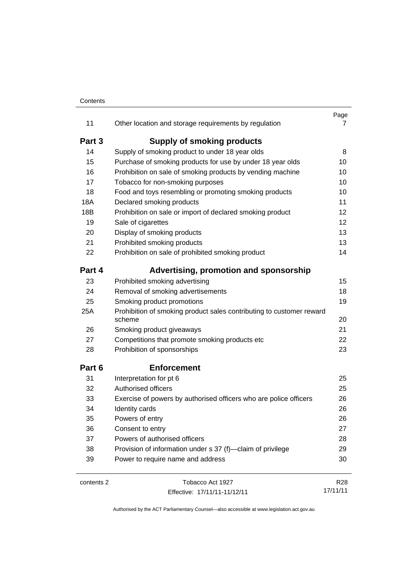#### **Contents**

| 11         | Other location and storage requirements by regulation                          | Page<br>7 |
|------------|--------------------------------------------------------------------------------|-----------|
| Part 3     | <b>Supply of smoking products</b>                                              |           |
| 14         | Supply of smoking product to under 18 year olds                                | 8         |
| 15         | Purchase of smoking products for use by under 18 year olds                     | 10        |
| 16         | Prohibition on sale of smoking products by vending machine                     | 10        |
| 17         | Tobacco for non-smoking purposes                                               | 10        |
| 18         | Food and toys resembling or promoting smoking products                         | 10        |
| 18A        | Declared smoking products                                                      | 11        |
| 18B        | Prohibition on sale or import of declared smoking product                      | 12        |
| 19         | Sale of cigarettes                                                             | 12        |
| 20         | Display of smoking products                                                    | 13        |
| 21         | Prohibited smoking products                                                    | 13        |
| 22         | Prohibition on sale of prohibited smoking product                              | 14        |
| Part 4     | Advertising, promotion and sponsorship                                         |           |
| 23         | Prohibited smoking advertising                                                 | 15        |
| 24         | Removal of smoking advertisements                                              | 18        |
| 25         | Smoking product promotions                                                     | 19        |
| 25A        | Prohibition of smoking product sales contributing to customer reward<br>scheme | 20        |
| 26         | Smoking product giveaways                                                      | 21        |
| 27         | Competitions that promote smoking products etc                                 | 22        |
| 28         | Prohibition of sponsorships                                                    | 23        |
| Part 6     | <b>Enforcement</b>                                                             |           |
| 31         | Interpretation for pt 6                                                        | 25        |
| 32         | Authorised officers                                                            | 25        |
| 33         | Exercise of powers by authorised officers who are police officers              | 26        |
| 34         | Identity cards                                                                 | 26        |
| 35         | Powers of entry                                                                | 26        |
| 36         | Consent to entry                                                               | 27        |
| 37         | Powers of authorised officers                                                  | 28        |
| 38         | Provision of information under s 37 (f)-claim of privilege                     | 29        |
| 39         | Power to require name and address                                              | 30        |
| contents 2 | Tobacco Act 1927                                                               | R28       |

Effective: 17/11/11-11/12/11

17/11/11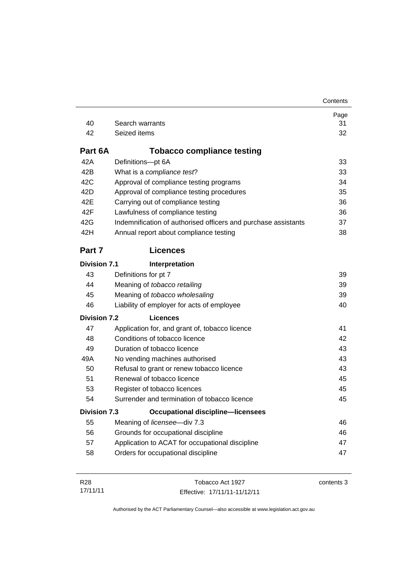| 40                  | Search warrants                                                | Page<br>31 |
|---------------------|----------------------------------------------------------------|------------|
| 42                  | Seized items                                                   | 32         |
|                     |                                                                |            |
| Part 6A             | <b>Tobacco compliance testing</b>                              |            |
| 42A                 | Definitions-pt 6A                                              | 33         |
| 42B                 | What is a compliance test?                                     | 33         |
| 42C                 | Approval of compliance testing programs                        | 34         |
| 42 <sub>D</sub>     | Approval of compliance testing procedures                      | 35         |
| 42E                 | Carrying out of compliance testing                             | 36         |
| 42F                 | Lawfulness of compliance testing                               | 36         |
| 42G                 | Indemnification of authorised officers and purchase assistants | 37         |
| 42H                 | Annual report about compliance testing                         | 38         |
| Part 7              | <b>Licences</b>                                                |            |
| <b>Division 7.1</b> | Interpretation                                                 |            |
| 43                  | Definitions for pt 7                                           | 39         |
| 44                  | Meaning of tobacco retailing                                   | 39         |
| 45                  | Meaning of tobacco wholesaling                                 | 39         |
| 46                  | Liability of employer for acts of employee                     | 40         |
| <b>Division 7.2</b> | <b>Licences</b>                                                |            |
| 47                  | Application for, and grant of, tobacco licence                 | 41         |
| 48                  | Conditions of tobacco licence                                  | 42         |
| 49                  | Duration of tobacco licence                                    | 43         |
| 49A                 | No vending machines authorised                                 | 43         |
| 50                  | Refusal to grant or renew tobacco licence                      | 43         |
| 51                  | Renewal of tobacco licence                                     | 45         |
| 53                  | Register of tobacco licences                                   | 45         |
| 54                  | Surrender and termination of tobacco licence                   | 45         |
| <b>Division 7.3</b> | <b>Occupational discipline-licensees</b>                       |            |
| 55                  | Meaning of licensee-div 7.3                                    | 46         |
| 56                  | Grounds for occupational discipline                            | 46         |
| 57                  | Application to ACAT for occupational discipline                | 47         |
| 58                  | Orders for occupational discipline                             | 47         |
|                     |                                                                |            |

**Contents** 

| R28      | Tobacco Act 1927             | contents 3 |
|----------|------------------------------|------------|
| 17/11/11 | Effective: 17/11/11-11/12/11 |            |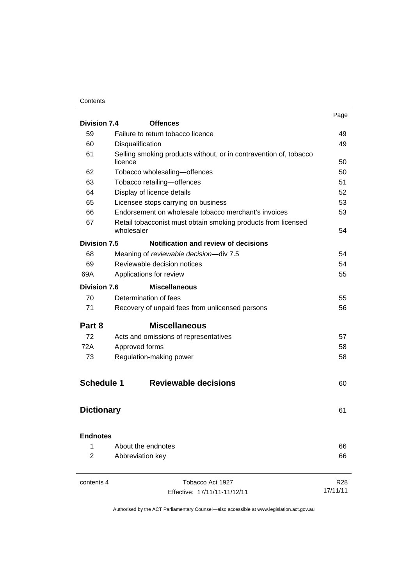#### **Contents**

| <b>Division 7.4</b>  | <b>Offences</b>                                                                          | Page            |                                     |
|----------------------|------------------------------------------------------------------------------------------|-----------------|-------------------------------------|
|                      |                                                                                          |                 |                                     |
| 59                   | Failure to return tobacco licence                                                        | 49              |                                     |
| 60                   | Disqualification                                                                         | 49              |                                     |
| 61                   | Selling smoking products without, or in contravention of, tobacco<br>licence             | 50              |                                     |
| 62                   | Tobacco wholesaling-offences<br>Tobacco retailing-offences<br>Display of licence details |                 |                                     |
| 63<br>64<br>65<br>66 |                                                                                          |                 |                                     |
|                      |                                                                                          |                 | Licensee stops carrying on business |
|                      | Endorsement on wholesale tobacco merchant's invoices                                     |                 |                                     |
|                      | 67<br>Retail tobacconist must obtain smoking products from licensed<br>wholesaler        |                 | 54                                  |
| <b>Division 7.5</b>  | Notification and review of decisions                                                     |                 |                                     |
| 68                   | Meaning of reviewable decision-div 7.5                                                   | 54              |                                     |
| 69                   | Reviewable decision notices                                                              | 54              |                                     |
| 69A                  | Applications for review                                                                  | 55              |                                     |
| <b>Division 7.6</b>  | <b>Miscellaneous</b>                                                                     |                 |                                     |
| 70                   | Determination of fees                                                                    | 55              |                                     |
| 71                   | Recovery of unpaid fees from unlicensed persons                                          | 56              |                                     |
| Part 8               | <b>Miscellaneous</b>                                                                     |                 |                                     |
| 72                   | Acts and omissions of representatives                                                    | 57              |                                     |
| 72A                  | Approved forms                                                                           | 58              |                                     |
| 73                   | Regulation-making power                                                                  | 58              |                                     |
| <b>Schedule 1</b>    | <b>Reviewable decisions</b>                                                              | 60              |                                     |
| <b>Dictionary</b>    |                                                                                          | 61              |                                     |
|                      | <b>Endnotes</b>                                                                          |                 |                                     |
| 1                    | About the endnotes                                                                       | 66              |                                     |
| 2                    | Abbreviation key                                                                         | 66              |                                     |
| contents 4           | Tobacco Act 1927                                                                         | R <sub>28</sub> |                                     |
|                      | Effective: 17/11/11-11/12/11                                                             | 17/11/11        |                                     |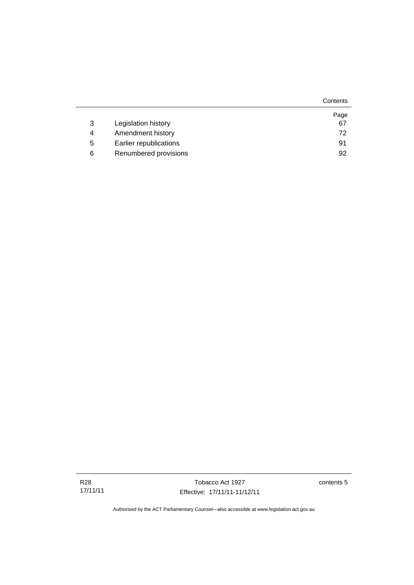|   |                        | Contents |
|---|------------------------|----------|
|   |                        | Page     |
| 3 | Legislation history    | 67       |
| 4 | Amendment history      | 72       |
| 5 | Earlier republications | 91       |
| 6 | Renumbered provisions  | 92       |

contents 5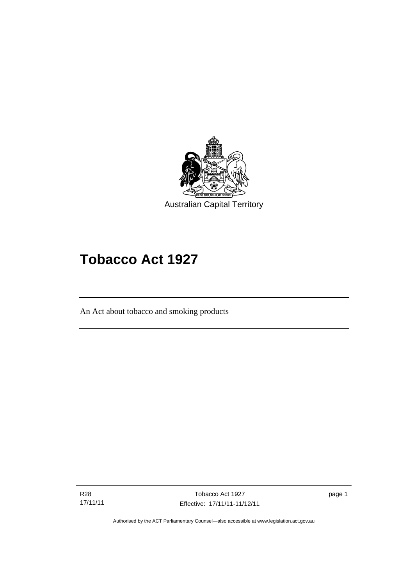

# **Tobacco Act 1927**

An Act about tobacco and smoking products

R28 17/11/11

Ī

Tobacco Act 1927 Effective: 17/11/11-11/12/11 page 1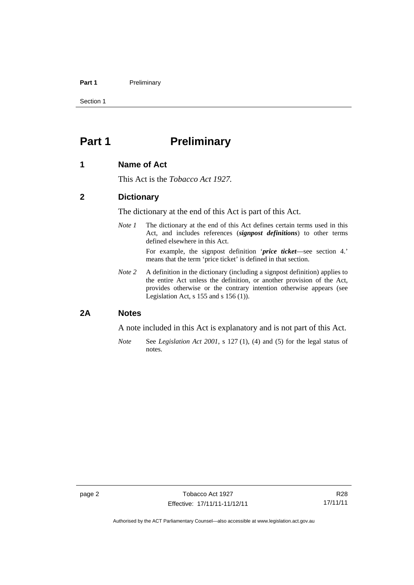#### Part 1 **Preliminary**

Section 1

## <span id="page-9-0"></span>**Part 1** Preliminary

#### <span id="page-9-1"></span>**1 Name of Act**

This Act is the *Tobacco Act 1927.*

#### <span id="page-9-2"></span>**2 Dictionary**

The dictionary at the end of this Act is part of this Act.

*Note 1* The dictionary at the end of this Act defines certain terms used in this Act, and includes references (*signpost definitions*) to other terms defined elsewhere in this Act.

> For example, the signpost definition '*price ticket*—see section 4.' means that the term 'price ticket' is defined in that section.

*Note* 2 A definition in the dictionary (including a signpost definition) applies to the entire Act unless the definition, or another provision of the Act, provides otherwise or the contrary intention otherwise appears (see Legislation Act,  $s$  155 and  $s$  156 (1)).

#### <span id="page-9-3"></span>**2A Notes**

A note included in this Act is explanatory and is not part of this Act.

*Note* See *Legislation Act 2001*, s 127 (1), (4) and (5) for the legal status of notes.

R28 17/11/11

Authorised by the ACT Parliamentary Counsel—also accessible at www.legislation.act.gov.au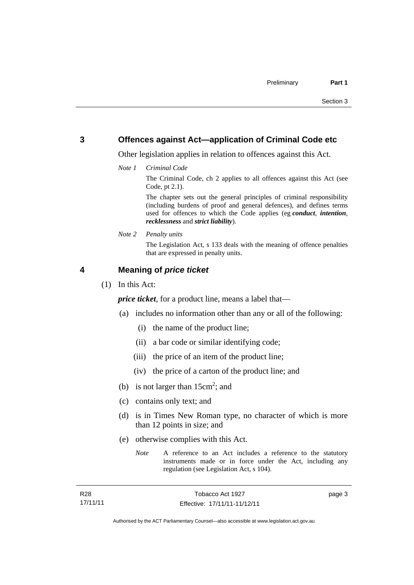#### <span id="page-10-0"></span>**3 Offences against Act—application of Criminal Code etc**

Other legislation applies in relation to offences against this Act.

*Note 1 Criminal Code*

The Criminal Code, ch 2 applies to all offences against this Act (see Code, pt 2.1).

The chapter sets out the general principles of criminal responsibility (including burdens of proof and general defences), and defines terms used for offences to which the Code applies (eg *conduct*, *intention*, *recklessness* and *strict liability*).

*Note 2 Penalty units* 

The Legislation Act, s 133 deals with the meaning of offence penalties that are expressed in penalty units.

#### <span id="page-10-1"></span>**4 Meaning of** *price ticket*

(1) In this Act:

*price ticket*, for a product line, means a label that—

- (a) includes no information other than any or all of the following:
	- (i) the name of the product line;
	- (ii) a bar code or similar identifying code;
	- (iii) the price of an item of the product line;
	- (iv) the price of a carton of the product line; and
- (b) is not larger than  $15 \text{cm}^2$ ; and
	- (c) contains only text; and
	- (d) is in Times New Roman type, no character of which is more than 12 points in size; and
	- (e) otherwise complies with this Act.

*Note* A reference to an Act includes a reference to the statutory instruments made or in force under the Act, including any regulation (see Legislation Act, s 104).

R28 17/11/11

page 3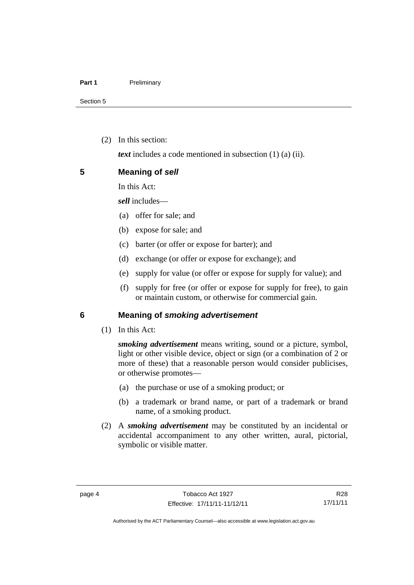(2) In this section:

*text* includes a code mentioned in subsection (1) (a) (ii).

<span id="page-11-0"></span>

| 5 | <b>Meaning of sell</b> |  |  |
|---|------------------------|--|--|
|---|------------------------|--|--|

In this Act:

*sell* includes—

- (a) offer for sale; and
- (b) expose for sale; and
- (c) barter (or offer or expose for barter); and
- (d) exchange (or offer or expose for exchange); and
- (e) supply for value (or offer or expose for supply for value); and
- (f) supply for free (or offer or expose for supply for free), to gain or maintain custom, or otherwise for commercial gain.

#### <span id="page-11-1"></span>**6 Meaning of** *smoking advertisement*

(1) In this Act:

*smoking advertisement* means writing, sound or a picture, symbol, light or other visible device, object or sign (or a combination of 2 or more of these) that a reasonable person would consider publicises, or otherwise promotes—

- (a) the purchase or use of a smoking product; or
- (b) a trademark or brand name, or part of a trademark or brand name, of a smoking product.
- (2) A *smoking advertisement* may be constituted by an incidental or accidental accompaniment to any other written, aural, pictorial, symbolic or visible matter.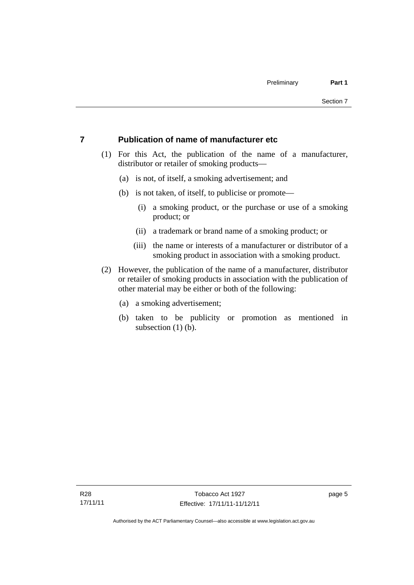#### <span id="page-12-0"></span>**7 Publication of name of manufacturer etc**

- (1) For this Act, the publication of the name of a manufacturer, distributor or retailer of smoking products—
	- (a) is not, of itself, a smoking advertisement; and
	- (b) is not taken, of itself, to publicise or promote—
		- (i) a smoking product, or the purchase or use of a smoking product; or
		- (ii) a trademark or brand name of a smoking product; or
		- (iii) the name or interests of a manufacturer or distributor of a smoking product in association with a smoking product.
- (2) However, the publication of the name of a manufacturer, distributor or retailer of smoking products in association with the publication of other material may be either or both of the following:
	- (a) a smoking advertisement;
	- (b) taken to be publicity or promotion as mentioned in subsection  $(1)$  (b).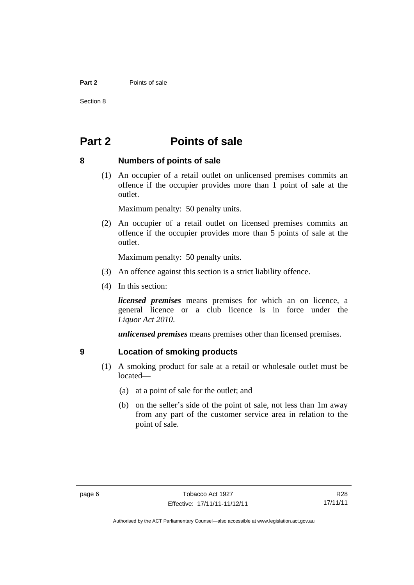#### **Part 2** Points of sale

Section 8

### <span id="page-13-0"></span>**Part 2 Points of sale**

#### <span id="page-13-1"></span>**8 Numbers of points of sale**

 (1) An occupier of a retail outlet on unlicensed premises commits an offence if the occupier provides more than 1 point of sale at the outlet.

Maximum penalty: 50 penalty units.

 (2) An occupier of a retail outlet on licensed premises commits an offence if the occupier provides more than 5 points of sale at the outlet.

Maximum penalty: 50 penalty units.

- (3) An offence against this section is a strict liability offence.
- (4) In this section:

*licensed premises* means premises for which an on licence, a general licence or a club licence is in force under the *Liquor Act 2010*.

*unlicensed premises* means premises other than licensed premises.

#### <span id="page-13-2"></span>**9 Location of smoking products**

- (1) A smoking product for sale at a retail or wholesale outlet must be located—
	- (a) at a point of sale for the outlet; and
	- (b) on the seller's side of the point of sale, not less than 1m away from any part of the customer service area in relation to the point of sale.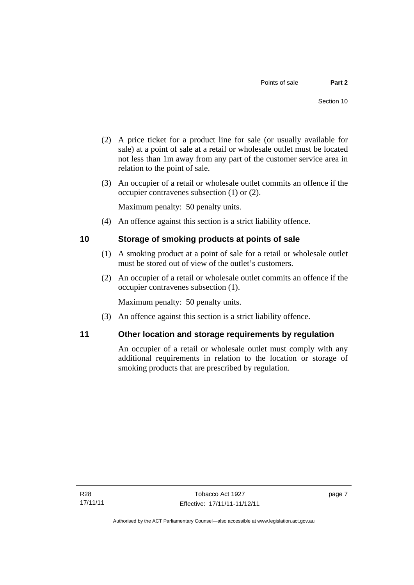- (2) A price ticket for a product line for sale (or usually available for sale) at a point of sale at a retail or wholesale outlet must be located not less than 1m away from any part of the customer service area in relation to the point of sale.
- (3) An occupier of a retail or wholesale outlet commits an offence if the occupier contravenes subsection (1) or (2).

Maximum penalty: 50 penalty units.

(4) An offence against this section is a strict liability offence.

#### <span id="page-14-0"></span>**10 Storage of smoking products at points of sale**

- (1) A smoking product at a point of sale for a retail or wholesale outlet must be stored out of view of the outlet's customers.
- (2) An occupier of a retail or wholesale outlet commits an offence if the occupier contravenes subsection (1).

Maximum penalty: 50 penalty units.

(3) An offence against this section is a strict liability offence.

#### <span id="page-14-1"></span>**11 Other location and storage requirements by regulation**

An occupier of a retail or wholesale outlet must comply with any additional requirements in relation to the location or storage of smoking products that are prescribed by regulation.

page 7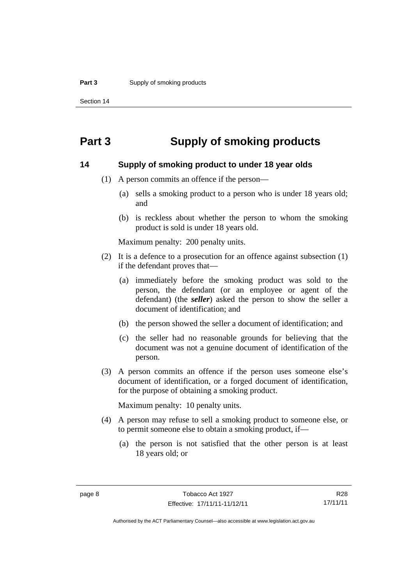Section 14

### <span id="page-15-0"></span>**Part 3 Supply of smoking products**

#### <span id="page-15-1"></span>**14 Supply of smoking product to under 18 year olds**

- (1) A person commits an offence if the person—
	- (a) sells a smoking product to a person who is under 18 years old; and
	- (b) is reckless about whether the person to whom the smoking product is sold is under 18 years old.

Maximum penalty: 200 penalty units.

- (2) It is a defence to a prosecution for an offence against subsection (1) if the defendant proves that—
	- (a) immediately before the smoking product was sold to the person, the defendant (or an employee or agent of the defendant) (the *seller*) asked the person to show the seller a document of identification; and
	- (b) the person showed the seller a document of identification; and
	- (c) the seller had no reasonable grounds for believing that the document was not a genuine document of identification of the person.
- (3) A person commits an offence if the person uses someone else's document of identification, or a forged document of identification, for the purpose of obtaining a smoking product.

Maximum penalty: 10 penalty units.

- (4) A person may refuse to sell a smoking product to someone else, or to permit someone else to obtain a smoking product, if—
	- (a) the person is not satisfied that the other person is at least 18 years old; or

R28 17/11/11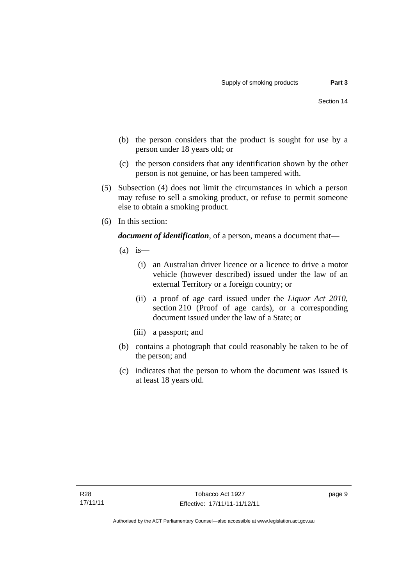- (b) the person considers that the product is sought for use by a person under 18 years old; or
- (c) the person considers that any identification shown by the other person is not genuine, or has been tampered with.
- (5) Subsection (4) does not limit the circumstances in which a person may refuse to sell a smoking product, or refuse to permit someone else to obtain a smoking product.
- (6) In this section:

*document of identification*, of a person, means a document that—

- $(a)$  is
	- (i) an Australian driver licence or a licence to drive a motor vehicle (however described) issued under the law of an external Territory or a foreign country; or
	- (ii) a proof of age card issued under the *Liquor Act 2010*, section 210 (Proof of age cards), or a corresponding document issued under the law of a State; or
	- (iii) a passport; and
- (b) contains a photograph that could reasonably be taken to be of the person; and
- (c) indicates that the person to whom the document was issued is at least 18 years old.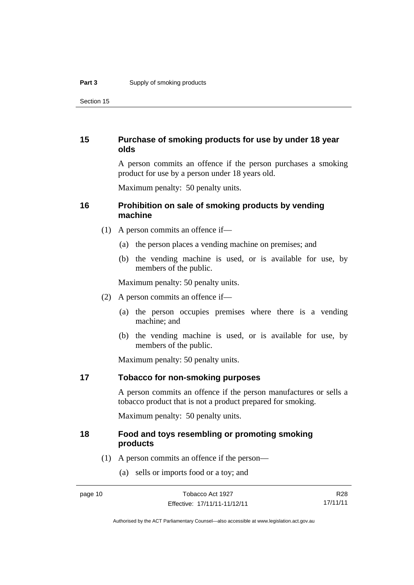Section 15

#### <span id="page-17-0"></span>**15 Purchase of smoking products for use by under 18 year olds**

A person commits an offence if the person purchases a smoking product for use by a person under 18 years old.

Maximum penalty: 50 penalty units.

#### <span id="page-17-1"></span>**16 Prohibition on sale of smoking products by vending machine**

- (1) A person commits an offence if—
	- (a) the person places a vending machine on premises; and
	- (b) the vending machine is used, or is available for use, by members of the public.

Maximum penalty: 50 penalty units.

- (2) A person commits an offence if—
	- (a) the person occupies premises where there is a vending machine; and
	- (b) the vending machine is used, or is available for use, by members of the public.

Maximum penalty: 50 penalty units.

#### <span id="page-17-2"></span>**17 Tobacco for non-smoking purposes**

A person commits an offence if the person manufactures or sells a tobacco product that is not a product prepared for smoking.

Maximum penalty: 50 penalty units.

#### <span id="page-17-3"></span>**18 Food and toys resembling or promoting smoking products**

- (1) A person commits an offence if the person—
	- (a) sells or imports food or a toy; and

R28 17/11/11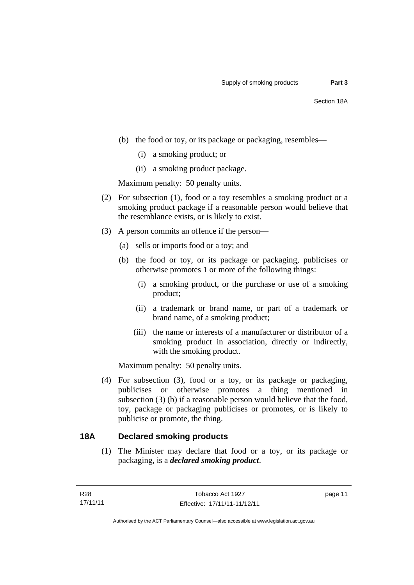- (b) the food or toy, or its package or packaging, resembles—
	- (i) a smoking product; or
	- (ii) a smoking product package.

Maximum penalty: 50 penalty units.

- (2) For subsection (1), food or a toy resembles a smoking product or a smoking product package if a reasonable person would believe that the resemblance exists, or is likely to exist.
- (3) A person commits an offence if the person—
	- (a) sells or imports food or a toy; and
	- (b) the food or toy, or its package or packaging, publicises or otherwise promotes 1 or more of the following things:
		- (i) a smoking product, or the purchase or use of a smoking product;
		- (ii) a trademark or brand name, or part of a trademark or brand name, of a smoking product;
		- (iii) the name or interests of a manufacturer or distributor of a smoking product in association, directly or indirectly, with the smoking product.

Maximum penalty: 50 penalty units.

 (4) For subsection (3), food or a toy, or its package or packaging, publicises or otherwise promotes a thing mentioned in subsection (3) (b) if a reasonable person would believe that the food, toy, package or packaging publicises or promotes, or is likely to publicise or promote, the thing.

#### <span id="page-18-0"></span>**18A Declared smoking products**

(1) The Minister may declare that food or a toy, or its package or packaging, is a *declared smoking product*.

page 11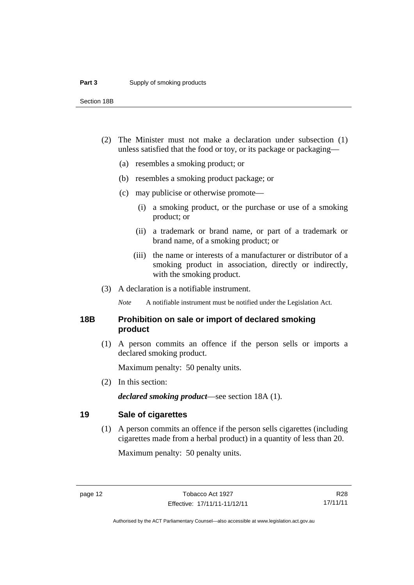Section 18B

- (2) The Minister must not make a declaration under subsection (1) unless satisfied that the food or toy, or its package or packaging—
	- (a) resembles a smoking product; or
	- (b) resembles a smoking product package; or
	- (c) may publicise or otherwise promote—
		- (i) a smoking product, or the purchase or use of a smoking product; or
		- (ii) a trademark or brand name, or part of a trademark or brand name, of a smoking product; or
		- (iii) the name or interests of a manufacturer or distributor of a smoking product in association, directly or indirectly, with the smoking product.
- (3) A declaration is a notifiable instrument.

*Note* A notifiable instrument must be notified under the Legislation Act.

#### <span id="page-19-0"></span>**18B Prohibition on sale or import of declared smoking product**

 (1) A person commits an offence if the person sells or imports a declared smoking product.

Maximum penalty: 50 penalty units.

(2) In this section:

*declared smoking product*—see section 18A (1).

#### <span id="page-19-1"></span>**19 Sale of cigarettes**

(1) A person commits an offence if the person sells cigarettes (including cigarettes made from a herbal product) in a quantity of less than 20.

Maximum penalty: 50 penalty units.

R28 17/11/11

Authorised by the ACT Parliamentary Counsel—also accessible at www.legislation.act.gov.au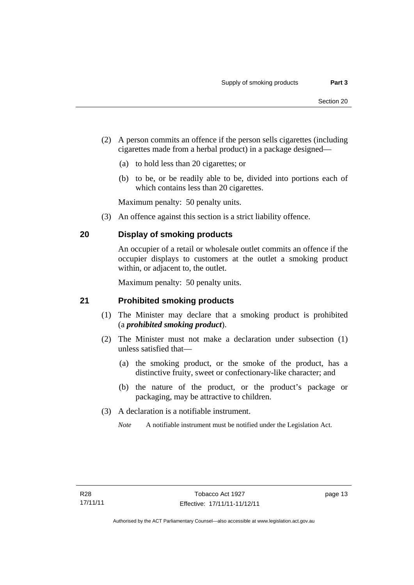- (2) A person commits an offence if the person sells cigarettes (including cigarettes made from a herbal product) in a package designed—
	- (a) to hold less than 20 cigarettes; or
	- (b) to be, or be readily able to be, divided into portions each of which contains less than 20 cigarettes.

Maximum penalty: 50 penalty units.

(3) An offence against this section is a strict liability offence.

### <span id="page-20-0"></span>**20 Display of smoking products**

An occupier of a retail or wholesale outlet commits an offence if the occupier displays to customers at the outlet a smoking product within, or adjacent to, the outlet.

Maximum penalty: 50 penalty units.

#### <span id="page-20-1"></span>**21 Prohibited smoking products**

- (1) The Minister may declare that a smoking product is prohibited (a *prohibited smoking product*).
- (2) The Minister must not make a declaration under subsection (1) unless satisfied that—
	- (a) the smoking product, or the smoke of the product, has a distinctive fruity, sweet or confectionary-like character; and
	- (b) the nature of the product, or the product's package or packaging, may be attractive to children.
- (3) A declaration is a notifiable instrument.
	- *Note* A notifiable instrument must be notified under the Legislation Act.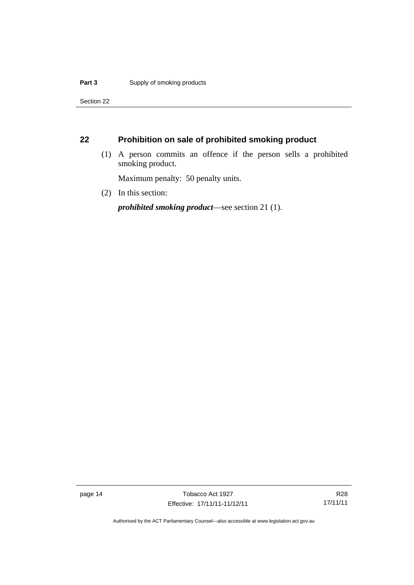Section 22

### <span id="page-21-0"></span>**22 Prohibition on sale of prohibited smoking product**

 (1) A person commits an offence if the person sells a prohibited smoking product.

Maximum penalty: 50 penalty units.

(2) In this section:

*prohibited smoking product*—see section 21 (1).

page 14 Tobacco Act 1927 Effective: 17/11/11-11/12/11

R28 17/11/11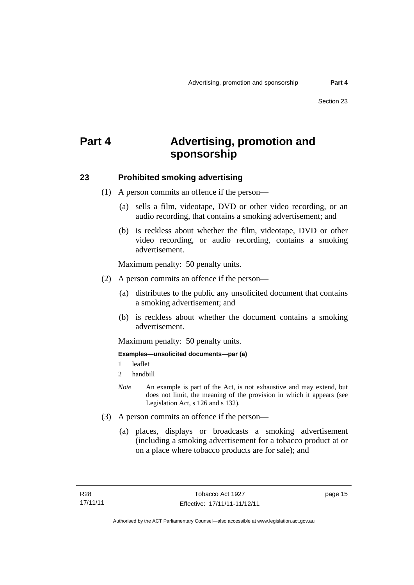# <span id="page-22-0"></span>**Part 4 Advertising, promotion and sponsorship**

#### <span id="page-22-1"></span>**23 Prohibited smoking advertising**

(1) A person commits an offence if the person—

- (a) sells a film, videotape, DVD or other video recording, or an audio recording, that contains a smoking advertisement; and
- (b) is reckless about whether the film, videotape, DVD or other video recording, or audio recording, contains a smoking advertisement.

Maximum penalty: 50 penalty units.

- (2) A person commits an offence if the person—
	- (a) distributes to the public any unsolicited document that contains a smoking advertisement; and
	- (b) is reckless about whether the document contains a smoking advertisement.

Maximum penalty: 50 penalty units.

#### **Examples—unsolicited documents—par (a)**

- 1 leaflet
- 2 handbill
- *Note* An example is part of the Act, is not exhaustive and may extend, but does not limit, the meaning of the provision in which it appears (see Legislation Act, s 126 and s 132).
- (3) A person commits an offence if the person—
	- (a) places, displays or broadcasts a smoking advertisement (including a smoking advertisement for a tobacco product at or on a place where tobacco products are for sale); and

page 15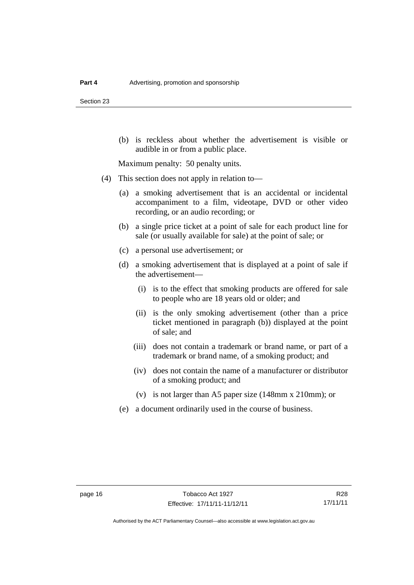Section 23

 (b) is reckless about whether the advertisement is visible or audible in or from a public place.

Maximum penalty: 50 penalty units.

- (4) This section does not apply in relation to—
	- (a) a smoking advertisement that is an accidental or incidental accompaniment to a film, videotape, DVD or other video recording, or an audio recording; or
	- (b) a single price ticket at a point of sale for each product line for sale (or usually available for sale) at the point of sale; or
	- (c) a personal use advertisement; or
	- (d) a smoking advertisement that is displayed at a point of sale if the advertisement—
		- (i) is to the effect that smoking products are offered for sale to people who are 18 years old or older; and
		- (ii) is the only smoking advertisement (other than a price ticket mentioned in paragraph (b)) displayed at the point of sale; and
		- (iii) does not contain a trademark or brand name, or part of a trademark or brand name, of a smoking product; and
		- (iv) does not contain the name of a manufacturer or distributor of a smoking product; and
		- (v) is not larger than A5 paper size (148mm x 210mm); or
	- (e) a document ordinarily used in the course of business.

R28 17/11/11

Authorised by the ACT Parliamentary Counsel—also accessible at www.legislation.act.gov.au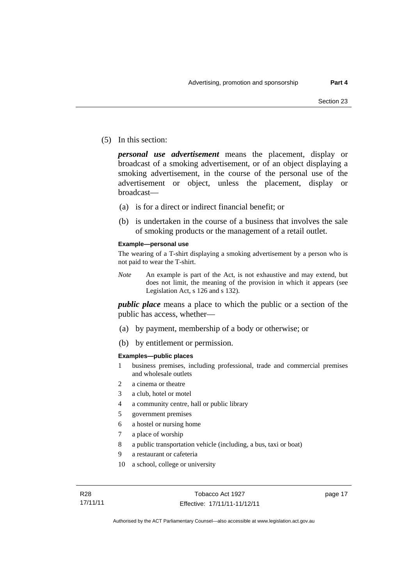(5) In this section:

*personal use advertisement* means the placement, display or broadcast of a smoking advertisement, or of an object displaying a smoking advertisement, in the course of the personal use of the advertisement or object, unless the placement, display or broadcast—

- (a) is for a direct or indirect financial benefit; or
- (b) is undertaken in the course of a business that involves the sale of smoking products or the management of a retail outlet.

#### **Example—personal use**

The wearing of a T-shirt displaying a smoking advertisement by a person who is not paid to wear the T-shirt.

*Note* An example is part of the Act, is not exhaustive and may extend, but does not limit, the meaning of the provision in which it appears (see Legislation Act, s 126 and s 132).

*public place* means a place to which the public or a section of the public has access, whether—

- (a) by payment, membership of a body or otherwise; or
- (b) by entitlement or permission.

#### **Examples—public places**

- 1 business premises, including professional, trade and commercial premises and wholesale outlets
- 2 a cinema or theatre
- 3 a club, hotel or motel
- 4 a community centre, hall or public library
- 5 government premises
- 6 a hostel or nursing home
- 7 a place of worship
- 8 a public transportation vehicle (including, a bus, taxi or boat)
- 9 a restaurant or cafeteria
- 10 a school, college or university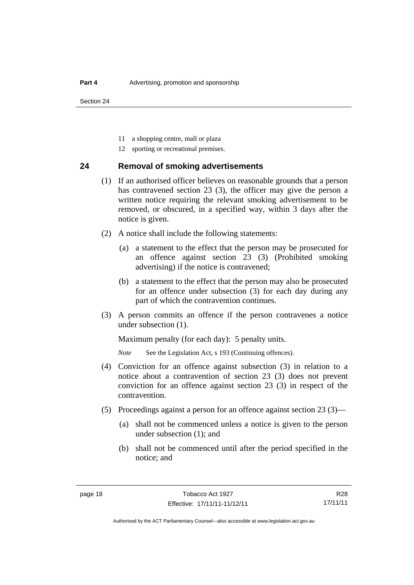- 11 a shopping centre, mall or plaza
- 12 sporting or recreational premises.

#### <span id="page-25-0"></span>**24 Removal of smoking advertisements**

- (1) If an authorised officer believes on reasonable grounds that a person has contravened section 23 (3), the officer may give the person a written notice requiring the relevant smoking advertisement to be removed, or obscured, in a specified way, within 3 days after the notice is given.
- (2) A notice shall include the following statements:
	- (a) a statement to the effect that the person may be prosecuted for an offence against section 23 (3) (Prohibited smoking advertising) if the notice is contravened;
	- (b) a statement to the effect that the person may also be prosecuted for an offence under subsection (3) for each day during any part of which the contravention continues.
- (3) A person commits an offence if the person contravenes a notice under subsection (1).

Maximum penalty (for each day): 5 penalty units.

*Note* See the Legislation Act, s 193 (Continuing offences).

- (4) Conviction for an offence against subsection (3) in relation to a notice about a contravention of section 23 (3) does not prevent conviction for an offence against section 23 (3) in respect of the contravention.
- (5) Proceedings against a person for an offence against section 23 (3)—
	- (a) shall not be commenced unless a notice is given to the person under subsection (1); and
	- (b) shall not be commenced until after the period specified in the notice; and

R28 17/11/11

Authorised by the ACT Parliamentary Counsel—also accessible at www.legislation.act.gov.au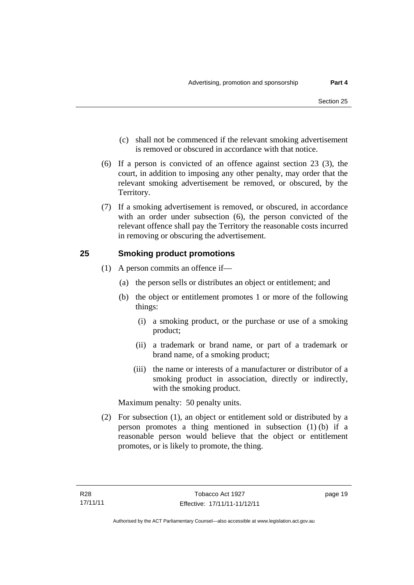- (c) shall not be commenced if the relevant smoking advertisement is removed or obscured in accordance with that notice.
- (6) If a person is convicted of an offence against section 23 (3), the court, in addition to imposing any other penalty, may order that the relevant smoking advertisement be removed, or obscured, by the Territory.
- (7) If a smoking advertisement is removed, or obscured, in accordance with an order under subsection (6), the person convicted of the relevant offence shall pay the Territory the reasonable costs incurred in removing or obscuring the advertisement.

#### <span id="page-26-0"></span>**25 Smoking product promotions**

- (1) A person commits an offence if—
	- (a) the person sells or distributes an object or entitlement; and
	- (b) the object or entitlement promotes 1 or more of the following things:
		- (i) a smoking product, or the purchase or use of a smoking product;
		- (ii) a trademark or brand name, or part of a trademark or brand name, of a smoking product;
		- (iii) the name or interests of a manufacturer or distributor of a smoking product in association, directly or indirectly, with the smoking product.

Maximum penalty: 50 penalty units.

 (2) For subsection (1), an object or entitlement sold or distributed by a person promotes a thing mentioned in subsection (1) (b) if a reasonable person would believe that the object or entitlement promotes, or is likely to promote, the thing.

page 19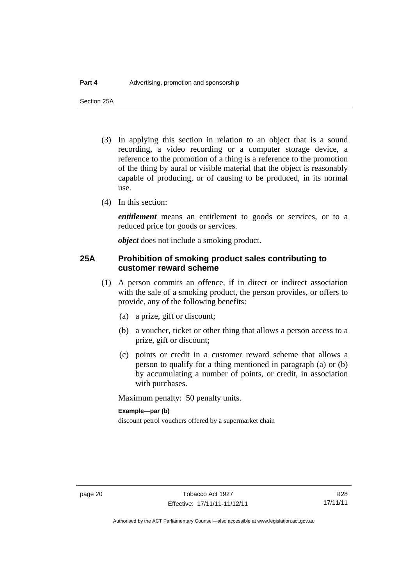Section 25A

- (3) In applying this section in relation to an object that is a sound recording, a video recording or a computer storage device, a reference to the promotion of a thing is a reference to the promotion of the thing by aural or visible material that the object is reasonably capable of producing, or of causing to be produced, in its normal use.
- (4) In this section:

*entitlement* means an entitlement to goods or services, or to a reduced price for goods or services.

*object* does not include a smoking product.

#### <span id="page-27-0"></span>**25A Prohibition of smoking product sales contributing to customer reward scheme**

- (1) A person commits an offence, if in direct or indirect association with the sale of a smoking product, the person provides, or offers to provide, any of the following benefits:
	- (a) a prize, gift or discount;
	- (b) a voucher, ticket or other thing that allows a person access to a prize, gift or discount;
	- (c) points or credit in a customer reward scheme that allows a person to qualify for a thing mentioned in paragraph (a) or (b) by accumulating a number of points, or credit, in association with purchases.

Maximum penalty: 50 penalty units.

#### **Example—par (b)**

discount petrol vouchers offered by a supermarket chain

Authorised by the ACT Parliamentary Counsel—also accessible at www.legislation.act.gov.au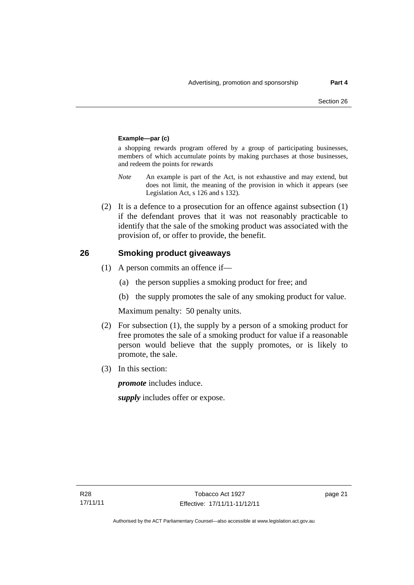#### **Example—par (c)**

a shopping rewards program offered by a group of participating businesses, members of which accumulate points by making purchases at those businesses, and redeem the points for rewards

- *Note* An example is part of the Act, is not exhaustive and may extend, but does not limit, the meaning of the provision in which it appears (see Legislation Act, s 126 and s 132).
- (2) It is a defence to a prosecution for an offence against subsection (1) if the defendant proves that it was not reasonably practicable to identify that the sale of the smoking product was associated with the provision of, or offer to provide, the benefit.

#### <span id="page-28-0"></span>**26 Smoking product giveaways**

- (1) A person commits an offence if—
	- (a) the person supplies a smoking product for free; and
	- (b) the supply promotes the sale of any smoking product for value.

Maximum penalty: 50 penalty units.

- (2) For subsection (1), the supply by a person of a smoking product for free promotes the sale of a smoking product for value if a reasonable person would believe that the supply promotes, or is likely to promote, the sale.
- (3) In this section:

*promote* includes induce.

*supply* includes offer or expose.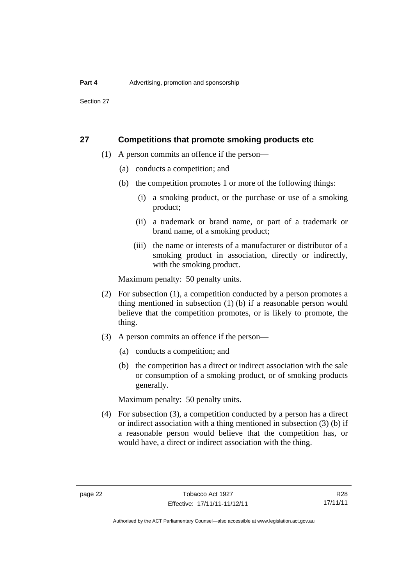#### <span id="page-29-0"></span>**27 Competitions that promote smoking products etc**

- (1) A person commits an offence if the person—
	- (a) conducts a competition; and
	- (b) the competition promotes 1 or more of the following things:
		- (i) a smoking product, or the purchase or use of a smoking product;
		- (ii) a trademark or brand name, or part of a trademark or brand name, of a smoking product;
		- (iii) the name or interests of a manufacturer or distributor of a smoking product in association, directly or indirectly, with the smoking product.

Maximum penalty: 50 penalty units.

- (2) For subsection (1), a competition conducted by a person promotes a thing mentioned in subsection (1) (b) if a reasonable person would believe that the competition promotes, or is likely to promote, the thing.
- (3) A person commits an offence if the person—
	- (a) conducts a competition; and
	- (b) the competition has a direct or indirect association with the sale or consumption of a smoking product, or of smoking products generally.

Maximum penalty: 50 penalty units.

 (4) For subsection (3), a competition conducted by a person has a direct or indirect association with a thing mentioned in subsection (3) (b) if a reasonable person would believe that the competition has, or would have, a direct or indirect association with the thing.

R28 17/11/11

Authorised by the ACT Parliamentary Counsel—also accessible at www.legislation.act.gov.au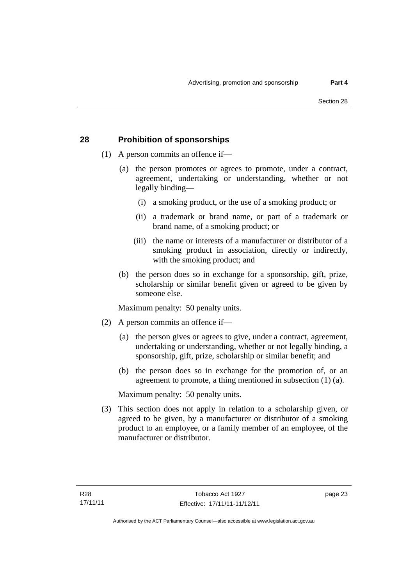#### <span id="page-30-0"></span>**28 Prohibition of sponsorships**

- (1) A person commits an offence if—
	- (a) the person promotes or agrees to promote, under a contract, agreement, undertaking or understanding, whether or not legally binding—
		- (i) a smoking product, or the use of a smoking product; or
		- (ii) a trademark or brand name, or part of a trademark or brand name, of a smoking product; or
		- (iii) the name or interests of a manufacturer or distributor of a smoking product in association, directly or indirectly, with the smoking product; and
	- (b) the person does so in exchange for a sponsorship, gift, prize, scholarship or similar benefit given or agreed to be given by someone else.

Maximum penalty: 50 penalty units.

- (2) A person commits an offence if—
	- (a) the person gives or agrees to give, under a contract, agreement, undertaking or understanding, whether or not legally binding, a sponsorship, gift, prize, scholarship or similar benefit; and
	- (b) the person does so in exchange for the promotion of, or an agreement to promote, a thing mentioned in subsection (1) (a).

Maximum penalty: 50 penalty units.

 (3) This section does not apply in relation to a scholarship given, or agreed to be given, by a manufacturer or distributor of a smoking product to an employee, or a family member of an employee, of the manufacturer or distributor.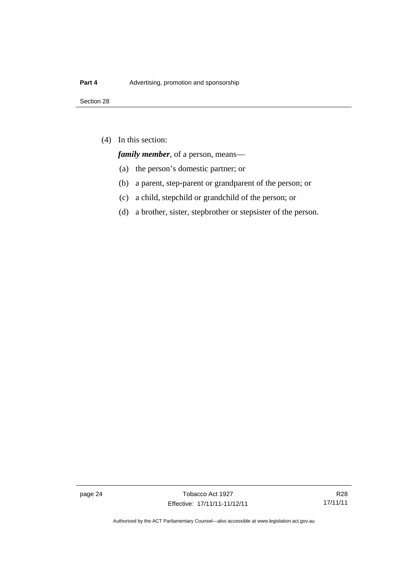(4) In this section:

*family member*, of a person, means—

- (a) the person's domestic partner; or
- (b) a parent, step-parent or grandparent of the person; or
- (c) a child, stepchild or grandchild of the person; or
- (d) a brother, sister, stepbrother or stepsister of the person.

page 24 Tobacco Act 1927 Effective: 17/11/11-11/12/11

R28 17/11/11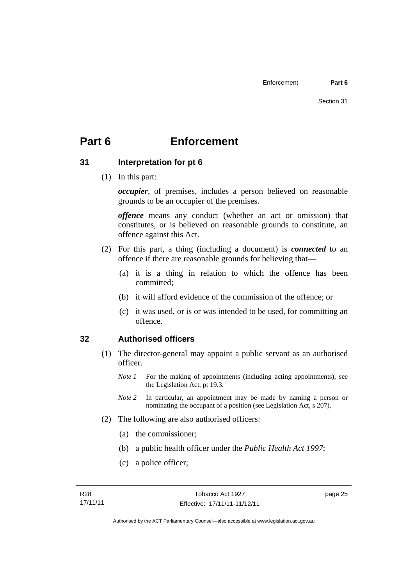# <span id="page-32-0"></span>**Part 6 Enforcement**

#### <span id="page-32-1"></span>**31 Interpretation for pt 6**

(1) In this part:

*occupier*, of premises, includes a person believed on reasonable grounds to be an occupier of the premises.

*offence* means any conduct (whether an act or omission) that constitutes, or is believed on reasonable grounds to constitute, an offence against this Act.

- (2) For this part, a thing (including a document) is *connected* to an offence if there are reasonable grounds for believing that—
	- (a) it is a thing in relation to which the offence has been committed;
	- (b) it will afford evidence of the commission of the offence; or
	- (c) it was used, or is or was intended to be used, for committing an offence.

#### <span id="page-32-2"></span>**32 Authorised officers**

- (1) The director-general may appoint a public servant as an authorised officer.
	- *Note 1* For the making of appointments (including acting appointments), see the Legislation Act, pt 19.3.
	- *Note* 2 In particular, an appointment may be made by naming a person or nominating the occupant of a position (see Legislation Act, s 207).
- (2) The following are also authorised officers:
	- (a) the commissioner;
	- (b) a public health officer under the *Public Health Act 1997*;
	- (c) a police officer;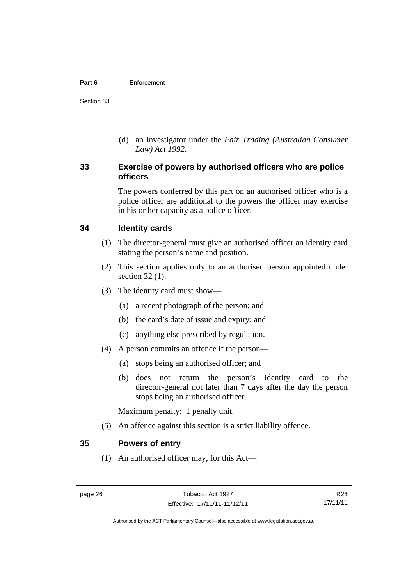#### **Part 6** Enforcement

Section 33

 (d) an investigator under the *Fair Trading (Australian Consumer Law) Act 1992*.

#### <span id="page-33-0"></span>**33 Exercise of powers by authorised officers who are police officers**

The powers conferred by this part on an authorised officer who is a police officer are additional to the powers the officer may exercise in his or her capacity as a police officer.

#### <span id="page-33-1"></span>**34 Identity cards**

- (1) The director-general must give an authorised officer an identity card stating the person's name and position.
- (2) This section applies only to an authorised person appointed under section 32 (1).
- (3) The identity card must show—
	- (a) a recent photograph of the person; and
	- (b) the card's date of issue and expiry; and
	- (c) anything else prescribed by regulation.
- (4) A person commits an offence if the person—
	- (a) stops being an authorised officer; and
	- (b) does not return the person's identity card to the director-general not later than 7 days after the day the person stops being an authorised officer.

Maximum penalty: 1 penalty unit.

(5) An offence against this section is a strict liability offence.

#### <span id="page-33-2"></span>**35 Powers of entry**

(1) An authorised officer may, for this Act—

Authorised by the ACT Parliamentary Counsel—also accessible at www.legislation.act.gov.au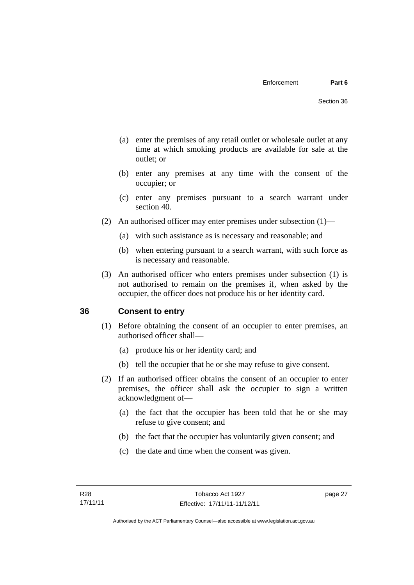- (a) enter the premises of any retail outlet or wholesale outlet at any time at which smoking products are available for sale at the outlet; or
- (b) enter any premises at any time with the consent of the occupier; or
- (c) enter any premises pursuant to a search warrant under section 40.
- (2) An authorised officer may enter premises under subsection (1)—
	- (a) with such assistance as is necessary and reasonable; and
	- (b) when entering pursuant to a search warrant, with such force as is necessary and reasonable.
- (3) An authorised officer who enters premises under subsection (1) is not authorised to remain on the premises if, when asked by the occupier, the officer does not produce his or her identity card.

#### <span id="page-34-0"></span>**36 Consent to entry**

- (1) Before obtaining the consent of an occupier to enter premises, an authorised officer shall—
	- (a) produce his or her identity card; and
	- (b) tell the occupier that he or she may refuse to give consent.
- (2) If an authorised officer obtains the consent of an occupier to enter premises, the officer shall ask the occupier to sign a written acknowledgment of—
	- (a) the fact that the occupier has been told that he or she may refuse to give consent; and
	- (b) the fact that the occupier has voluntarily given consent; and
	- (c) the date and time when the consent was given.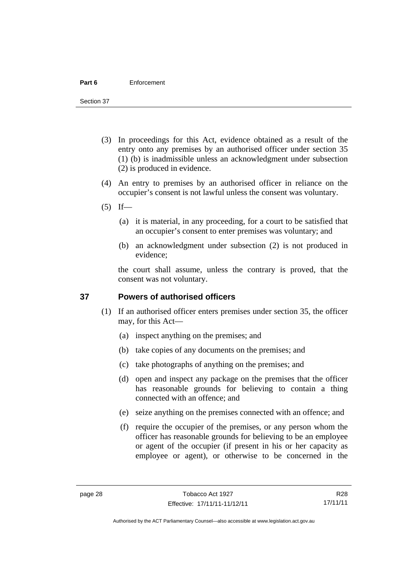#### **Part 6** Enforcement

Section 37

- (3) In proceedings for this Act, evidence obtained as a result of the entry onto any premises by an authorised officer under section 35 (1) (b) is inadmissible unless an acknowledgment under subsection (2) is produced in evidence.
- (4) An entry to premises by an authorised officer in reliance on the occupier's consent is not lawful unless the consent was voluntary.
- $(5)$  If—
	- (a) it is material, in any proceeding, for a court to be satisfied that an occupier's consent to enter premises was voluntary; and
	- (b) an acknowledgment under subsection (2) is not produced in evidence;

the court shall assume, unless the contrary is proved, that the consent was not voluntary.

#### <span id="page-35-0"></span>**37 Powers of authorised officers**

- (1) If an authorised officer enters premises under section 35, the officer may, for this Act—
	- (a) inspect anything on the premises; and
	- (b) take copies of any documents on the premises; and
	- (c) take photographs of anything on the premises; and
	- (d) open and inspect any package on the premises that the officer has reasonable grounds for believing to contain a thing connected with an offence; and
	- (e) seize anything on the premises connected with an offence; and
	- (f) require the occupier of the premises, or any person whom the officer has reasonable grounds for believing to be an employee or agent of the occupier (if present in his or her capacity as employee or agent), or otherwise to be concerned in the

R28 17/11/11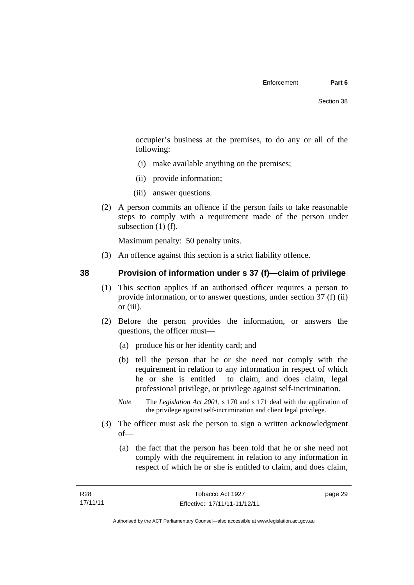occupier's business at the premises, to do any or all of the following:

- (i) make available anything on the premises;
- (ii) provide information;
- (iii) answer questions.
- (2) A person commits an offence if the person fails to take reasonable steps to comply with a requirement made of the person under subsection (1) (f).

Maximum penalty: 50 penalty units.

(3) An offence against this section is a strict liability offence.

### **38 Provision of information under s 37 (f)—claim of privilege**

- (1) This section applies if an authorised officer requires a person to provide information, or to answer questions, under section 37 (f) (ii) or (iii).
- (2) Before the person provides the information, or answers the questions, the officer must—
	- (a) produce his or her identity card; and
	- (b) tell the person that he or she need not comply with the requirement in relation to any information in respect of which he or she is entitled to claim, and does claim, legal professional privilege, or privilege against self-incrimination.
	- *Note* The *Legislation Act 2001*, s 170 and s 171 deal with the application of the privilege against self-incrimination and client legal privilege.
- (3) The officer must ask the person to sign a written acknowledgment of—
	- (a) the fact that the person has been told that he or she need not comply with the requirement in relation to any information in respect of which he or she is entitled to claim, and does claim,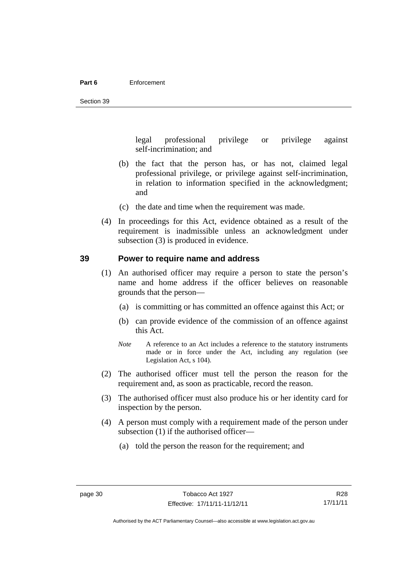#### **Part 6** Enforcement

legal professional privilege or privilege against self-incrimination; and

- (b) the fact that the person has, or has not, claimed legal professional privilege, or privilege against self-incrimination, in relation to information specified in the acknowledgment; and
- (c) the date and time when the requirement was made.
- (4) In proceedings for this Act, evidence obtained as a result of the requirement is inadmissible unless an acknowledgment under subsection (3) is produced in evidence.

### **39 Power to require name and address**

- (1) An authorised officer may require a person to state the person's name and home address if the officer believes on reasonable grounds that the person—
	- (a) is committing or has committed an offence against this Act; or
	- (b) can provide evidence of the commission of an offence against this Act.
	- *Note* A reference to an Act includes a reference to the statutory instruments made or in force under the Act, including any regulation (see Legislation Act, s 104).
- (2) The authorised officer must tell the person the reason for the requirement and, as soon as practicable, record the reason.
- (3) The authorised officer must also produce his or her identity card for inspection by the person.
- (4) A person must comply with a requirement made of the person under subsection (1) if the authorised officer—
	- (a) told the person the reason for the requirement; and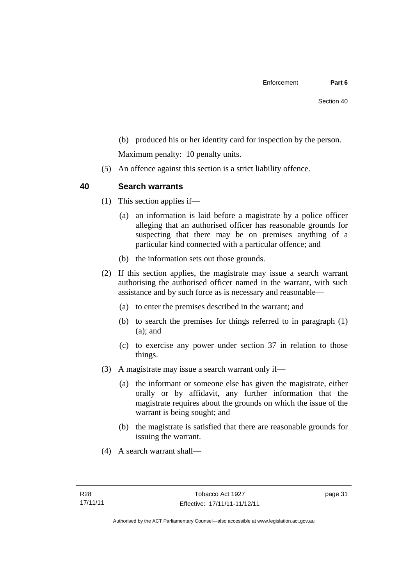(b) produced his or her identity card for inspection by the person.

Maximum penalty: 10 penalty units.

(5) An offence against this section is a strict liability offence.

### **40 Search warrants**

- (1) This section applies if—
	- (a) an information is laid before a magistrate by a police officer alleging that an authorised officer has reasonable grounds for suspecting that there may be on premises anything of a particular kind connected with a particular offence; and
	- (b) the information sets out those grounds.
- (2) If this section applies, the magistrate may issue a search warrant authorising the authorised officer named in the warrant, with such assistance and by such force as is necessary and reasonable—
	- (a) to enter the premises described in the warrant; and
	- (b) to search the premises for things referred to in paragraph (1) (a); and
	- (c) to exercise any power under section 37 in relation to those things.
- (3) A magistrate may issue a search warrant only if—
	- (a) the informant or someone else has given the magistrate, either orally or by affidavit, any further information that the magistrate requires about the grounds on which the issue of the warrant is being sought; and
	- (b) the magistrate is satisfied that there are reasonable grounds for issuing the warrant.
- (4) A search warrant shall—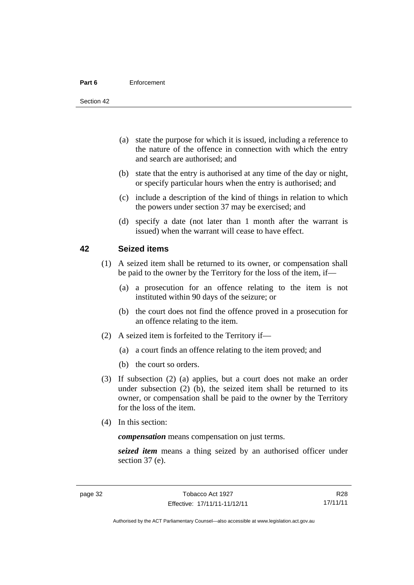#### **Part 6** Enforcement

Section 42

- (a) state the purpose for which it is issued, including a reference to the nature of the offence in connection with which the entry and search are authorised; and
- (b) state that the entry is authorised at any time of the day or night, or specify particular hours when the entry is authorised; and
- (c) include a description of the kind of things in relation to which the powers under section 37 may be exercised; and
- (d) specify a date (not later than 1 month after the warrant is issued) when the warrant will cease to have effect.

### **42 Seized items**

- (1) A seized item shall be returned to its owner, or compensation shall be paid to the owner by the Territory for the loss of the item, if—
	- (a) a prosecution for an offence relating to the item is not instituted within 90 days of the seizure; or
	- (b) the court does not find the offence proved in a prosecution for an offence relating to the item.
- (2) A seized item is forfeited to the Territory if—
	- (a) a court finds an offence relating to the item proved; and
	- (b) the court so orders.
- (3) If subsection (2) (a) applies, but a court does not make an order under subsection (2) (b), the seized item shall be returned to its owner, or compensation shall be paid to the owner by the Territory for the loss of the item.
- (4) In this section:

*compensation* means compensation on just terms.

*seized item* means a thing seized by an authorised officer under section 37 (e).

Authorised by the ACT Parliamentary Counsel—also accessible at www.legislation.act.gov.au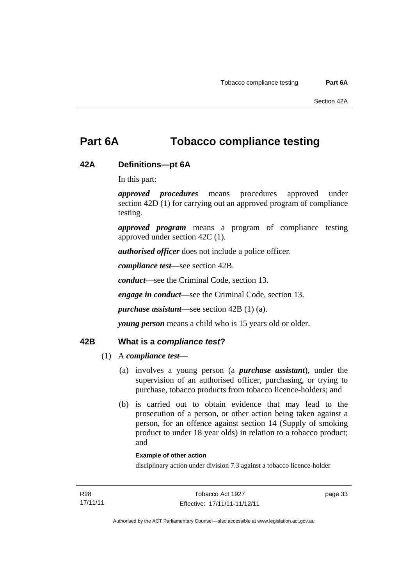# **Part 6A Tobacco compliance testing**

### **42A Definitions—pt 6A**

In this part:

*approved procedures* means procedures approved under section 42D (1) for carrying out an approved program of compliance testing.

*approved program* means a program of compliance testing approved under section 42C (1).

*authorised officer* does not include a police officer.

*compliance test*—see section 42B.

*conduct*—see the Criminal Code, section 13.

*engage in conduct*—see the Criminal Code, section 13.

*purchase assistant*—see section 42B (1) (a).

*young person* means a child who is 15 years old or older.

### **42B What is a** *compliance test***?**

### (1) A *compliance test*—

- (a) involves a young person (a *purchase assistant*), under the supervision of an authorised officer, purchasing, or trying to purchase, tobacco products from tobacco licence-holders; and
- (b) is carried out to obtain evidence that may lead to the prosecution of a person, or other action being taken against a person, for an offence against section 14 (Supply of smoking product to under 18 year olds) in relation to a tobacco product; and

#### **Example of other action**

disciplinary action under division 7.3 against a tobacco licence-holder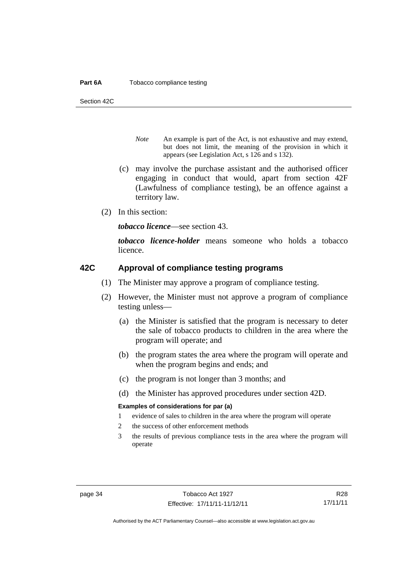#### **Part 6A** Tobacco compliance testing

Section 42C

- *Note* An example is part of the Act, is not exhaustive and may extend, but does not limit, the meaning of the provision in which it appears (see Legislation Act, s 126 and s 132).
- (c) may involve the purchase assistant and the authorised officer engaging in conduct that would, apart from section 42F (Lawfulness of compliance testing), be an offence against a territory law.
- (2) In this section:

*tobacco licence*—see section 43.

*tobacco licence-holder* means someone who holds a tobacco licence.

### **42C Approval of compliance testing programs**

- (1) The Minister may approve a program of compliance testing.
- (2) However, the Minister must not approve a program of compliance testing unless—
	- (a) the Minister is satisfied that the program is necessary to deter the sale of tobacco products to children in the area where the program will operate; and
	- (b) the program states the area where the program will operate and when the program begins and ends; and
	- (c) the program is not longer than 3 months; and
	- (d) the Minister has approved procedures under section 42D.

#### **Examples of considerations for par (a)**

- 1 evidence of sales to children in the area where the program will operate
- 2 the success of other enforcement methods
- 3 the results of previous compliance tests in the area where the program will operate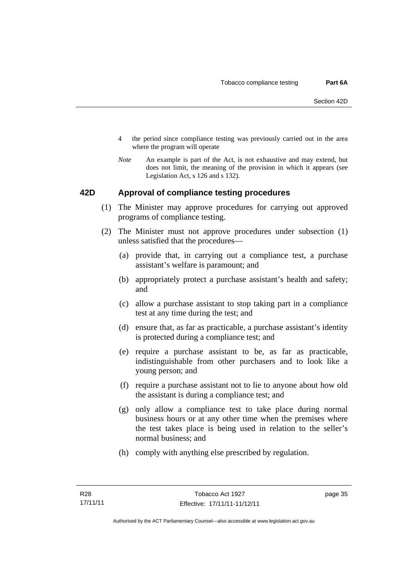- 4 the period since compliance testing was previously carried out in the area where the program will operate
- *Note* An example is part of the Act, is not exhaustive and may extend, but does not limit, the meaning of the provision in which it appears (see Legislation Act, s 126 and s 132).

### **42D Approval of compliance testing procedures**

- (1) The Minister may approve procedures for carrying out approved programs of compliance testing.
- (2) The Minister must not approve procedures under subsection (1) unless satisfied that the procedures—
	- (a) provide that, in carrying out a compliance test, a purchase assistant's welfare is paramount; and
	- (b) appropriately protect a purchase assistant's health and safety; and
	- (c) allow a purchase assistant to stop taking part in a compliance test at any time during the test; and
	- (d) ensure that, as far as practicable, a purchase assistant's identity is protected during a compliance test; and
	- (e) require a purchase assistant to be, as far as practicable, indistinguishable from other purchasers and to look like a young person; and
	- (f) require a purchase assistant not to lie to anyone about how old the assistant is during a compliance test; and
	- (g) only allow a compliance test to take place during normal business hours or at any other time when the premises where the test takes place is being used in relation to the seller's normal business; and
	- (h) comply with anything else prescribed by regulation.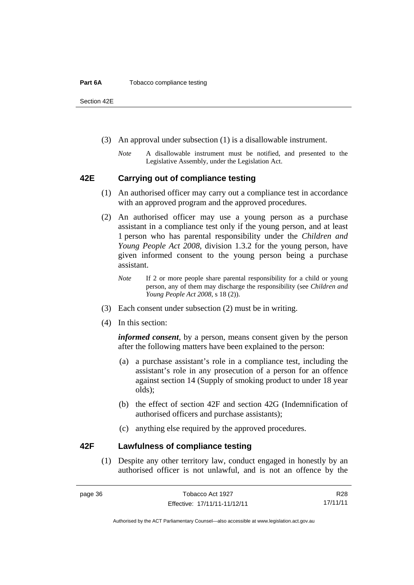#### **Part 6A** Tobacco compliance testing

Section 42E

- (3) An approval under subsection (1) is a disallowable instrument.
	- *Note* A disallowable instrument must be notified, and presented to the Legislative Assembly, under the Legislation Act.

### **42E Carrying out of compliance testing**

- (1) An authorised officer may carry out a compliance test in accordance with an approved program and the approved procedures.
- (2) An authorised officer may use a young person as a purchase assistant in a compliance test only if the young person, and at least 1 person who has parental responsibility under the *Children and Young People Act 2008*, division 1.3.2 for the young person, have given informed consent to the young person being a purchase assistant.
	- *Note* If 2 or more people share parental responsibility for a child or young person, any of them may discharge the responsibility (see *Children and Young People Act 2008*, s 18 (2)).
- (3) Each consent under subsection (2) must be in writing.
- (4) In this section:

*informed consent*, by a person, means consent given by the person after the following matters have been explained to the person:

- (a) a purchase assistant's role in a compliance test, including the assistant's role in any prosecution of a person for an offence against section 14 (Supply of smoking product to under 18 year olds);
- (b) the effect of section 42F and section 42G (Indemnification of authorised officers and purchase assistants);
- (c) anything else required by the approved procedures.

### **42F Lawfulness of compliance testing**

(1) Despite any other territory law, conduct engaged in honestly by an authorised officer is not unlawful, and is not an offence by the

R28 17/11/11

Authorised by the ACT Parliamentary Counsel—also accessible at www.legislation.act.gov.au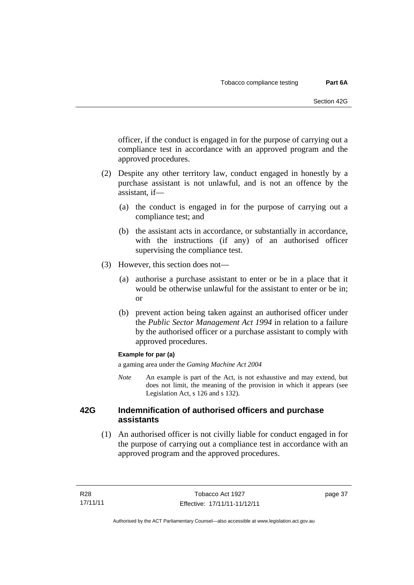officer, if the conduct is engaged in for the purpose of carrying out a compliance test in accordance with an approved program and the approved procedures.

- (2) Despite any other territory law, conduct engaged in honestly by a purchase assistant is not unlawful, and is not an offence by the assistant, if—
	- (a) the conduct is engaged in for the purpose of carrying out a compliance test; and
	- (b) the assistant acts in accordance, or substantially in accordance, with the instructions (if any) of an authorised officer supervising the compliance test.
- (3) However, this section does not—
	- (a) authorise a purchase assistant to enter or be in a place that it would be otherwise unlawful for the assistant to enter or be in; or
	- (b) prevent action being taken against an authorised officer under the *Public Sector Management Act 1994* in relation to a failure by the authorised officer or a purchase assistant to comply with approved procedures.

### **Example for par (a)**

a gaming area under the *Gaming Machine Act 2004* 

*Note* An example is part of the Act, is not exhaustive and may extend, but does not limit, the meaning of the provision in which it appears (see Legislation Act, s 126 and s 132).

### **42G Indemnification of authorised officers and purchase assistants**

 (1) An authorised officer is not civilly liable for conduct engaged in for the purpose of carrying out a compliance test in accordance with an approved program and the approved procedures.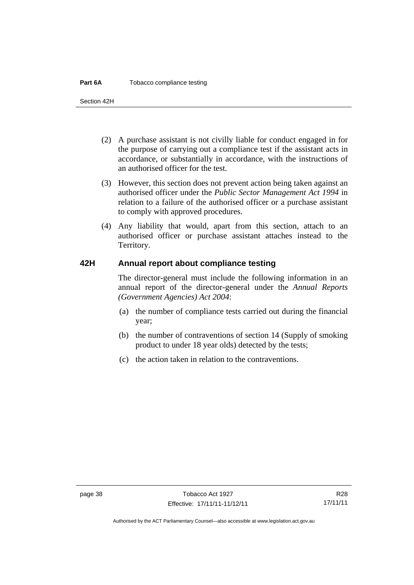#### **Part 6A** Tobacco compliance testing

Section 42H

- (2) A purchase assistant is not civilly liable for conduct engaged in for the purpose of carrying out a compliance test if the assistant acts in accordance, or substantially in accordance, with the instructions of an authorised officer for the test.
- (3) However, this section does not prevent action being taken against an authorised officer under the *Public Sector Management Act 1994* in relation to a failure of the authorised officer or a purchase assistant to comply with approved procedures.
- (4) Any liability that would, apart from this section, attach to an authorised officer or purchase assistant attaches instead to the Territory.

### **42H Annual report about compliance testing**

The director-general must include the following information in an annual report of the director-general under the *Annual Reports (Government Agencies) Act 2004*:

- (a) the number of compliance tests carried out during the financial year;
- (b) the number of contraventions of section 14 (Supply of smoking product to under 18 year olds) detected by the tests;
- (c) the action taken in relation to the contraventions.

Authorised by the ACT Parliamentary Counsel—also accessible at www.legislation.act.gov.au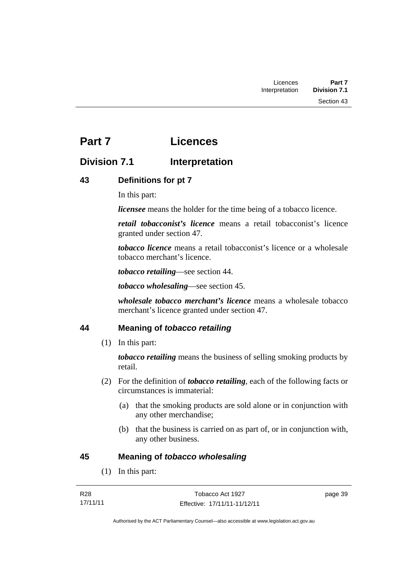# **Part 7 Licences**

# **Division 7.1** Interpretation

## **43 Definitions for pt 7**

In this part:

*licensee* means the holder for the time being of a tobacco licence.

*retail tobacconist's licence* means a retail tobacconist's licence granted under section 47.

*tobacco licence* means a retail tobacconist's licence or a wholesale tobacco merchant's licence.

*tobacco retailing*—see section 44.

*tobacco wholesaling*—see section 45.

*wholesale tobacco merchant's licence* means a wholesale tobacco merchant's licence granted under section 47.

## **44 Meaning of** *tobacco retailing*

(1) In this part:

*tobacco retailing* means the business of selling smoking products by retail.

- (2) For the definition of *tobacco retailing*, each of the following facts or circumstances is immaterial:
	- (a) that the smoking products are sold alone or in conjunction with any other merchandise;
	- (b) that the business is carried on as part of, or in conjunction with, any other business.

### **45 Meaning of** *tobacco wholesaling*

(1) In this part: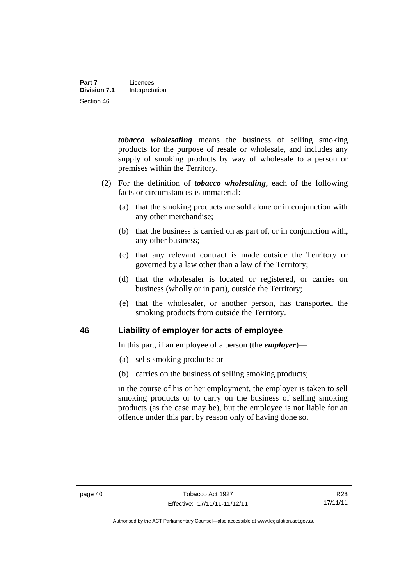*tobacco wholesaling* means the business of selling smoking products for the purpose of resale or wholesale, and includes any supply of smoking products by way of wholesale to a person or premises within the Territory.

- (2) For the definition of *tobacco wholesaling*, each of the following facts or circumstances is immaterial:
	- (a) that the smoking products are sold alone or in conjunction with any other merchandise;
	- (b) that the business is carried on as part of, or in conjunction with, any other business;
	- (c) that any relevant contract is made outside the Territory or governed by a law other than a law of the Territory;
	- (d) that the wholesaler is located or registered, or carries on business (wholly or in part), outside the Territory;
	- (e) that the wholesaler, or another person, has transported the smoking products from outside the Territory.

### **46 Liability of employer for acts of employee**

In this part, if an employee of a person (the *employer*)—

- (a) sells smoking products; or
- (b) carries on the business of selling smoking products;

in the course of his or her employment, the employer is taken to sell smoking products or to carry on the business of selling smoking products (as the case may be), but the employee is not liable for an offence under this part by reason only of having done so.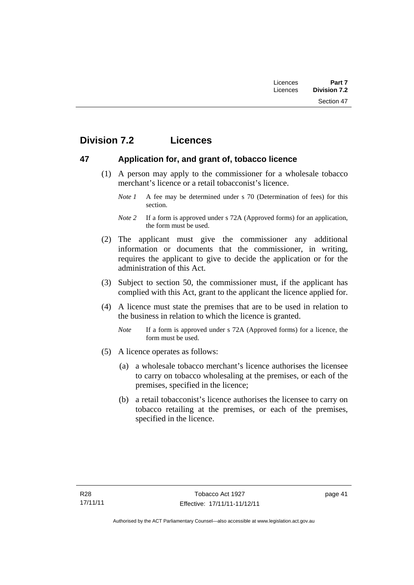| Licences | Part 7              |
|----------|---------------------|
| Licences | <b>Division 7.2</b> |
|          | Section 47          |

# **Division 7.2 Licences**

### **47 Application for, and grant of, tobacco licence**

- (1) A person may apply to the commissioner for a wholesale tobacco merchant's licence or a retail tobacconist's licence.
	- *Note 1* A fee may be determined under s 70 (Determination of fees) for this section.
	- *Note 2* If a form is approved under s 72A (Approved forms) for an application, the form must be used.
- (2) The applicant must give the commissioner any additional information or documents that the commissioner, in writing, requires the applicant to give to decide the application or for the administration of this Act.
- (3) Subject to section 50, the commissioner must, if the applicant has complied with this Act, grant to the applicant the licence applied for.
- (4) A licence must state the premises that are to be used in relation to the business in relation to which the licence is granted.
	- *Note* If a form is approved under s 72A (Approved forms) for a licence, the form must be used.
- (5) A licence operates as follows:
	- (a) a wholesale tobacco merchant's licence authorises the licensee to carry on tobacco wholesaling at the premises, or each of the premises, specified in the licence;
	- (b) a retail tobacconist's licence authorises the licensee to carry on tobacco retailing at the premises, or each of the premises, specified in the licence.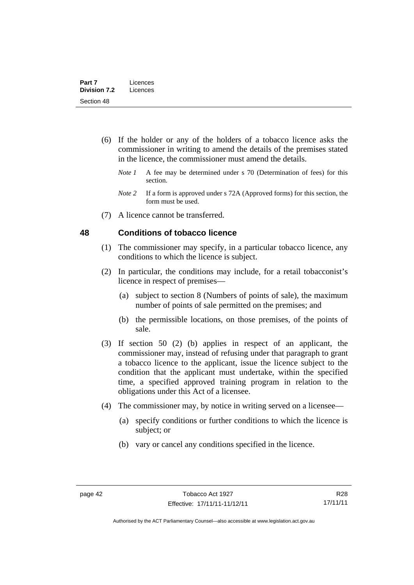- (6) If the holder or any of the holders of a tobacco licence asks the commissioner in writing to amend the details of the premises stated in the licence, the commissioner must amend the details.
	- *Note 1* A fee may be determined under s 70 (Determination of fees) for this section.
	- *Note 2* If a form is approved under s 72A (Approved forms) for this section, the form must be used.
- (7) A licence cannot be transferred.

### **48 Conditions of tobacco licence**

- (1) The commissioner may specify, in a particular tobacco licence, any conditions to which the licence is subject.
- (2) In particular, the conditions may include, for a retail tobacconist's licence in respect of premises—
	- (a) subject to section 8 (Numbers of points of sale), the maximum number of points of sale permitted on the premises; and
	- (b) the permissible locations, on those premises, of the points of sale.
- (3) If section 50 (2) (b) applies in respect of an applicant, the commissioner may, instead of refusing under that paragraph to grant a tobacco licence to the applicant, issue the licence subject to the condition that the applicant must undertake, within the specified time, a specified approved training program in relation to the obligations under this Act of a licensee.
- (4) The commissioner may, by notice in writing served on a licensee—
	- (a) specify conditions or further conditions to which the licence is subject; or
	- (b) vary or cancel any conditions specified in the licence.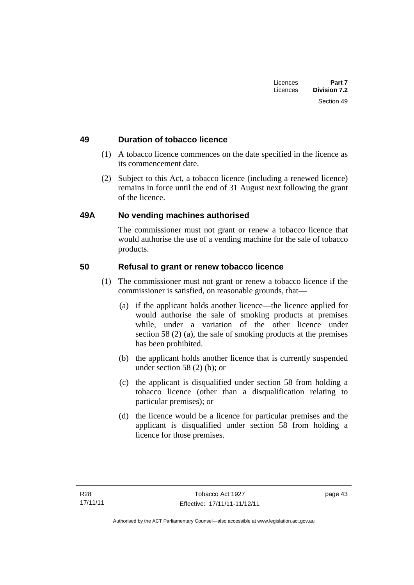### **49 Duration of tobacco licence**

- (1) A tobacco licence commences on the date specified in the licence as its commencement date.
- (2) Subject to this Act, a tobacco licence (including a renewed licence) remains in force until the end of 31 August next following the grant of the licence.

### **49A No vending machines authorised**

The commissioner must not grant or renew a tobacco licence that would authorise the use of a vending machine for the sale of tobacco products.

### **50 Refusal to grant or renew tobacco licence**

- (1) The commissioner must not grant or renew a tobacco licence if the commissioner is satisfied, on reasonable grounds, that—
	- (a) if the applicant holds another licence—the licence applied for would authorise the sale of smoking products at premises while, under a variation of the other licence under section 58 (2) (a), the sale of smoking products at the premises has been prohibited.
	- (b) the applicant holds another licence that is currently suspended under section 58 (2) (b); or
	- (c) the applicant is disqualified under section 58 from holding a tobacco licence (other than a disqualification relating to particular premises); or
	- (d) the licence would be a licence for particular premises and the applicant is disqualified under section 58 from holding a licence for those premises.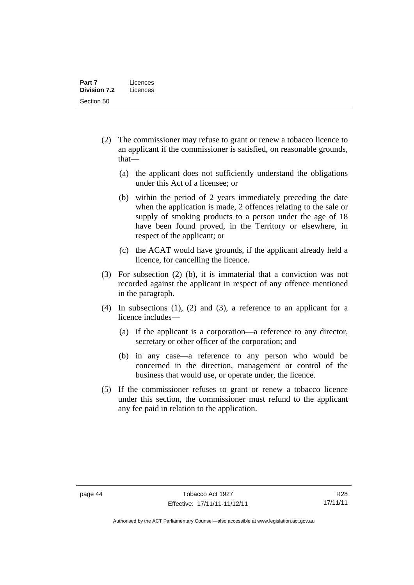- (2) The commissioner may refuse to grant or renew a tobacco licence to an applicant if the commissioner is satisfied, on reasonable grounds, that—
	- (a) the applicant does not sufficiently understand the obligations under this Act of a licensee; or
	- (b) within the period of 2 years immediately preceding the date when the application is made, 2 offences relating to the sale or supply of smoking products to a person under the age of 18 have been found proved, in the Territory or elsewhere, in respect of the applicant; or
	- (c) the ACAT would have grounds, if the applicant already held a licence, for cancelling the licence.
- (3) For subsection (2) (b), it is immaterial that a conviction was not recorded against the applicant in respect of any offence mentioned in the paragraph.
- (4) In subsections (1), (2) and (3), a reference to an applicant for a licence includes—
	- (a) if the applicant is a corporation—a reference to any director, secretary or other officer of the corporation; and
	- (b) in any case—a reference to any person who would be concerned in the direction, management or control of the business that would use, or operate under, the licence.
- (5) If the commissioner refuses to grant or renew a tobacco licence under this section, the commissioner must refund to the applicant any fee paid in relation to the application.

Authorised by the ACT Parliamentary Counsel—also accessible at www.legislation.act.gov.au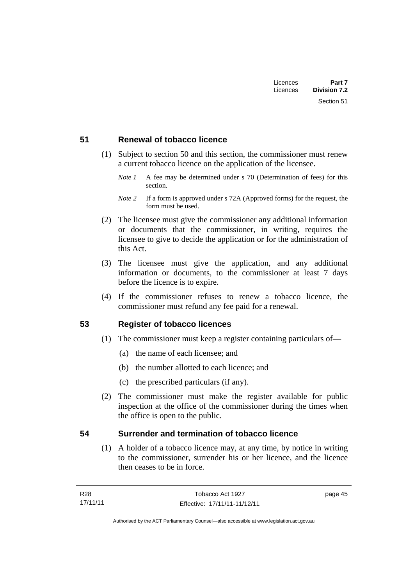| Licences | Part 7              |
|----------|---------------------|
| Licences | <b>Division 7.2</b> |
|          | Section 51          |

### **51 Renewal of tobacco licence**

- (1) Subject to section 50 and this section, the commissioner must renew a current tobacco licence on the application of the licensee.
	- *Note 1* A fee may be determined under s 70 (Determination of fees) for this section.

- (2) The licensee must give the commissioner any additional information or documents that the commissioner, in writing, requires the licensee to give to decide the application or for the administration of this Act.
- (3) The licensee must give the application, and any additional information or documents, to the commissioner at least 7 days before the licence is to expire.
- (4) If the commissioner refuses to renew a tobacco licence, the commissioner must refund any fee paid for a renewal.

### **53 Register of tobacco licences**

- (1) The commissioner must keep a register containing particulars of—
	- (a) the name of each licensee; and
	- (b) the number allotted to each licence; and
	- (c) the prescribed particulars (if any).
- (2) The commissioner must make the register available for public inspection at the office of the commissioner during the times when the office is open to the public.

### **54 Surrender and termination of tobacco licence**

(1) A holder of a tobacco licence may, at any time, by notice in writing to the commissioner, surrender his or her licence, and the licence then ceases to be in force.

*Note 2* If a form is approved under s 72A (Approved forms) for the request, the form must be used.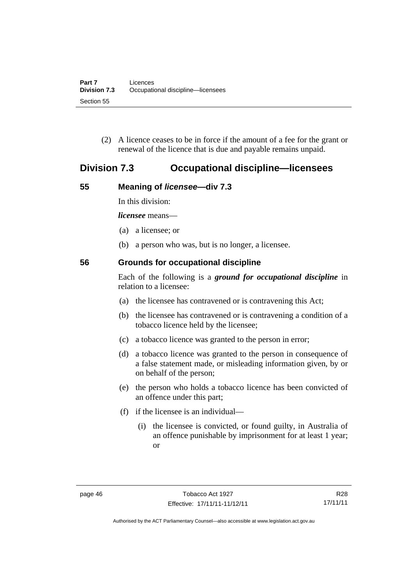(2) A licence ceases to be in force if the amount of a fee for the grant or renewal of the licence that is due and payable remains unpaid.

## **Division 7.3 Occupational discipline—licensees**

### **55 Meaning of** *licensee***—div 7.3**

In this division:

*licensee* means—

- (a) a licensee; or
- (b) a person who was, but is no longer, a licensee.

### **56 Grounds for occupational discipline**

Each of the following is a *ground for occupational discipline* in relation to a licensee:

- (a) the licensee has contravened or is contravening this Act;
- (b) the licensee has contravened or is contravening a condition of a tobacco licence held by the licensee;
- (c) a tobacco licence was granted to the person in error;
- (d) a tobacco licence was granted to the person in consequence of a false statement made, or misleading information given, by or on behalf of the person;
- (e) the person who holds a tobacco licence has been convicted of an offence under this part;
- (f) if the licensee is an individual—
	- (i) the licensee is convicted, or found guilty, in Australia of an offence punishable by imprisonment for at least 1 year; or

R28 17/11/11

Authorised by the ACT Parliamentary Counsel—also accessible at www.legislation.act.gov.au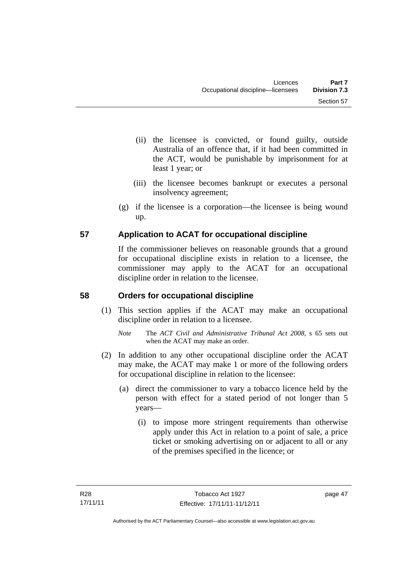- (ii) the licensee is convicted, or found guilty, outside Australia of an offence that, if it had been committed in the ACT, would be punishable by imprisonment for at least 1 year; or
- (iii) the licensee becomes bankrupt or executes a personal insolvency agreement;
- (g) if the licensee is a corporation—the licensee is being wound up.

## **57 Application to ACAT for occupational discipline**

If the commissioner believes on reasonable grounds that a ground for occupational discipline exists in relation to a licensee, the commissioner may apply to the ACAT for an occupational discipline order in relation to the licensee.

## **58 Orders for occupational discipline**

- (1) This section applies if the ACAT may make an occupational discipline order in relation to a licensee.
	- *Note* The *ACT Civil and Administrative Tribunal Act 2008*, s 65 sets out when the ACAT may make an order.
- (2) In addition to any other occupational discipline order the ACAT may make, the ACAT may make 1 or more of the following orders for occupational discipline in relation to the licensee:
	- (a) direct the commissioner to vary a tobacco licence held by the person with effect for a stated period of not longer than 5 years—
		- (i) to impose more stringent requirements than otherwise apply under this Act in relation to a point of sale, a price ticket or smoking advertising on or adjacent to all or any of the premises specified in the licence; or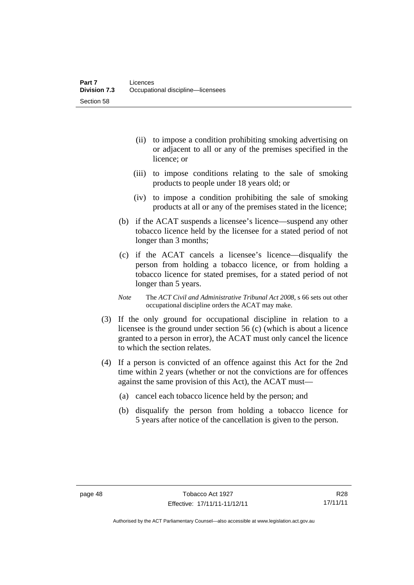- (ii) to impose a condition prohibiting smoking advertising on or adjacent to all or any of the premises specified in the licence; or
- (iii) to impose conditions relating to the sale of smoking products to people under 18 years old; or
- (iv) to impose a condition prohibiting the sale of smoking products at all or any of the premises stated in the licence;
- (b) if the ACAT suspends a licensee's licence—suspend any other tobacco licence held by the licensee for a stated period of not longer than 3 months;
- (c) if the ACAT cancels a licensee's licence—disqualify the person from holding a tobacco licence, or from holding a tobacco licence for stated premises, for a stated period of not longer than 5 years.
- *Note* The *ACT Civil and Administrative Tribunal Act 2008*, s 66 sets out other occupational discipline orders the ACAT may make.
- (3) If the only ground for occupational discipline in relation to a licensee is the ground under section 56 (c) (which is about a licence granted to a person in error), the ACAT must only cancel the licence to which the section relates.
- (4) If a person is convicted of an offence against this Act for the 2nd time within 2 years (whether or not the convictions are for offences against the same provision of this Act), the ACAT must—
	- (a) cancel each tobacco licence held by the person; and
	- (b) disqualify the person from holding a tobacco licence for 5 years after notice of the cancellation is given to the person.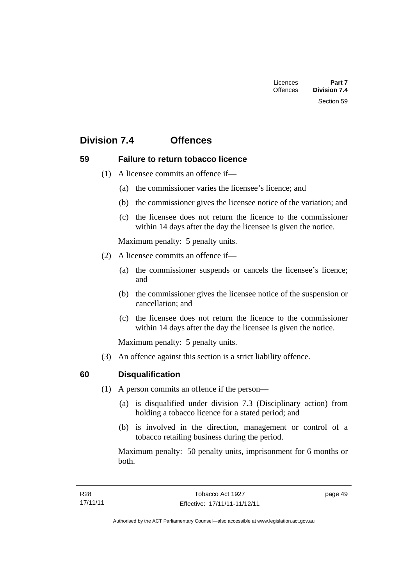| Licences        | Part 7              |
|-----------------|---------------------|
| <b>Offences</b> | <b>Division 7.4</b> |
|                 | Section 59          |

# **Division 7.4 Offences**

### **59 Failure to return tobacco licence**

- (1) A licensee commits an offence if—
	- (a) the commissioner varies the licensee's licence; and
	- (b) the commissioner gives the licensee notice of the variation; and
	- (c) the licensee does not return the licence to the commissioner within 14 days after the day the licensee is given the notice.

Maximum penalty: 5 penalty units.

- (2) A licensee commits an offence if—
	- (a) the commissioner suspends or cancels the licensee's licence; and
	- (b) the commissioner gives the licensee notice of the suspension or cancellation; and
	- (c) the licensee does not return the licence to the commissioner within 14 days after the day the licensee is given the notice.

Maximum penalty: 5 penalty units.

(3) An offence against this section is a strict liability offence.

### **60 Disqualification**

- (1) A person commits an offence if the person—
	- (a) is disqualified under division 7.3 (Disciplinary action) from holding a tobacco licence for a stated period; and
	- (b) is involved in the direction, management or control of a tobacco retailing business during the period.

Maximum penalty: 50 penalty units, imprisonment for 6 months or both.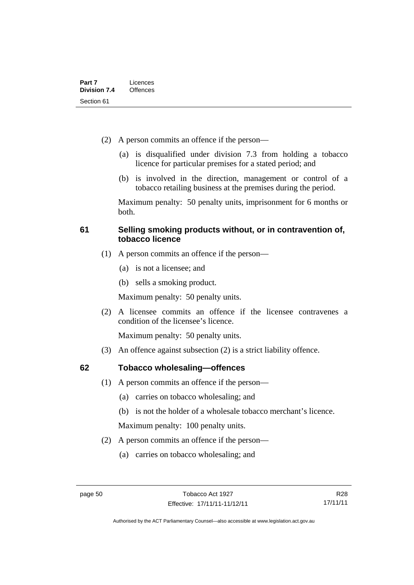- (2) A person commits an offence if the person—
	- (a) is disqualified under division 7.3 from holding a tobacco licence for particular premises for a stated period; and
	- (b) is involved in the direction, management or control of a tobacco retailing business at the premises during the period.

Maximum penalty: 50 penalty units, imprisonment for 6 months or both.

### **61 Selling smoking products without, or in contravention of, tobacco licence**

- (1) A person commits an offence if the person—
	- (a) is not a licensee; and
	- (b) sells a smoking product.

Maximum penalty: 50 penalty units.

 (2) A licensee commits an offence if the licensee contravenes a condition of the licensee's licence.

Maximum penalty: 50 penalty units.

(3) An offence against subsection (2) is a strict liability offence.

### **62 Tobacco wholesaling—offences**

- (1) A person commits an offence if the person—
	- (a) carries on tobacco wholesaling; and
	- (b) is not the holder of a wholesale tobacco merchant's licence.

Maximum penalty: 100 penalty units.

- (2) A person commits an offence if the person—
	- (a) carries on tobacco wholesaling; and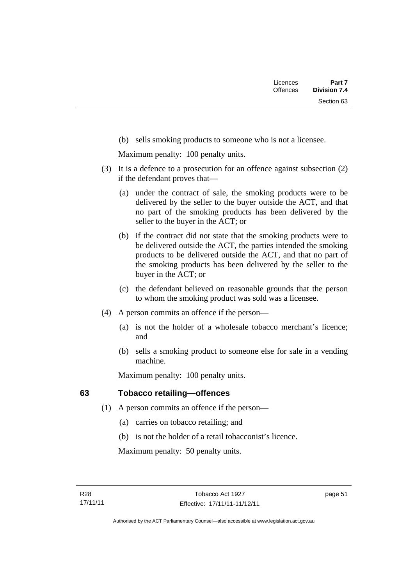(b) sells smoking products to someone who is not a licensee.

Maximum penalty: 100 penalty units.

- (3) It is a defence to a prosecution for an offence against subsection (2) if the defendant proves that—
	- (a) under the contract of sale, the smoking products were to be delivered by the seller to the buyer outside the ACT, and that no part of the smoking products has been delivered by the seller to the buyer in the ACT; or
	- (b) if the contract did not state that the smoking products were to be delivered outside the ACT, the parties intended the smoking products to be delivered outside the ACT, and that no part of the smoking products has been delivered by the seller to the buyer in the ACT; or
	- (c) the defendant believed on reasonable grounds that the person to whom the smoking product was sold was a licensee.
- (4) A person commits an offence if the person—
	- (a) is not the holder of a wholesale tobacco merchant's licence; and
	- (b) sells a smoking product to someone else for sale in a vending machine.

Maximum penalty: 100 penalty units.

### **63 Tobacco retailing—offences**

- (1) A person commits an offence if the person—
	- (a) carries on tobacco retailing; and
	- (b) is not the holder of a retail tobacconist's licence.

Maximum penalty: 50 penalty units.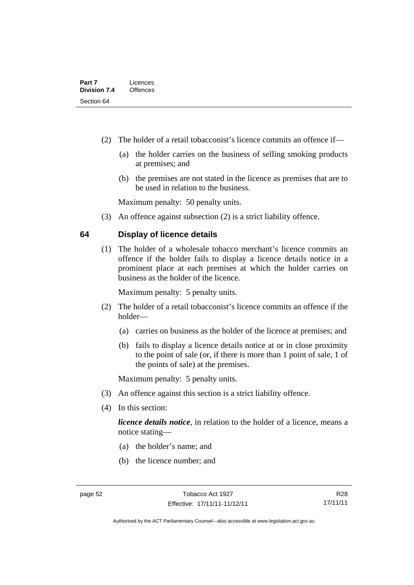- (2) The holder of a retail tobacconist's licence commits an offence if—
	- (a) the holder carries on the business of selling smoking products at premises; and
	- (b) the premises are not stated in the licence as premises that are to be used in relation to the business.

Maximum penalty: 50 penalty units.

(3) An offence against subsection (2) is a strict liability offence.

### **64 Display of licence details**

(1) The holder of a wholesale tobacco merchant's licence commits an offence if the holder fails to display a licence details notice in a prominent place at each premises at which the holder carries on business as the holder of the licence.

Maximum penalty: 5 penalty units.

- (2) The holder of a retail tobacconist's licence commits an offence if the holder—
	- (a) carries on business as the holder of the licence at premises; and
	- (b) fails to display a licence details notice at or in close proximity to the point of sale (or, if there is more than 1 point of sale, 1 of the points of sale) at the premises.

Maximum penalty: 5 penalty units.

- (3) An offence against this section is a strict liability offence.
- (4) In this section:

*licence details notice*, in relation to the holder of a licence, means a notice stating—

- (a) the holder's name; and
- (b) the licence number; and

R28 17/11/11

Authorised by the ACT Parliamentary Counsel—also accessible at www.legislation.act.gov.au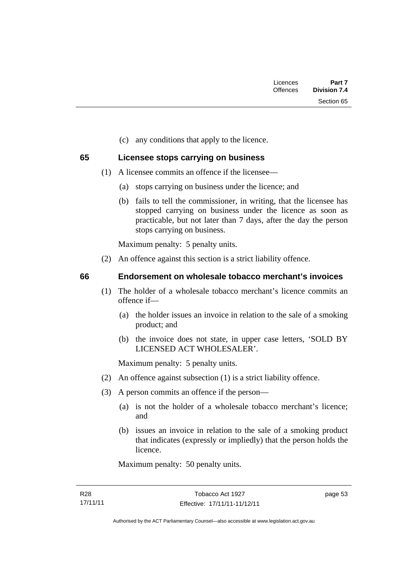| Part 7<br><b>Division 7.4</b> | Licences<br><b>Offences</b> |  |
|-------------------------------|-----------------------------|--|
| Section 65                    |                             |  |
|                               |                             |  |

(c) any conditions that apply to the licence.

### **65 Licensee stops carrying on business**

- (1) A licensee commits an offence if the licensee—
	- (a) stops carrying on business under the licence; and
	- (b) fails to tell the commissioner, in writing, that the licensee has stopped carrying on business under the licence as soon as practicable, but not later than 7 days, after the day the person stops carrying on business.

Maximum penalty: 5 penalty units.

(2) An offence against this section is a strict liability offence.

### **66 Endorsement on wholesale tobacco merchant's invoices**

- (1) The holder of a wholesale tobacco merchant's licence commits an offence if—
	- (a) the holder issues an invoice in relation to the sale of a smoking product; and
	- (b) the invoice does not state, in upper case letters, 'SOLD BY LICENSED ACT WHOLESALER'.

Maximum penalty: 5 penalty units.

- (2) An offence against subsection (1) is a strict liability offence.
- (3) A person commits an offence if the person—
	- (a) is not the holder of a wholesale tobacco merchant's licence; and
	- (b) issues an invoice in relation to the sale of a smoking product that indicates (expressly or impliedly) that the person holds the licence.

Maximum penalty: 50 penalty units.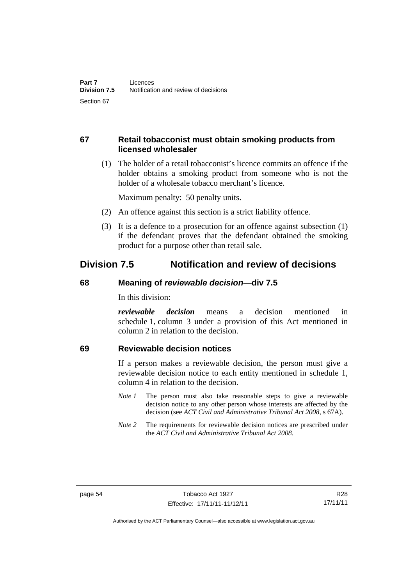### **67 Retail tobacconist must obtain smoking products from licensed wholesaler**

 (1) The holder of a retail tobacconist's licence commits an offence if the holder obtains a smoking product from someone who is not the holder of a wholesale tobacco merchant's licence.

Maximum penalty: 50 penalty units.

- (2) An offence against this section is a strict liability offence.
- (3) It is a defence to a prosecution for an offence against subsection (1) if the defendant proves that the defendant obtained the smoking product for a purpose other than retail sale.

# **Division 7.5 Notification and review of decisions**

### **68 Meaning of** *reviewable decision***—div 7.5**

In this division:

*reviewable decision* means a decision mentioned in schedule 1, column 3 under a provision of this Act mentioned in column 2 in relation to the decision.

### **69 Reviewable decision notices**

If a person makes a reviewable decision, the person must give a reviewable decision notice to each entity mentioned in schedule 1, column 4 in relation to the decision.

- *Note 1* The person must also take reasonable steps to give a reviewable decision notice to any other person whose interests are affected by the decision (see *ACT Civil and Administrative Tribunal Act 2008*, s 67A).
- *Note* 2 The requirements for reviewable decision notices are prescribed under the *ACT Civil and Administrative Tribunal Act 2008*.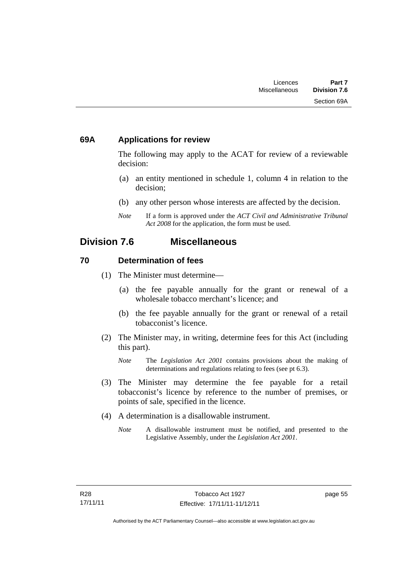### **69A Applications for review**

The following may apply to the ACAT for review of a reviewable decision:

- (a) an entity mentioned in schedule 1, column 4 in relation to the decision;
- (b) any other person whose interests are affected by the decision.
- *Note* If a form is approved under the *ACT Civil and Administrative Tribunal Act 2008* for the application, the form must be used.

### **Division 7.6 Miscellaneous**

### **70 Determination of fees**

- (1) The Minister must determine—
	- (a) the fee payable annually for the grant or renewal of a wholesale tobacco merchant's licence; and
	- (b) the fee payable annually for the grant or renewal of a retail tobacconist's licence.
- (2) The Minister may, in writing, determine fees for this Act (including this part).
	- *Note* The *Legislation Act 2001* contains provisions about the making of determinations and regulations relating to fees (see pt 6.3).
- (3) The Minister may determine the fee payable for a retail tobacconist's licence by reference to the number of premises, or points of sale, specified in the licence.
- (4) A determination is a disallowable instrument.
	- *Note* A disallowable instrument must be notified, and presented to the Legislative Assembly, under the *Legislation Act 2001*.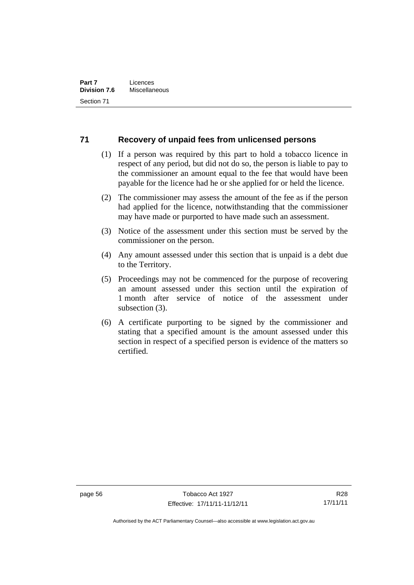### **71 Recovery of unpaid fees from unlicensed persons**

- (1) If a person was required by this part to hold a tobacco licence in respect of any period, but did not do so, the person is liable to pay to the commissioner an amount equal to the fee that would have been payable for the licence had he or she applied for or held the licence.
- (2) The commissioner may assess the amount of the fee as if the person had applied for the licence, notwithstanding that the commissioner may have made or purported to have made such an assessment.
- (3) Notice of the assessment under this section must be served by the commissioner on the person.
- (4) Any amount assessed under this section that is unpaid is a debt due to the Territory.
- (5) Proceedings may not be commenced for the purpose of recovering an amount assessed under this section until the expiration of 1 month after service of notice of the assessment under subsection (3).
- (6) A certificate purporting to be signed by the commissioner and stating that a specified amount is the amount assessed under this section in respect of a specified person is evidence of the matters so certified.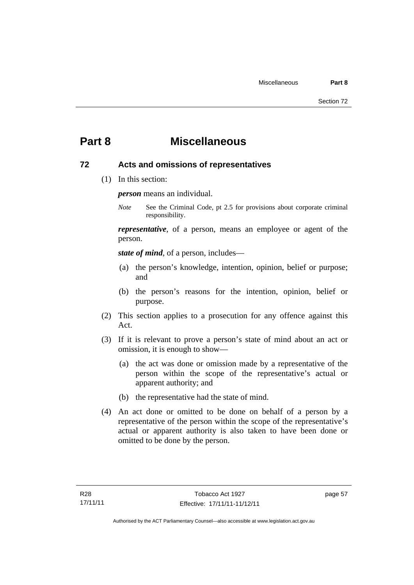# **Part 8 Miscellaneous**

### **72 Acts and omissions of representatives**

(1) In this section:

*person* means an individual.

*Note* See the Criminal Code, pt 2.5 for provisions about corporate criminal responsibility.

*representative*, of a person, means an employee or agent of the person.

*state of mind*, of a person, includes—

- (a) the person's knowledge, intention, opinion, belief or purpose; and
- (b) the person's reasons for the intention, opinion, belief or purpose.
- (2) This section applies to a prosecution for any offence against this Act.
- (3) If it is relevant to prove a person's state of mind about an act or omission, it is enough to show—
	- (a) the act was done or omission made by a representative of the person within the scope of the representative's actual or apparent authority; and
	- (b) the representative had the state of mind.
- (4) An act done or omitted to be done on behalf of a person by a representative of the person within the scope of the representative's actual or apparent authority is also taken to have been done or omitted to be done by the person.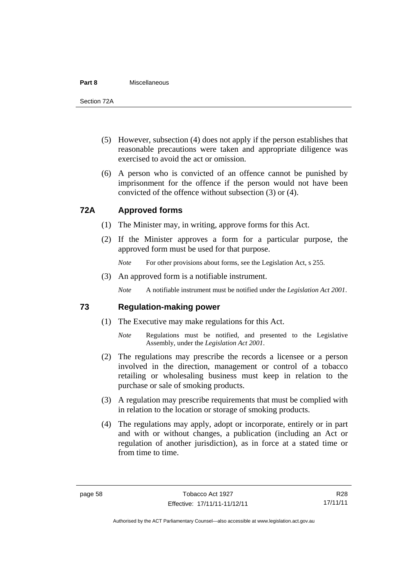#### **Part 8** Miscellaneous

Section 72A

- (5) However, subsection (4) does not apply if the person establishes that reasonable precautions were taken and appropriate diligence was exercised to avoid the act or omission.
- (6) A person who is convicted of an offence cannot be punished by imprisonment for the offence if the person would not have been convicted of the offence without subsection (3) or (4).

### **72A Approved forms**

- (1) The Minister may, in writing, approve forms for this Act.
- (2) If the Minister approves a form for a particular purpose, the approved form must be used for that purpose.

*Note* For other provisions about forms, see the Legislation Act, s 255.

(3) An approved form is a notifiable instrument.

*Note* A notifiable instrument must be notified under the *Legislation Act 2001*.

### **73 Regulation-making power**

- (1) The Executive may make regulations for this Act.
	- *Note* Regulations must be notified, and presented to the Legislative Assembly, under the *Legislation Act 2001*.
- (2) The regulations may prescribe the records a licensee or a person involved in the direction, management or control of a tobacco retailing or wholesaling business must keep in relation to the purchase or sale of smoking products.
- (3) A regulation may prescribe requirements that must be complied with in relation to the location or storage of smoking products.
- (4) The regulations may apply, adopt or incorporate, entirely or in part and with or without changes, a publication (including an Act or regulation of another jurisdiction), as in force at a stated time or from time to time.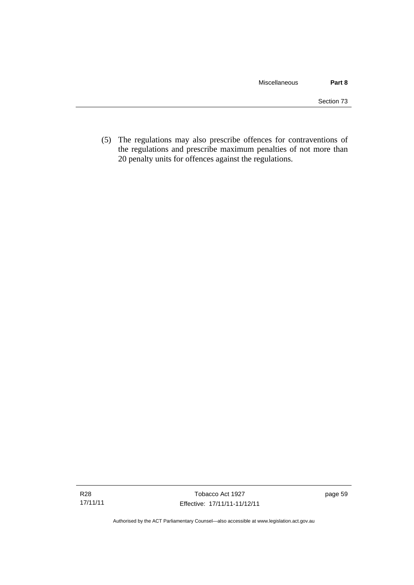(5) The regulations may also prescribe offences for contraventions of the regulations and prescribe maximum penalties of not more than 20 penalty units for offences against the regulations.

Authorised by the ACT Parliamentary Counsel—also accessible at www.legislation.act.gov.au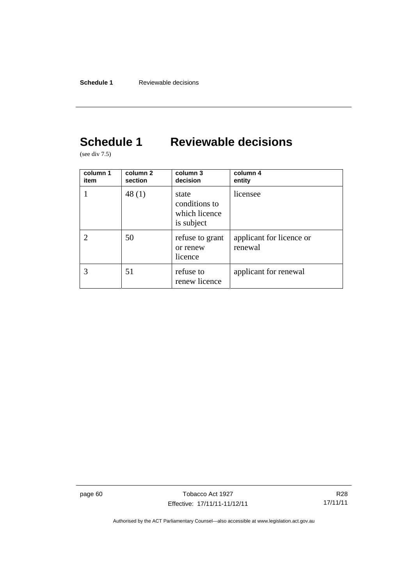# **Schedule 1 Reviewable decisions**

(see div 7.5)

| column 1<br>item | column <sub>2</sub><br>section | column 3<br>decision                                  | column 4<br>entity                  |
|------------------|--------------------------------|-------------------------------------------------------|-------------------------------------|
|                  | 48(1)                          | state<br>conditions to<br>which licence<br>is subject | licensee                            |
|                  | 50                             | refuse to grant<br>or renew<br>licence                | applicant for licence or<br>renewal |
|                  | 51                             | refuse to<br>renew licence                            | applicant for renewal               |

page 60 Tobacco Act 1927 Effective: 17/11/11-11/12/11

R28 17/11/11

Authorised by the ACT Parliamentary Counsel—also accessible at www.legislation.act.gov.au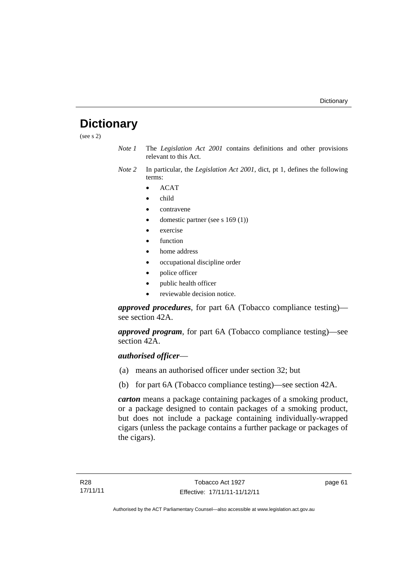# **Dictionary**

(see s 2)

- *Note 1* The *Legislation Act 2001* contains definitions and other provisions relevant to this Act.
- *Note 2* In particular, the *Legislation Act 2001*, dict, pt 1, defines the following terms:
	- ACAT
	- child
	- contravene
	- domestic partner (see s 169 (1))
	- exercise
	- function
	- home address
	- occupational discipline order
	- police officer
	- public health officer
	- reviewable decision notice.

*approved procedures*, for part 6A (Tobacco compliance testing) see section 42A.

*approved program*, for part 6A (Tobacco compliance testing)—see section 42A.

### *authorised officer*—

- (a) means an authorised officer under section 32; but
- (b) for part 6A (Tobacco compliance testing)—see section 42A.

*carton* means a package containing packages of a smoking product, or a package designed to contain packages of a smoking product, but does not include a package containing individually-wrapped cigars (unless the package contains a further package or packages of the cigars).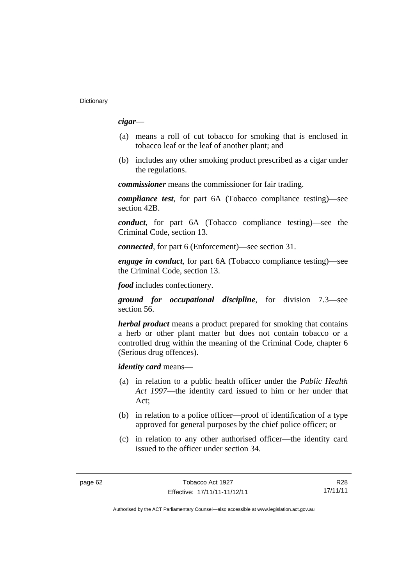*cigar*—

- (a) means a roll of cut tobacco for smoking that is enclosed in tobacco leaf or the leaf of another plant; and
- (b) includes any other smoking product prescribed as a cigar under the regulations.

*commissioner* means the commissioner for fair trading.

*compliance test*, for part 6A (Tobacco compliance testing)—see section 42B.

*conduct*, for part 6A (Tobacco compliance testing)—see the Criminal Code, section 13.

*connected*, for part 6 (Enforcement)—see section 31.

*engage in conduct*, for part 6A (Tobacco compliance testing)—see the Criminal Code, section 13.

*food* includes confectionery.

*ground for occupational discipline*, for division 7.3—see section 56.

*herbal product* means a product prepared for smoking that contains a herb or other plant matter but does not contain tobacco or a controlled drug within the meaning of the Criminal Code, chapter 6 (Serious drug offences).

*identity card* means—

- (a) in relation to a public health officer under the *Public Health Act 1997*—the identity card issued to him or her under that Act;
- (b) in relation to a police officer—proof of identification of a type approved for general purposes by the chief police officer; or
- (c) in relation to any other authorised officer—the identity card issued to the officer under section 34.

R28 17/11/11

Authorised by the ACT Parliamentary Counsel—also accessible at www.legislation.act.gov.au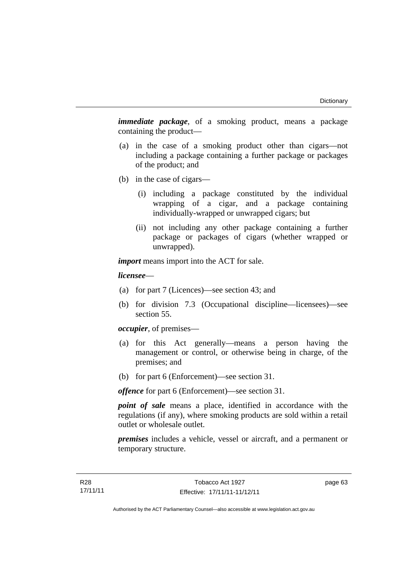*immediate package*, of a smoking product, means a package containing the product—

- (a) in the case of a smoking product other than cigars—not including a package containing a further package or packages of the product; and
- (b) in the case of cigars—
	- (i) including a package constituted by the individual wrapping of a cigar, and a package containing individually-wrapped or unwrapped cigars; but
	- (ii) not including any other package containing a further package or packages of cigars (whether wrapped or unwrapped).

*import* means import into the ACT for sale.

#### *licensee*—

- (a) for part 7 (Licences)—see section 43; and
- (b) for division 7.3 (Occupational discipline—licensees)—see section 55.

*occupier*, of premises—

- (a) for this Act generally—means a person having the management or control, or otherwise being in charge, of the premises; and
- (b) for part 6 (Enforcement)—see section 31.

*offence* for part 6 (Enforcement)—see section 31.

*point of sale* means a place, identified in accordance with the regulations (if any), where smoking products are sold within a retail outlet or wholesale outlet.

*premises* includes a vehicle, vessel or aircraft, and a permanent or temporary structure.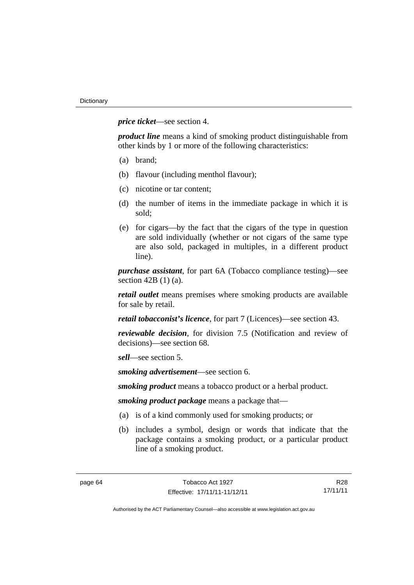*price ticket*—see section 4.

*product line* means a kind of smoking product distinguishable from other kinds by 1 or more of the following characteristics:

- (a) brand;
- (b) flavour (including menthol flavour);
- (c) nicotine or tar content;
- (d) the number of items in the immediate package in which it is sold;
- (e) for cigars—by the fact that the cigars of the type in question are sold individually (whether or not cigars of the same type are also sold, packaged in multiples, in a different product line).

*purchase assistant*, for part 6A (Tobacco compliance testing)—see section 42B (1) (a).

*retail outlet* means premises where smoking products are available for sale by retail.

*retail tobacconist's licence*, for part 7 (Licences)—see section 43.

*reviewable decision*, for division 7.5 (Notification and review of decisions)—see section 68.

*sell*—see section 5.

*smoking advertisement*—see section 6.

*smoking product* means a tobacco product or a herbal product.

*smoking product package* means a package that—

- (a) is of a kind commonly used for smoking products; or
- (b) includes a symbol, design or words that indicate that the package contains a smoking product, or a particular product line of a smoking product.

R28 17/11/11

Authorised by the ACT Parliamentary Counsel—also accessible at www.legislation.act.gov.au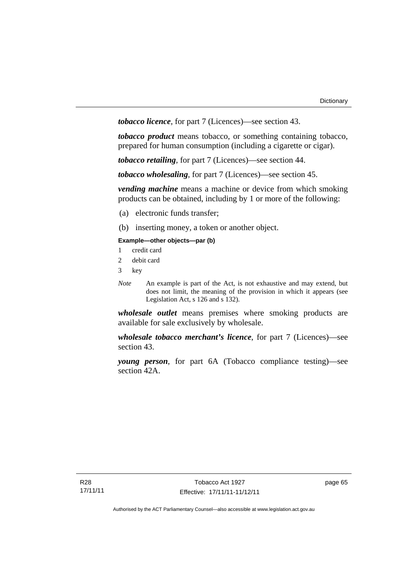*tobacco licence*, for part 7 (Licences)—see section 43.

*tobacco product* means tobacco, or something containing tobacco, prepared for human consumption (including a cigarette or cigar).

*tobacco retailing*, for part 7 (Licences)—see section 44.

*tobacco wholesaling*, for part 7 (Licences)—see section 45.

*vending machine* means a machine or device from which smoking products can be obtained, including by 1 or more of the following:

- (a) electronic funds transfer;
- (b) inserting money, a token or another object.

## **Example—other objects—par (b)**

- 1 credit card
- 2 debit card
- 3 key
- *Note* An example is part of the Act, is not exhaustive and may extend, but does not limit, the meaning of the provision in which it appears (see Legislation Act, s 126 and s 132).

*wholesale outlet* means premises where smoking products are available for sale exclusively by wholesale.

*wholesale tobacco merchant's licence*, for part 7 (Licences)—see section 43.

*young person*, for part 6A (Tobacco compliance testing)—see section 42A.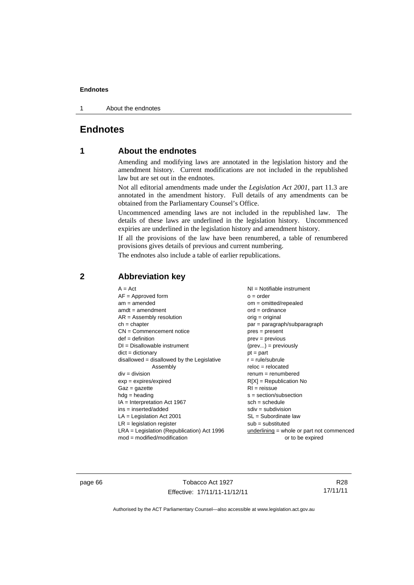1 About the endnotes

# **Endnotes**

# **1 About the endnotes**

Amending and modifying laws are annotated in the legislation history and the amendment history. Current modifications are not included in the republished law but are set out in the endnotes.

Not all editorial amendments made under the *Legislation Act 2001*, part 11.3 are annotated in the amendment history. Full details of any amendments can be obtained from the Parliamentary Counsel's Office.

Uncommenced amending laws are not included in the republished law. The details of these laws are underlined in the legislation history. Uncommenced expiries are underlined in the legislation history and amendment history.

If all the provisions of the law have been renumbered, a table of renumbered provisions gives details of previous and current numbering.

The endnotes also include a table of earlier republications.

# **2 Abbreviation key**

page 66 Tobacco Act 1927 Effective: 17/11/11-11/12/11

R28 17/11/11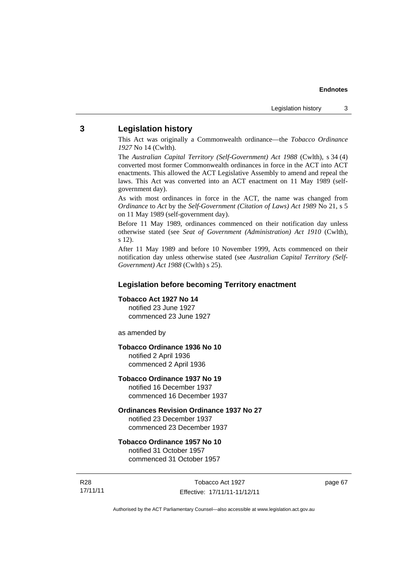## **3 Legislation history**

This Act was originally a Commonwealth ordinance—the *Tobacco Ordinance 1927* No 14 (Cwlth).

The *Australian Capital Territory (Self-Government) Act 1988* (Cwlth), s 34 (4) converted most former Commonwealth ordinances in force in the ACT into ACT enactments. This allowed the ACT Legislative Assembly to amend and repeal the laws. This Act was converted into an ACT enactment on 11 May 1989 (selfgovernment day).

As with most ordinances in force in the ACT, the name was changed from *Ordinance* to *Act* by the *Self-Government (Citation of Laws) Act 1989* No 21, s 5 on 11 May 1989 (self-government day).

Before 11 May 1989, ordinances commenced on their notification day unless otherwise stated (see *Seat of Government (Administration) Act 1910* (Cwlth), s 12).

After 11 May 1989 and before 10 November 1999, Acts commenced on their notification day unless otherwise stated (see *Australian Capital Territory (Self-Government) Act 1988* (Cwlth) s 25).

## **Legislation before becoming Territory enactment**

## **Tobacco Act 1927 No 14**

notified 23 June 1927 commenced 23 June 1927

as amended by

## **Tobacco Ordinance 1936 No 10**

notified 2 April 1936 commenced 2 April 1936

## **Tobacco Ordinance 1937 No 19**

notified 16 December 1937 commenced 16 December 1937

### **Ordinances Revision Ordinance 1937 No 27**

notified 23 December 1937 commenced 23 December 1937

### **Tobacco Ordinance 1957 No 10**

notified 31 October 1957 commenced 31 October 1957

R28 17/11/11

Tobacco Act 1927 Effective: 17/11/11-11/12/11 page 67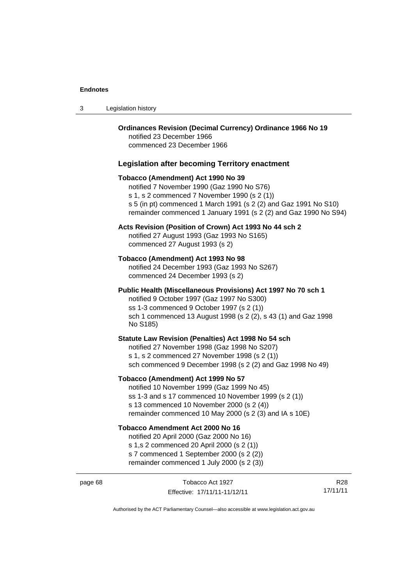| -3 | Legislation history |  |
|----|---------------------|--|
|----|---------------------|--|

| <b>Ordinances Revision (Decimal Currency) Ordinance 1966 No 19</b><br>notified 23 December 1966<br>commenced 23 December 1966                                                                                                                                            |
|--------------------------------------------------------------------------------------------------------------------------------------------------------------------------------------------------------------------------------------------------------------------------|
| <b>Legislation after becoming Territory enactment</b>                                                                                                                                                                                                                    |
| Tobacco (Amendment) Act 1990 No 39<br>notified 7 November 1990 (Gaz 1990 No S76)<br>s 1, s 2 commenced 7 November 1990 (s 2 (1))<br>s 5 (in pt) commenced 1 March 1991 (s 2 (2) and Gaz 1991 No S10)<br>remainder commenced 1 January 1991 (s 2 (2) and Gaz 1990 No S94) |
| Acts Revision (Position of Crown) Act 1993 No 44 sch 2<br>notified 27 August 1993 (Gaz 1993 No S165)<br>commenced 27 August 1993 (s 2)                                                                                                                                   |
| Tobacco (Amendment) Act 1993 No 98<br>notified 24 December 1993 (Gaz 1993 No S267)<br>commenced 24 December 1993 (s 2)                                                                                                                                                   |
| Public Health (Miscellaneous Provisions) Act 1997 No 70 sch 1<br>notified 9 October 1997 (Gaz 1997 No S300)<br>ss 1-3 commenced 9 October 1997 (s 2 (1))<br>sch 1 commenced 13 August 1998 (s 2 (2), s 43 (1) and Gaz 1998<br>No S185)                                   |
| Statute Law Revision (Penalties) Act 1998 No 54 sch<br>notified 27 November 1998 (Gaz 1998 No S207)<br>s 1, s 2 commenced 27 November 1998 (s 2 (1))<br>sch commenced 9 December 1998 (s 2 (2) and Gaz 1998 No 49)                                                       |
| Tobacco (Amendment) Act 1999 No 57<br>notified 10 November 1999 (Gaz 1999 No 45)<br>ss 1-3 and s 17 commenced 10 November 1999 (s 2 (1))<br>s 13 commenced 10 November 2000 (s 2 (4))<br>remainder commenced 10 May 2000 (s 2 (3) and IA s 10E)                          |
| <b>Tobacco Amendment Act 2000 No 16</b><br>notified 20 April 2000 (Gaz 2000 No 16)<br>s 1,s 2 commenced 20 April 2000 (s 2 (1))<br>s 7 commenced 1 September 2000 (s 2 (2))<br>remainder commenced 1 July 2000 (s 2 (3))                                                 |

Authorised by the ACT Parliamentary Counsel—also accessible at www.legislation.act.gov.au

R28 17/11/11

Effective: 17/11/11-11/12/11

page 68 Tobacco Act 1927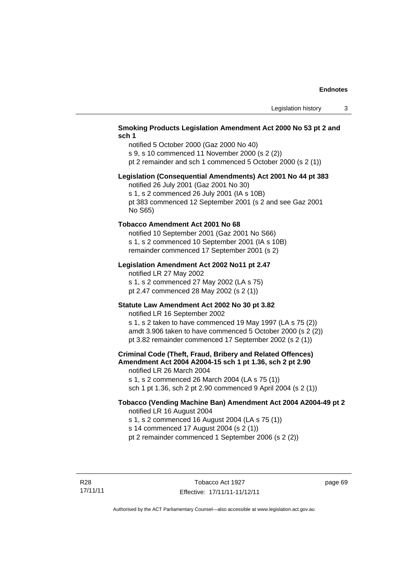## **Smoking Products Legislation Amendment Act 2000 No 53 pt 2 and sch 1**

notified 5 October 2000 (Gaz 2000 No 40) s 9, s 10 commenced 11 November 2000 (s 2 (2)) pt 2 remainder and sch 1 commenced 5 October 2000 (s 2 (1))

## **Legislation (Consequential Amendments) Act 2001 No 44 pt 383**

notified 26 July 2001 (Gaz 2001 No 30)

s 1, s 2 commenced 26 July 2001 (IA s 10B)

pt 383 commenced 12 September 2001 (s 2 and see Gaz 2001 No S65)

## **Tobacco Amendment Act 2001 No 68**

notified 10 September 2001 (Gaz 2001 No S66) s 1, s 2 commenced 10 September 2001 (IA s 10B) remainder commenced 17 September 2001 (s 2)

## **Legislation Amendment Act 2002 No11 pt 2.47**

notified LR 27 May 2002 s 1, s 2 commenced 27 May 2002 (LA s 75) pt 2.47 commenced 28 May 2002 (s 2 (1))

## **Statute Law Amendment Act 2002 No 30 pt 3.82**

notified LR 16 September 2002

s 1, s 2 taken to have commenced 19 May 1997 (LA s 75 (2)) amdt 3.906 taken to have commenced 5 October 2000 (s 2 (2)) pt 3.82 remainder commenced 17 September 2002 (s 2 (1))

**Criminal Code (Theft, Fraud, Bribery and Related Offences) Amendment Act 2004 A2004-15 sch 1 pt 1.36, sch 2 pt 2.90**  notified LR 26 March 2004

s 1, s 2 commenced 26 March 2004 (LA s 75 (1)) sch 1 pt 1.36, sch 2 pt 2.90 commenced 9 April 2004 (s 2 (1))

## **Tobacco (Vending Machine Ban) Amendment Act 2004 A2004-49 pt 2**  notified LR 16 August 2004

s 1, s 2 commenced 16 August 2004 (LA s 75 (1))

s 14 commenced 17 August 2004 (s 2 (1))

pt 2 remainder commenced 1 September 2006 (s 2 (2))

R28 17/11/11 page 69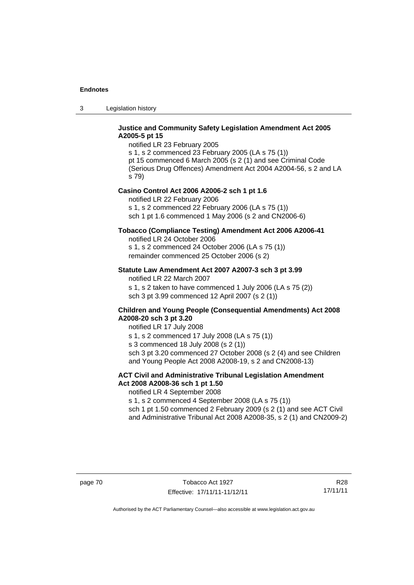3 Legislation history

## **Justice and Community Safety Legislation Amendment Act 2005 A2005-5 pt 15**

notified LR 23 February 2005 s 1, s 2 commenced 23 February 2005 (LA s 75 (1)) pt 15 commenced 6 March 2005 (s 2 (1) and see Criminal Code (Serious Drug Offences) Amendment Act 2004 A2004-56, s 2 and LA s 79)

### **Casino Control Act 2006 A2006-2 sch 1 pt 1.6**

notified LR 22 February 2006 s 1, s 2 commenced 22 February 2006 (LA s 75 (1)) sch 1 pt 1.6 commenced 1 May 2006 (s 2 and CN2006-6)

## **Tobacco (Compliance Testing) Amendment Act 2006 A2006-41**

notified LR 24 October 2006

s 1, s 2 commenced 24 October 2006 (LA s 75 (1)) remainder commenced 25 October 2006 (s 2)

## **Statute Law Amendment Act 2007 A2007-3 sch 3 pt 3.99**

notified LR 22 March 2007

s 1, s 2 taken to have commenced 1 July 2006 (LA s 75 (2)) sch 3 pt 3.99 commenced 12 April 2007 (s 2 (1))

## **Children and Young People (Consequential Amendments) Act 2008 A2008-20 sch 3 pt 3.20**

notified LR 17 July 2008

s 1, s 2 commenced 17 July 2008 (LA s 75 (1))

s 3 commenced 18 July 2008 (s 2 (1))

sch 3 pt 3.20 commenced 27 October 2008 (s 2 (4) and see Children and Young People Act 2008 A2008-19, s 2 and CN2008-13)

## **ACT Civil and Administrative Tribunal Legislation Amendment Act 2008 A2008-36 sch 1 pt 1.50**

notified LR 4 September 2008

s 1, s 2 commenced 4 September 2008 (LA s 75 (1))

sch 1 pt 1.50 commenced 2 February 2009 (s 2 (1) and see ACT Civil and Administrative Tribunal Act 2008 A2008-35, s 2 (1) and CN2009-2)

page 70 Tobacco Act 1927 Effective: 17/11/11-11/12/11

R28 17/11/11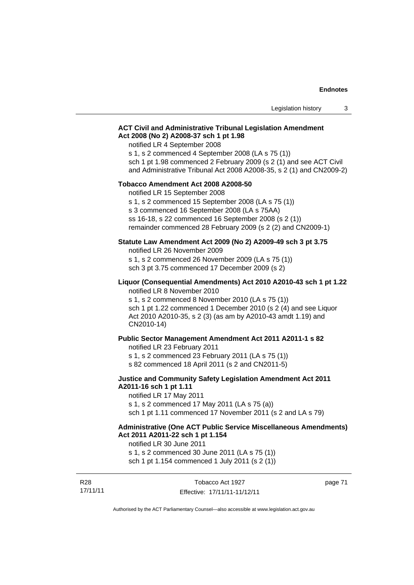## **ACT Civil and Administrative Tribunal Legislation Amendment Act 2008 (No 2) A2008-37 sch 1 pt 1.98**

### notified LR 4 September 2008

s 1, s 2 commenced 4 September 2008 (LA s 75 (1))

sch 1 pt 1.98 commenced 2 February 2009 (s 2 (1) and see ACT Civil

and Administrative Tribunal Act 2008 A2008-35, s 2 (1) and CN2009-2)

### **Tobacco Amendment Act 2008 A2008-50**

notified LR 15 September 2008

s 1, s 2 commenced 15 September 2008 (LA s 75 (1))

s 3 commenced 16 September 2008 (LA s 75AA)

ss 16-18, s 22 commenced 16 September 2008 (s 2 (1))

remainder commenced 28 February 2009 (s 2 (2) and CN2009-1)

# **Statute Law Amendment Act 2009 (No 2) A2009-49 sch 3 pt 3.75**

notified LR 26 November 2009

s 1, s 2 commenced 26 November 2009 (LA s 75 (1))

sch 3 pt 3.75 commenced 17 December 2009 (s 2)

## **Liquor (Consequential Amendments) Act 2010 A2010-43 sch 1 pt 1.22**  notified LR 8 November 2010

s 1, s 2 commenced 8 November 2010 (LA s 75 (1)) sch 1 pt 1.22 commenced 1 December 2010 (s 2 (4) and see Liquor Act 2010 A2010-35, s 2 (3) (as am by A2010-43 amdt 1.19) and CN2010-14)

## **Public Sector Management Amendment Act 2011 A2011-1 s 82**

notified LR 23 February 2011

s 1, s 2 commenced 23 February 2011 (LA s 75 (1))

s 82 commenced 18 April 2011 (s 2 and CN2011-5)

## **Justice and Community Safety Legislation Amendment Act 2011 A2011-16 sch 1 pt 1.11**

notified LR 17 May 2011 s 1, s 2 commenced 17 May 2011 (LA s 75 (a)) sch 1 pt 1.11 commenced 17 November 2011 (s 2 and LA s 79)

## **Administrative (One ACT Public Service Miscellaneous Amendments) Act 2011 A2011-22 sch 1 pt 1.154**

notified LR 30 June 2011

s 1, s 2 commenced 30 June 2011 (LA s 75 (1))

sch 1 pt 1.154 commenced 1 July 2011 (s 2 (1))

| R <sub>28</sub> | Tobacco Act 1927             | page 71 |
|-----------------|------------------------------|---------|
| 17/11/11        | Effective: 17/11/11-11/12/11 |         |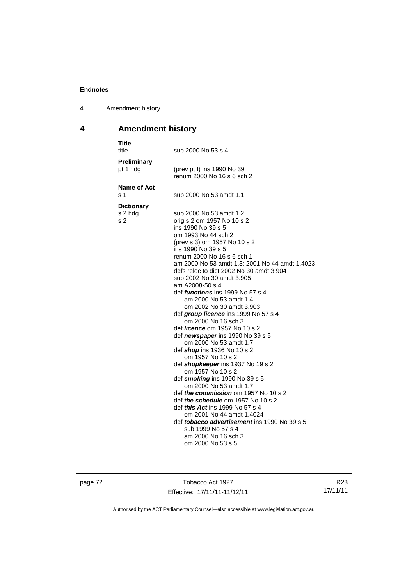4 Amendment history

# **4 Amendment history**

| <b>Title</b><br>title               | sub 2000 No 53 s 4                                                                                                                                                                                                                                                                                                                                                                                                                                                                                                                                                                                                                                                                                                                                                                                                                                                                                                                                                                                                                                                                      |
|-------------------------------------|-----------------------------------------------------------------------------------------------------------------------------------------------------------------------------------------------------------------------------------------------------------------------------------------------------------------------------------------------------------------------------------------------------------------------------------------------------------------------------------------------------------------------------------------------------------------------------------------------------------------------------------------------------------------------------------------------------------------------------------------------------------------------------------------------------------------------------------------------------------------------------------------------------------------------------------------------------------------------------------------------------------------------------------------------------------------------------------------|
| <b>Preliminary</b><br>pt 1 hdg      | (prev pt I) ins 1990 No 39<br>renum 2000 No 16 s 6 sch 2                                                                                                                                                                                                                                                                                                                                                                                                                                                                                                                                                                                                                                                                                                                                                                                                                                                                                                                                                                                                                                |
| <b>Name of Act</b><br>s 1           | sub 2000 No 53 amdt 1.1                                                                                                                                                                                                                                                                                                                                                                                                                                                                                                                                                                                                                                                                                                                                                                                                                                                                                                                                                                                                                                                                 |
| <b>Dictionary</b><br>s 2 hdg<br>s 2 | sub 2000 No 53 amdt 1.2<br>orig s 2 om 1957 No 10 s 2<br>ins 1990 No 39 s 5<br>om 1993 No 44 sch 2<br>(prev s 3) om 1957 No 10 s 2<br>ins 1990 No 39 s 5<br>renum 2000 No 16 s 6 sch 1<br>am 2000 No 53 amdt 1.3; 2001 No 44 amdt 1.4023<br>defs reloc to dict 2002 No 30 amdt 3.904<br>sub 2002 No 30 amdt 3.905<br>am A2008-50 s 4<br>def <i>functions</i> ins 1999 No 57 s 4<br>am 2000 No 53 amdt 1.4<br>om 2002 No 30 amdt 3.903<br>def group licence ins 1999 No 57 s 4<br>om 2000 No 16 sch 3<br>def <i>licence</i> om 1957 No 10 s 2<br>def <i>newspaper</i> ins 1990 No 39 s 5<br>om 2000 No 53 amdt 1.7<br>def shop ins 1936 No 10 s 2<br>om 1957 No 10 s 2<br>def shopkeeper ins 1937 No 19 s 2<br>om 1957 No 10 s 2<br>def smoking ins 1990 No 39 s 5<br>om 2000 No 53 amdt 1.7<br>def <i>the commission</i> om 1957 No 10 s 2<br>def <i>the schedule</i> om 1957 No 10 s 2<br>def <i>this Act</i> ins 1999 No 57 s 4<br>om 2001 No 44 amdt 1.4024<br>def <i>tobacco advertisement</i> ins 1990 No 39 s 5<br>sub 1999 No 57 s 4<br>am 2000 No 16 sch 3<br>om 2000 No 53 s 5 |

page 72 Tobacco Act 1927 Effective: 17/11/11-11/12/11

R28 17/11/11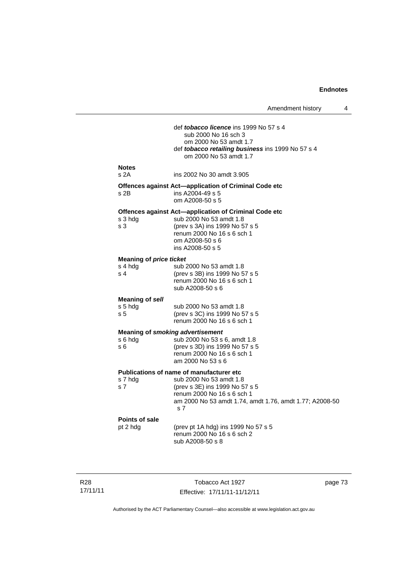Amendment history 4 def *tobacco licence* ins 1999 No 57 s 4 sub 2000 No 16 sch 3 om 2000 No 53 amdt 1.7 def *tobacco retailing business* ins 1999 No 57 s 4 om 2000 No 53 amdt 1.7 **Notes**  s 2A ins 2002 No 30 amdt 3.905 **Offences against Act—application of Criminal Code etc**  s 2B ins A2004-49 s 5 om A2008-50 s 5 **Offences against Act—application of Criminal Code etc**  s 3 hdg sub 2000 No 53 amdt 1.8<br>s 3 (prev s 3A) ins 1999 No 5 (prev s 3A) ins 1999 No 57 s 5 renum 2000 No 16 s 6 sch 1 om A2008-50 s 6 ins A2008-50 s 5 **Meaning of** *price ticket* s 4 hdg sub 2000 No 53 amdt 1.8<br>s 4 (prev s 3B) ins 1999 No 5 (prev s 3B) ins 1999 No 57 s 5 renum 2000 No 16 s 6 sch 1 sub A2008-50 s 6 **Meaning of** *sell* sub 2000 No 53 amdt 1.8 s 5 (prev s 3C) ins 1999 No 57 s 5 renum 2000 No 16 s 6 sch 1 **Meaning of** *smoking advertisement* s 6 hdg sub 2000 No 53 s 6, amdt 1.8 s 6 (prev s 3D) ins 1999 No 57 s 5 renum 2000 No 16 s 6 sch 1 am 2000 No 53 s 6 **Publications of name of manufacturer etc**  s 7 hdg sub 2000 No 53 amdt 1.8 s 7 (prev s 3E) ins 1999 No 57 s 5 renum 2000 No 16 s 6 sch 1 am 2000 No 53 amdt 1.74, amdt 1.76, amdt 1.77; A2008-50 s 7 **Points of sale**  pt 2 hdg (prev pt 1A hdg) ins 1999 No 57 s 5 renum 2000 No 16 s 6 sch 2 sub A2008-50 s 8

R28 17/11/11

Tobacco Act 1927 Effective: 17/11/11-11/12/11 page 73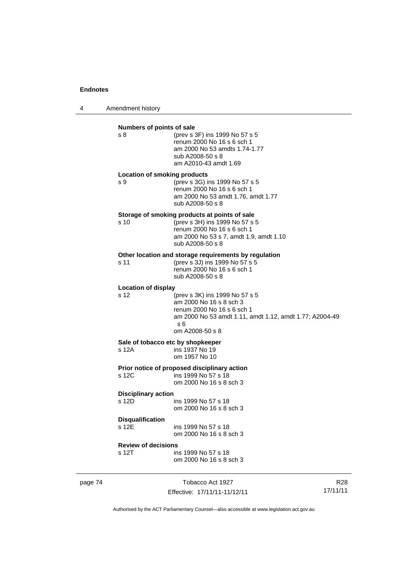4 Amendment history

| Numbers of points of sale<br>s 8    | (prev s 3F) ins 1999 No 57 s 5<br>renum 2000 No 16 s 6 sch 1<br>am 2000 No 53 amdts 1.74-1.77<br>sub A2008-50 s 8<br>am A2010-43 amdt 1.69                                   |
|-------------------------------------|------------------------------------------------------------------------------------------------------------------------------------------------------------------------------|
| s 9                                 | <b>Location of smoking products</b><br>(prev s 3G) ins 1999 No 57 s 5<br>renum 2000 No 16 s 6 sch 1<br>am 2000 No 53 amdt 1.76, amdt 1.77<br>sub A2008-50 s 8                |
| s <sub>10</sub>                     | Storage of smoking products at points of sale<br>(prev s 3H) ins 1999 No 57 s 5<br>renum 2000 No 16 s 6 sch 1<br>am 2000 No 53 s 7, amdt 1.9, amdt 1.10<br>sub A2008-50 s 8  |
| s 11                                | Other location and storage requirements by regulation<br>(prev s 3J) ins 1999 No 57 s 5<br>renum 2000 No 16 s 6 sch 1<br>sub A2008-50 s 8                                    |
| <b>Location of display</b><br>s 12  | (prev s 3K) ins 1999 No 57 s 5<br>am 2000 No 16 s 8 sch 3<br>renum 2000 No 16 s 6 sch 1<br>am 2000 No 53 amdt 1.11, amdt 1.12, amdt 1.77; A2004-49<br>s 6<br>om A2008-50 s 8 |
| s 12A                               | Sale of tobacco etc by shopkeeper<br>ins 1937 No 19<br>om 1957 No 10                                                                                                         |
| s 12C                               | Prior notice of proposed disciplinary action<br>ins 1999 No 57 s 18<br>om 2000 No 16 s 8 sch 3                                                                               |
| <b>Disciplinary action</b><br>s 12D | ins 1999 No 57 s 18<br>om 2000 No 16 s 8 sch 3                                                                                                                               |
| <b>Disqualification</b><br>s 12E    | ins 1999 No 57 s 18<br>om 2000 No 16 s 8 sch 3                                                                                                                               |
| <b>Review of decisions</b><br>s 12T | ins 1999 No 57 s 18<br>om 2000 No 16 s 8 sch 3                                                                                                                               |

page 74 Tobacco Act 1927 Effective: 17/11/11-11/12/11

R28 17/11/11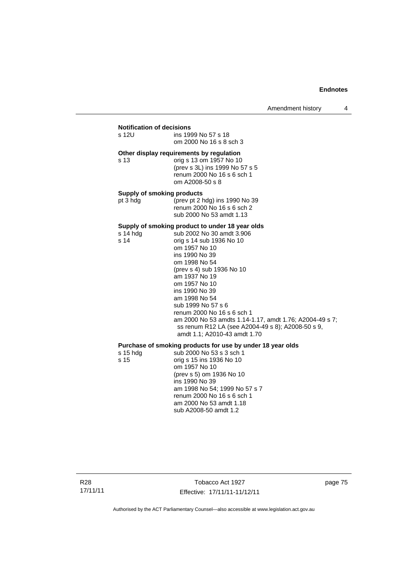# **Notification of decisions**

| s 12U                                         | ins 1999 No 57 s 18<br>om 2000 No 16 s 8 sch 3                                                                                                                                                                                                                                                                                                                                                                                                                     |
|-----------------------------------------------|--------------------------------------------------------------------------------------------------------------------------------------------------------------------------------------------------------------------------------------------------------------------------------------------------------------------------------------------------------------------------------------------------------------------------------------------------------------------|
| s 13                                          | Other display requirements by regulation<br>orig s 13 om 1957 No 10<br>(prev s 3L) ins 1999 No 57 s 5<br>renum 2000 No 16 s 6 sch 1<br>om A2008-50 s 8                                                                                                                                                                                                                                                                                                             |
| <b>Supply of smoking products</b><br>pt 3 hdg | (prev pt 2 hdg) ins 1990 No 39<br>renum 2000 No 16 s 6 sch 2<br>sub 2000 No 53 amdt 1.13                                                                                                                                                                                                                                                                                                                                                                           |
| s 14 hdg<br>s 14                              | Supply of smoking product to under 18 year olds<br>sub 2002 No 30 amdt 3.906<br>orig s 14 sub 1936 No 10<br>om 1957 No 10<br>ins 1990 No 39<br>om 1998 No 54<br>(prev s 4) sub 1936 No 10<br>am 1937 No 19<br>om 1957 No 10<br>ins 1990 No 39<br>am 1998 No 54<br>sub 1999 No 57 s 6<br>renum 2000 No 16 s 6 sch 1<br>am 2000 No 53 amdts 1.14-1.17, amdt 1.76; A2004-49 s 7;<br>ss renum R12 LA (see A2004-49 s 8); A2008-50 s 9,<br>amdt 1.1; A2010-43 amdt 1.70 |
| $s$ 15 hdg<br>s 15                            | Purchase of smoking products for use by under 18 year olds<br>sub 2000 No 53 s 3 sch 1<br>orig s 15 ins 1936 No 10<br>om 1957 No 10<br>(prev s 5) om 1936 No 10<br>ins 1990 No 39<br>am 1998 No 54: 1999 No 57 s 7                                                                                                                                                                                                                                                 |

am 1998 No 54; 1999 No 57 s 7 renum 2000 No 16 s 6 sch 1 am 2000 No 53 amdt 1.18 sub A2008-50 amdt 1.2

R28 17/11/11

Tobacco Act 1927 Effective: 17/11/11-11/12/11 page 75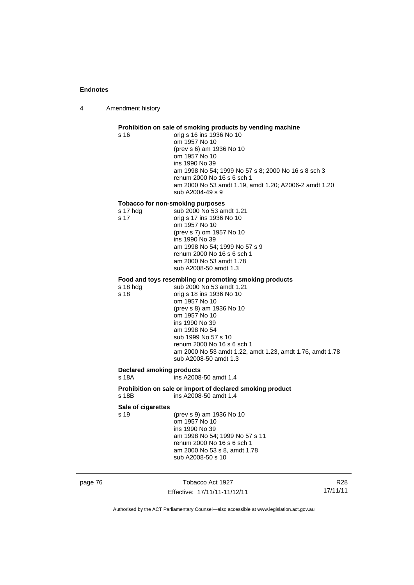4 Amendment history

# page 76 Tobacco Act 1927 Effective: 17/11/11-11/12/11 17/11/11 Authorised by the ACT Parliamentary Counsel—also accessible at www.legislation.act.gov.au **Prohibition on sale of smoking products by vending machine**  s 16 orig s 16 ins 1936 No 10 om 1957 No 10 (prev s 6) am 1936 No 10 om 1957 No 10 ins 1990 No 39 am 1998 No 54; 1999 No 57 s 8; 2000 No 16 s 8 sch 3 renum 2000 No 16 s 6 sch 1 am 2000 No 53 amdt 1.19, amdt 1.20; A2006-2 amdt 1.20 sub A2004-49 s 9 **Tobacco for non-smoking purposes**  s 17 hdg sub 2000 No 53 amdt 1.21 s 17 orig s 17 ins 1936 No 10 om 1957 No 10 (prev s 7) om 1957 No 10 ins 1990 No 39 am 1998 No 54; 1999 No 57 s 9 renum 2000 No 16 s 6 sch 1 am 2000 No 53 amdt 1.78 sub A2008-50 amdt 1.3 **Food and toys resembling or promoting smoking products**  sub 2000 No 53 amdt 1.21 s 18 orig s 18 ins 1936 No 10 om 1957 No 10 (prev s 8) am 1936 No 10 om 1957 No 10 ins 1990 No 39 am 1998 No 54 sub 1999 No 57 s 10 renum 2000 No 16 s 6 sch 1 am 2000 No 53 amdt 1.22, amdt 1.23, amdt 1.76, amdt 1.78 sub A2008-50 amdt 1.3 **Declared smoking products**   $ins$  A2008-50 amdt 1.4 **Prohibition on sale or import of declared smoking product**  s 18B ins A2008-50 amdt 1.4 **Sale of cigarettes**  (prev s 9) am 1936 No 10 om 1957 No 10 ins 1990 No 39 am 1998 No 54; 1999 No 57 s 11 renum 2000 No 16 s 6 sch 1 am 2000 No 53 s 8, amdt 1.78 sub A2008-50 s 10

R28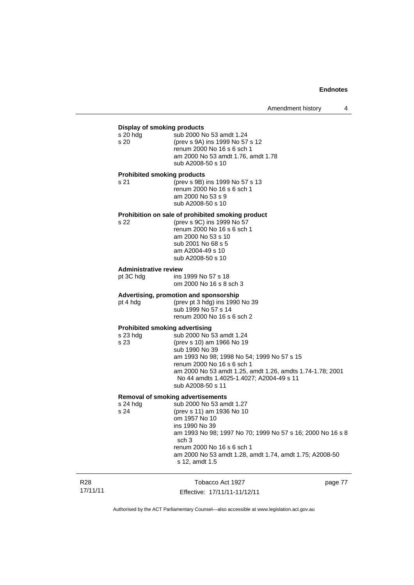### **Display of smoking products**

| $s20$ hdg                          | sub 2000 No 53 amdt 1.24           |
|------------------------------------|------------------------------------|
| s 20                               | (prev s 9A) ins 1999 No 57 s 12    |
|                                    | renum 2000 No 16 s 6 sch 1         |
|                                    | am 2000 No 53 amdt 1.76, amdt 1.78 |
|                                    | sub A2008-50 s 10                  |
| <b>Prohibited smoking products</b> |                                    |

s 21 (prev s 9B) ins 1999 No 57 s 13 renum 2000 No 16 s 6 sch 1 am 2000 No 53 s 9 sub A2008-50 s 10

### **Prohibition on sale of prohibited smoking product**

s 22 (prev s 9C) ins 1999 No 57 renum 2000 No 16 s 6 sch 1 am 2000 No 53 s 10 sub 2001 No 68 s 5 am A2004-49 s 10 sub A2008-50 s 10

### **Administrative review**

pt 3C hdg ins 1999 No 57 s 18 om 2000 No 16 s 8 sch 3

# **Advertising, promotion and sponsorship**

(prev pt 3 hdg) ins 1990 No 39 sub 1999 No 57 s 14 renum 2000 No 16 s 6 sch 2

### **Prohibited smoking advertising**

| s 23 hdg | sub 2000 No 53 amdt 1.24                                  |
|----------|-----------------------------------------------------------|
| s 23     | (prev s 10) am 1966 No 19                                 |
|          | sub 1990 No 39                                            |
|          | am 1993 No 98; 1998 No 54; 1999 No 57 s 15                |
|          | renum 2000 No 16 s 6 sch 1                                |
|          | am 2000 No 53 amdt 1.25, amdt 1.26, amdts 1.74-1.78; 2001 |
|          | No 44 amdts 1.4025-1.4027; A2004-49 s 11                  |
|          | sub A2008-50 s 11                                         |
|          |                                                           |

### **Removal of smoking advertisements**  sub 2000 No 53 amdt 1.27

s 24 (prev s 11) am 1936 No 10 om 1957 No 10 ins 1990 No 39 am 1993 No 98; 1997 No 70; 1999 No 57 s 16; 2000 No 16 s 8 sch 3 renum 2000 No 16 s 6 sch 1 am 2000 No 53 amdt 1.28, amdt 1.74, amdt 1.75; A2008-50 s 12, amdt 1.5

| R28      | Tobacco Act 1927             | page 77 |
|----------|------------------------------|---------|
| 17/11/11 | Effective: 17/11/11-11/12/11 |         |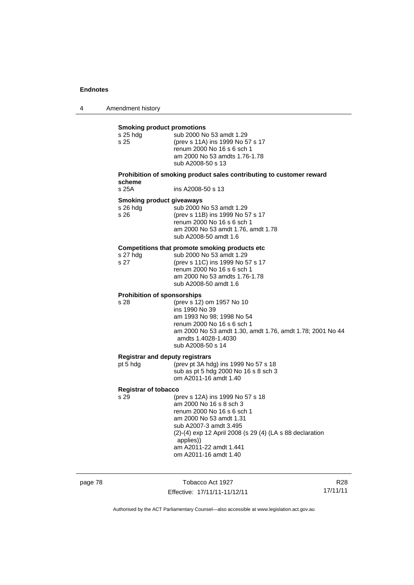4 Amendment history

| <b>Smoking product promotions</b><br>s 25 hdg<br>s 25 | sub 2000 No 53 amdt 1.29<br>(prev s 11A) ins 1999 No 57 s 17<br>renum 2000 No 16 s 6 sch 1<br>am 2000 No 53 amdts 1.76-1.78<br>sub A2008-50 s 13                                                                                                                           |
|-------------------------------------------------------|----------------------------------------------------------------------------------------------------------------------------------------------------------------------------------------------------------------------------------------------------------------------------|
| scheme                                                | Prohibition of smoking product sales contributing to customer reward                                                                                                                                                                                                       |
| s 25A                                                 | ins A2008-50 s 13                                                                                                                                                                                                                                                          |
| <b>Smoking product giveaways</b><br>s 26 hdg<br>s 26  | sub 2000 No 53 amdt 1.29<br>(prev s 11B) ins 1999 No 57 s 17<br>renum 2000 No 16 s 6 sch 1<br>am 2000 No 53 amdt 1.76, amdt 1.78<br>sub A2008-50 amdt 1.6                                                                                                                  |
| s 27 hdg<br>s 27                                      | Competitions that promote smoking products etc<br>sub 2000 No 53 amdt 1.29<br>(prev s 11C) ins 1999 No 57 s 17<br>renum 2000 No 16 s 6 sch 1<br>am 2000 No 53 amdts 1.76-1.78<br>sub A2008-50 amdt 1.6                                                                     |
| <b>Prohibition of sponsorships</b><br>s 28            | (prev s 12) om 1957 No 10<br>ins 1990 No 39<br>am 1993 No 98; 1998 No 54<br>renum 2000 No 16 s 6 sch 1<br>am 2000 No 53 amdt 1.30, amdt 1.76, amdt 1.78; 2001 No 44<br>amdts 1.4028-1.4030<br>sub A2008-50 s 14                                                            |
| <b>Registrar and deputy registrars</b>                |                                                                                                                                                                                                                                                                            |
| pt 5 hdg                                              | (prev pt 3A hdg) ins 1999 No 57 s 18<br>sub as pt 5 hdg 2000 No 16 s 8 sch 3<br>om A2011-16 amdt 1.40                                                                                                                                                                      |
| <b>Registrar of tobacco</b>                           |                                                                                                                                                                                                                                                                            |
| s 29                                                  | (prev s 12A) ins 1999 No 57 s 18<br>am 2000 No 16 s 8 sch 3<br>renum 2000 No 16 s 6 sch 1<br>am 2000 No 53 amdt 1.31<br>sub A2007-3 amdt 3.495<br>(2)-(4) exp 12 April 2008 (s 29 (4) (LA s 88 declaration<br>applies))<br>am A2011-22 amdt 1.441<br>om A2011-16 amdt 1.40 |

page 78 Tobacco Act 1927 Effective: 17/11/11-11/12/11

R28 17/11/11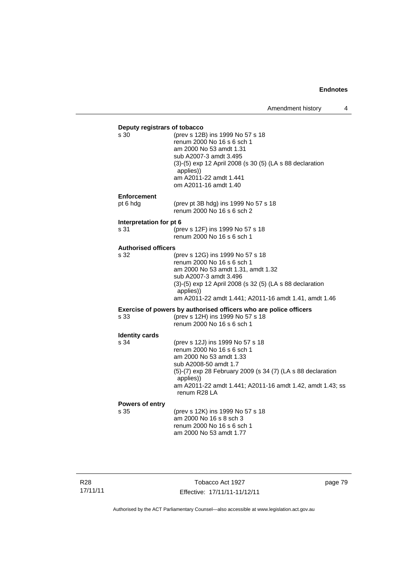| Deputy registrars of tobacco<br>s 30 | (prev s 12B) ins 1999 No 57 s 18<br>renum 2000 No 16 s 6 sch 1<br>am 2000 No 53 amdt 1.31<br>sub A2007-3 amdt 3.495<br>(3)-(5) exp 12 April 2008 (s 30 (5) (LA s 88 declaration<br>applies))<br>am A2011-22 amdt 1.441<br>om A2011-16 amdt 1.40                             |  |
|--------------------------------------|-----------------------------------------------------------------------------------------------------------------------------------------------------------------------------------------------------------------------------------------------------------------------------|--|
| <b>Enforcement</b>                   |                                                                                                                                                                                                                                                                             |  |
| pt 6 hdg                             | (prev pt 3B hdg) ins 1999 No 57 s 18<br>renum 2000 No 16 s 6 sch 2                                                                                                                                                                                                          |  |
| Interpretation for pt 6              |                                                                                                                                                                                                                                                                             |  |
| s 31                                 | (prev s 12F) ins 1999 No 57 s 18<br>renum 2000 No 16 s 6 sch 1                                                                                                                                                                                                              |  |
| <b>Authorised officers</b>           |                                                                                                                                                                                                                                                                             |  |
| s 32                                 | (prev s 12G) ins 1999 No 57 s 18<br>renum 2000 No 16 s 6 sch 1<br>am 2000 No 53 amdt 1.31, amdt 1.32<br>sub A2007-3 amdt 3.496<br>(3)-(5) exp 12 April 2008 (s 32 (5) (LA s 88 declaration<br>applies))<br>am A2011-22 amdt 1.441; A2011-16 amdt 1.41, amdt 1.46            |  |
|                                      | Exercise of powers by authorised officers who are police officers                                                                                                                                                                                                           |  |
| s 33                                 | (prev s 12H) ins 1999 No 57 s 18<br>renum 2000 No 16 s 6 sch 1                                                                                                                                                                                                              |  |
| <b>Identity cards</b>                |                                                                                                                                                                                                                                                                             |  |
| s 34                                 | (prev s 12J) ins 1999 No 57 s 18<br>renum 2000 No 16 s 6 sch 1<br>am 2000 No 53 amdt 1.33<br>sub A2008-50 amdt 1.7<br>(5)-(7) exp 28 February 2009 (s 34 (7) (LA s 88 declaration<br>applies))<br>am A2011-22 amdt 1.441; A2011-16 amdt 1.42, amdt 1.43; ss<br>renum R28 LA |  |
| Powers of entry<br>s 35              | (prev s 12K) ins 1999 No 57 s 18<br>am 2000 No 16 s 8 sch 3<br>renum 2000 No 16 s 6 sch 1<br>am 2000 No 53 amdt 1.77                                                                                                                                                        |  |

Tobacco Act 1927 Effective: 17/11/11-11/12/11 page 79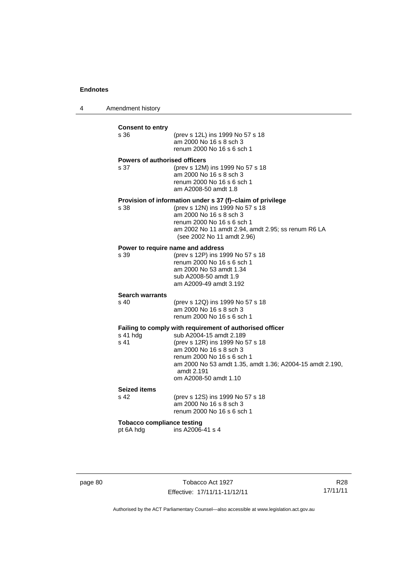4 Amendment history

| <b>Consent to entry</b><br>s 36                | (prev s 12L) ins 1999 No 57 s 18<br>am 2000 No 16 s 8 sch 3<br>renum 2000 No 16 s 6 sch 1                                                                                                                                                                                           |
|------------------------------------------------|-------------------------------------------------------------------------------------------------------------------------------------------------------------------------------------------------------------------------------------------------------------------------------------|
| <b>Powers of authorised officers</b><br>s 37   | (prev s 12M) ins 1999 No 57 s 18<br>am 2000 No 16 s 8 sch 3<br>renum 2000 No 16 s 6 sch 1<br>am A2008-50 amdt 1.8                                                                                                                                                                   |
| s 38                                           | Provision of information under s 37 (f)-claim of privilege<br>(prev s 12N) ins 1999 No 57 s 18<br>am 2000 No 16 s 8 sch 3<br>renum 2000 No 16 s 6 sch 1<br>am 2002 No 11 amdt 2.94, amdt 2.95; ss renum R6 LA<br>(see 2002 No 11 amdt 2.96)                                         |
| s 39                                           | Power to require name and address<br>(prev s 12P) ins 1999 No 57 s 18<br>renum 2000 No 16 s 6 sch 1<br>am 2000 No 53 amdt 1.34<br>sub A2008-50 amdt 1.9<br>am A2009-49 amdt 3.192                                                                                                   |
| <b>Search warrants</b><br>s 40                 | (prev s 12Q) ins 1999 No 57 s 18<br>am 2000 No 16 s 8 sch 3<br>renum 2000 No 16 s 6 sch 1                                                                                                                                                                                           |
| s 41 hdg<br>s <sub>41</sub>                    | Failing to comply with requirement of authorised officer<br>sub A2004-15 amdt 2.189<br>(prev s 12R) ins 1999 No 57 s 18<br>am 2000 No 16 s 8 sch 3<br>renum 2000 No 16 s 6 sch 1<br>am 2000 No 53 amdt 1.35, amdt 1.36; A2004-15 amdt 2.190,<br>amdt 2.191<br>om A2008-50 amdt 1.10 |
| <b>Seized items</b><br>s 42                    | (prev s 12S) ins 1999 No 57 s 18<br>am 2000 No 16 s 8 sch 3<br>renum 2000 No 16 s 6 sch 1                                                                                                                                                                                           |
| <b>Tobacco compliance testing</b><br>pt 6A hdg | ins A2006-41 s 4                                                                                                                                                                                                                                                                    |

page 80 Tobacco Act 1927 Effective: 17/11/11-11/12/11

R28 17/11/11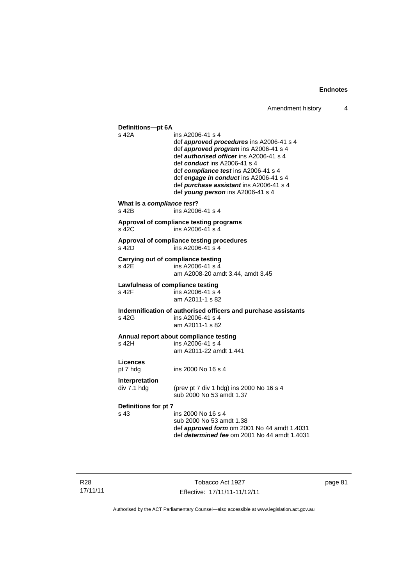**Definitions—pt 6A**  ins A2006-41 s 4 def *approved procedures* ins A2006-41 s 4 def *approved program* ins A2006-41 s 4 def *authorised officer* ins A2006-41 s 4 def *conduct* ins A2006-41 s 4 def *compliance test* ins A2006-41 s 4 def *engage in conduct* ins A2006-41 s 4 def *purchase assistant* ins A2006-41 s 4 def *young person* ins A2006-41 s 4 **What is a** *compliance test***?**<br> **8 42B ins A200** ins A2006-41 s 4 **Approval of compliance testing programs**  s 42C ins A2006-41 s 4 **Approval of compliance testing procedures**   $ins A2006-41 s 4$ **Carrying out of compliance testing**  s 42E ins A2006-41 s 4 am A2008-20 amdt 3.44, amdt 3.45 **Lawfulness of compliance testing**  s 42F ins A2006-41 s 4 am A2011-1 s 82 **Indemnification of authorised officers and purchase assistants**  s 42G ins A2006-41 s 4 am A2011-1 s 82 **Annual report about compliance testing**  s 42H ins A2006-41 s 4 am A2011-22 amdt 1.441 **Licences**  ins 2000 No 16 s 4 **Interpretation**  div 7.1 hdg (prev pt 7 div 1 hdg) ins 2000 No 16 s 4 sub 2000 No 53 amdt 1.37 **Definitions for pt 7**  ins 2000 No 16 s 4 sub 2000 No 53 amdt 1.38 def *approved form* om 2001 No 44 amdt 1.4031 def *determined fee* om 2001 No 44 amdt 1.4031

page 81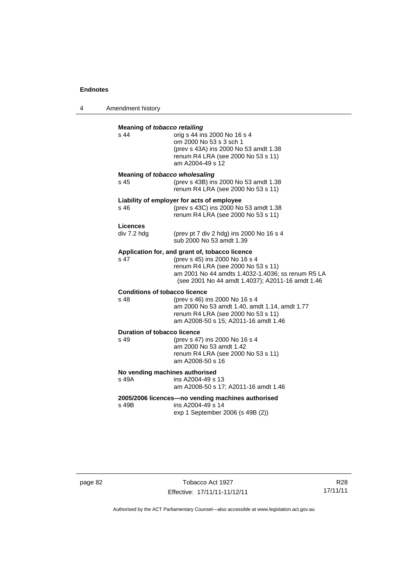4 Amendment history

| Meaning of tobacco retailing                      |                                                                                                                                                                                                                                 |  |  |  |
|---------------------------------------------------|---------------------------------------------------------------------------------------------------------------------------------------------------------------------------------------------------------------------------------|--|--|--|
| s 44                                              | orig s 44 ins 2000 No 16 s 4<br>om 2000 No 53 s 3 sch 1<br>(prev s 43A) ins 2000 No 53 amdt 1.38<br>renum R4 LRA (see 2000 No 53 s 11)<br>am A2004-49 s 12                                                                      |  |  |  |
| Meaning of tobacco wholesaling<br>s 45            | (prev s 43B) ins 2000 No 53 amdt 1.38<br>renum R4 LRA (see 2000 No 53 s 11)                                                                                                                                                     |  |  |  |
| s 46                                              | Liability of employer for acts of employee<br>(prev s 43C) ins 2000 No 53 amdt 1.38<br>renum R4 LRA (see 2000 No 53 s 11)                                                                                                       |  |  |  |
| Licences<br>div 7.2 hdg                           | (prev pt 7 div 2 hdg) ins 2000 No 16 s 4<br>sub 2000 No 53 amdt 1.39                                                                                                                                                            |  |  |  |
| s <sub>47</sub>                                   | Application for, and grant of, tobacco licence<br>(prev s 45) ins 2000 No 16 s 4<br>renum R4 LRA (see 2000 No 53 s 11)<br>am 2001 No 44 amdts 1.4032-1.4036; ss renum R5 LA<br>(see 2001 No 44 amdt 1.4037); A2011-16 amdt 1.46 |  |  |  |
| <b>Conditions of tobacco licence</b>              |                                                                                                                                                                                                                                 |  |  |  |
| $s$ 48                                            | (prev s 46) ins 2000 No 16 s 4<br>am 2000 No 53 amdt 1.40, amdt 1.14, amdt 1.77<br>renum R4 LRA (see 2000 No 53 s 11)<br>am A2008-50 s 15; A2011-16 amdt 1.46                                                                   |  |  |  |
| <b>Duration of tobacco licence</b>                |                                                                                                                                                                                                                                 |  |  |  |
| $s$ 49                                            | (prev s 47) ins 2000 No 16 s 4<br>am 2000 No 53 amdt 1.42<br>renum R4 LRA (see 2000 No 53 s 11)<br>am A2008-50 s 16                                                                                                             |  |  |  |
| No vending machines authorised                    |                                                                                                                                                                                                                                 |  |  |  |
| s 49A                                             | ins A2004-49 s 13<br>am A2008-50 s 17; A2011-16 amdt 1.46                                                                                                                                                                       |  |  |  |
| 2005/2006 licences-no vending machines authorised |                                                                                                                                                                                                                                 |  |  |  |
| s 49B                                             | ins A2004-49 s 14<br>exp 1 September 2006 (s 49B (2))                                                                                                                                                                           |  |  |  |

page 82 Tobacco Act 1927 Effective: 17/11/11-11/12/11

R28 17/11/11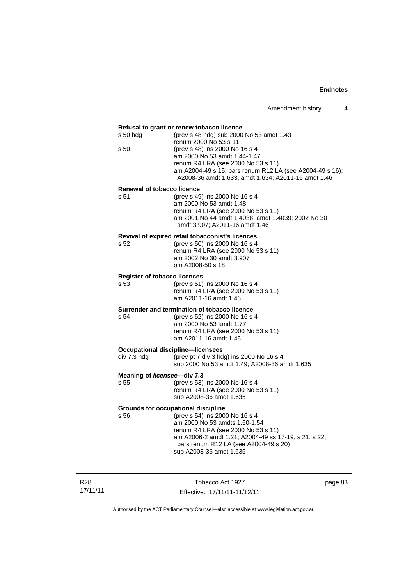## **Refusal to grant or renew tobacco licence**  s 50 hdg (prev s 48 hdg) sub 2000 No 53 amdt 1.43 renum 2000 No 53 s 11<br>s 50 (prev s 48) ins 2000 No (prev s 48) ins 2000 No 16 s 4 am 2000 No 53 amdt 1.44-1.47 renum R4 LRA (see 2000 No 53 s 11) am A2004-49 s 15; pars renum R12 LA (see A2004-49 s 16); A2008-36 amdt 1.633, amdt 1.634; A2011-16 amdt 1.46 **Renewal of tobacco licence**  s 51 (prev s 49) ins 2000 No 16 s 4 am 2000 No 53 amdt 1.48 renum R4 LRA (see 2000 No 53 s 11) am 2001 No 44 amdt 1.4038, amdt 1.4039; 2002 No 30 amdt 3.907; A2011-16 amdt 1.46 **Revival of expired retail tobacconist's licences**  s 52 (prev s 50) ins 2000 No 16 s 4 renum R4 LRA (see 2000 No 53 s 11) am 2002 No 30 amdt 3.907 om A2008-50 s 18 **Register of tobacco licences**  s 53 (prev s 51) ins 2000 No 16 s 4 renum R4 LRA (see 2000 No 53 s 11) am A2011-16 amdt 1.46 **Surrender and termination of tobacco licence**<br>s 54 (orey s 52) ins 2000 No 16 s s 54 (prev s 52) ins 2000 No 16 s 4 am 2000 No 53 amdt 1.77 renum R4 LRA (see 2000 No 53 s 11) am A2011-16 amdt 1.46 **Occupational discipline—licensees**  div 7.3 hdg (prev pt 7 div 3 hdg) ins 2000 No 16 s 4 sub 2000 No 53 amdt 1.49; A2008-36 amdt 1.635 **Meaning of** *licensee***—div 7.3**  s 55 (prev s 53) ins 2000 No 16 s 4 renum R4 LRA (see 2000 No 53 s 11) sub A2008-36 amdt 1.635 **Grounds for occupational discipline**  s 56 (prev s 54) ins 2000 No 16 s 4 am 2000 No 53 amdts 1.50-1.54 renum R4 LRA (see 2000 No 53 s 11) am A2006-2 amdt 1.21; A2004-49 ss 17-19, s 21, s 22; pars renum R12 LA (see A2004-49 s 20) sub A2008-36 amdt 1.635

R28 17/11/11

Tobacco Act 1927 Effective: 17/11/11-11/12/11 page 83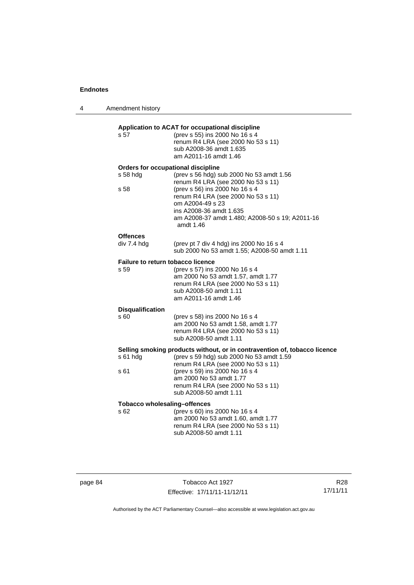4 Amendment history

**Application to ACAT for occupational discipline**  s 57 (prev s 55) ins 2000 No 16 s 4 renum R4 LRA (see 2000 No 53 s 11) sub A2008-36 amdt 1.635 am A2011-16 amdt 1.46 **Orders for occupational discipline**  s 58 hdg (prev s 56 hdg) sub 2000 No 53 amdt 1.56 renum R4 LRA (see 2000 No 53 s 11) s 58 (prev s 56) ins 2000 No 16 s 4 renum R4 LRA (see 2000 No 53 s 11) om A2004-49 s 23 ins A2008-36 amdt 1.635 am A2008-37 amdt 1.480; A2008-50 s 19; A2011-16 amdt 1.46 **Offences**  div 7.4 hdg (prev pt 7 div 4 hdg) ins 2000 No 16 s 4 sub 2000 No 53 amdt 1.55; A2008-50 amdt 1.11 **Failure to return tobacco licence**  s 59 (prev s 57) ins 2000 No 16 s 4 am 2000 No 53 amdt 1.57, amdt 1.77 renum R4 LRA (see 2000 No 53 s 11) sub A2008-50 amdt 1.11 am A2011-16 amdt 1.46 **Disqualification**  (prev s 58) ins 2000 No 16 s 4 am 2000 No 53 amdt 1.58, amdt 1.77 renum R4 LRA (see 2000 No 53 s 11) sub A2008-50 amdt 1.11 **Selling smoking products without, or in contravention of, tobacco licence**  s 61 hdg (prev s 59 hdg) sub 2000 No 53 amdt 1.59 renum R4 LRA (see 2000 No 53 s 11) s 61 (prev s 59) ins 2000 No 16 s 4 am 2000 No 53 amdt 1.77 renum R4 LRA (see 2000 No 53 s 11) sub A2008-50 amdt 1.11 **Tobacco wholesaling–offences**  s 62 (prev s 60) ins 2000 No 16 s 4 am 2000 No 53 amdt 1.60, amdt 1.77 renum R4 LRA (see 2000 No 53 s 11) sub A2008-50 amdt 1.11

page 84 Tobacco Act 1927 Effective: 17/11/11-11/12/11

R28 17/11/11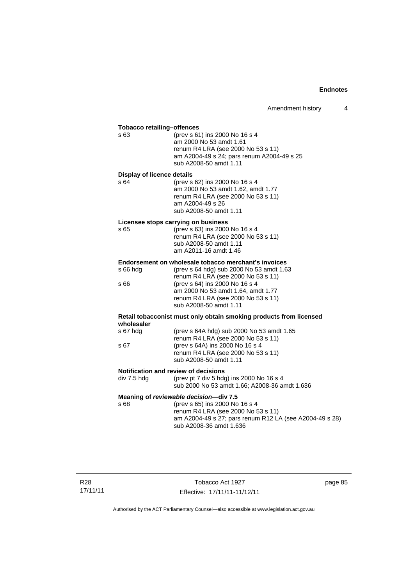| <b>Tobacco retailing-offences</b><br>s 63                                        | (prev s 61) ins 2000 No 16 s 4<br>am 2000 No 53 amdt 1.61<br>renum R4 LRA (see 2000 No 53 s 11)<br>am A2004-49 s 24; pars renum A2004-49 s 25<br>sub A2008-50 amdt 1.11                                                                                                        |  |  |
|----------------------------------------------------------------------------------|--------------------------------------------------------------------------------------------------------------------------------------------------------------------------------------------------------------------------------------------------------------------------------|--|--|
| <b>Display of licence details</b><br>s 64                                        | (prev s 62) ins 2000 No 16 s 4<br>am 2000 No 53 amdt 1.62, amdt 1.77<br>renum R4 LRA (see 2000 No 53 s 11)<br>am A2004-49 s 26<br>sub A2008-50 amdt 1.11                                                                                                                       |  |  |
| s 65                                                                             | Licensee stops carrying on business<br>(prev s 63) ins 2000 No 16 s 4<br>renum R4 LRA (see 2000 No 53 s 11)<br>sub A2008-50 amdt 1.11<br>am A2011-16 amdt 1.46                                                                                                                 |  |  |
| $s66h$ dg<br>s 66                                                                | Endorsement on wholesale tobacco merchant's invoices<br>(prev s 64 hdg) sub 2000 No 53 amdt 1.63<br>renum R4 LRA (see 2000 No 53 s 11)<br>(prev s 64) ins 2000 No 16 s 4<br>am 2000 No 53 amdt 1.64, amdt 1.77<br>renum R4 LRA (see 2000 No 53 s 11)<br>sub A2008-50 amdt 1.11 |  |  |
| Retail tobacconist must only obtain smoking products from licensed<br>wholesaler |                                                                                                                                                                                                                                                                                |  |  |
| s 67 hdg<br>s 67                                                                 | (prev s 64A hdg) sub 2000 No 53 amdt 1.65<br>renum R4 LRA (see 2000 No 53 s 11)<br>(prev s 64A) ins 2000 No 16 s 4<br>renum R4 LRA (see 2000 No 53 s 11)<br>sub A2008-50 amdt 1.11                                                                                             |  |  |
| div 7.5 hdg                                                                      | Notification and review of decisions<br>(prev pt 7 div 5 hdg) ins 2000 No 16 s 4<br>sub 2000 No 53 amdt 1.66; A2008-36 amdt 1.636                                                                                                                                              |  |  |
| s 68                                                                             | Meaning of reviewable decision-div 7.5<br>(prev s 65) ins 2000 No 16 s 4<br>renum R4 LRA (see 2000 No 53 s 11)<br>am A2004-49 s 27; pars renum R12 LA (see A2004-49 s 28)<br>sub A2008-36 amdt 1.636                                                                           |  |  |

page 85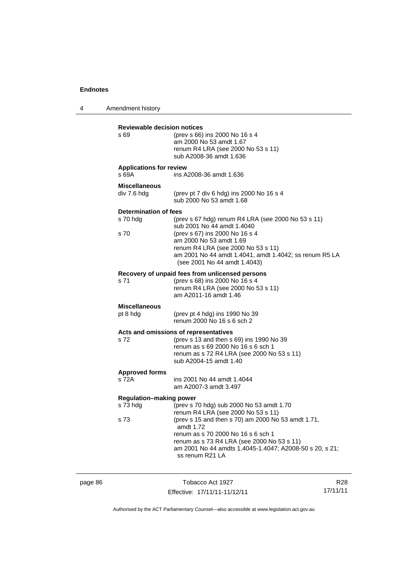4 Amendment history **Reviewable decision notices**  s 69 (prev s 66) ins 2000 No 16 s 4 am 2000 No 53 amdt 1.67 renum R4 LRA (see 2000 No 53 s 11) sub A2008-36 amdt 1.636 **Applications for review**  s 69A ins A2008-36 amdt 1.636 **Miscellaneous**  (prev pt 7 div 6 hdg) ins 2000 No 16 s 4 sub 2000 No 53 amdt 1.68 **Determination of fees**  s 70 hdg (prev s 67 hdg) renum R4 LRA (see 2000 No 53 s 11) sub 2001 No 44 amdt 1.4040 s 70 (prev s 67) ins 2000 No 16 s 4 am 2000 No 53 amdt 1.69 renum R4 LRA (see 2000 No 53 s 11) am 2001 No 44 amdt 1.4041, amdt 1.4042; ss renum R5 LA (see 2001 No 44 amdt 1.4043) **Recovery of unpaid fees from unlicensed persons**  s 71 (prev s 68) ins 2000 No 16 s 4 renum R4 LRA (see 2000 No 53 s 11) am A2011-16 amdt 1.46 **Miscellaneous**  pt 8 hdg (prev pt 4 hdg) ins 1990 No 39 renum 2000 No 16 s 6 sch 2 **Acts and omissions of representatives**  s 72 (prev s 13 and then s 69) ins 1990 No 39 renum as s 69 2000 No 16 s 6 sch 1 renum as s 72 R4 LRA (see 2000 No 53 s 11) sub A2004-15 amdt 1.40 **Approved forms**  s 72A ins 2001 No 44 amdt 1.4044 am A2007-3 amdt 3.497 **Regulation–making power**  s 73 hdg (prev s 70 hdg) sub 2000 No 53 amdt 1.70 renum R4 LRA (see 2000 No 53 s 11) s 73 (prev s 15 and then s 70) am 2000 No 53 amdt 1.71, amdt 1.72 renum as s 70 2000 No 16 s 6 sch 1 renum as s 73 R4 LRA (see 2000 No 53 s 11) am 2001 No 44 amdts 1.4045-1.4047; A2008-50 s 20, s 21; ss renum R21 LA

page 86 Tobacco Act 1927 Effective: 17/11/11-11/12/11 R28 17/11/11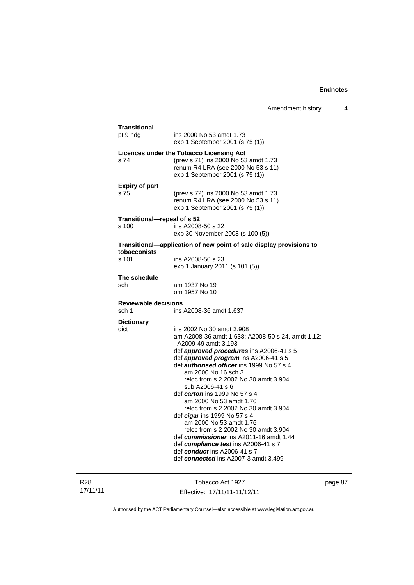| <b>Transitional</b>         |                                                                                                                                                                                                                                                                                                                                                                                                                                                                                                                                                                                                                                                                                                                          |
|-----------------------------|--------------------------------------------------------------------------------------------------------------------------------------------------------------------------------------------------------------------------------------------------------------------------------------------------------------------------------------------------------------------------------------------------------------------------------------------------------------------------------------------------------------------------------------------------------------------------------------------------------------------------------------------------------------------------------------------------------------------------|
| pt 9 hdg                    | ins 2000 No 53 amdt 1.73<br>exp 1 September 2001 (s 75 (1))                                                                                                                                                                                                                                                                                                                                                                                                                                                                                                                                                                                                                                                              |
| s 74                        | Licences under the Tobacco Licensing Act<br>(prev s 71) ins 2000 No 53 amdt 1.73<br>renum R4 LRA (see 2000 No 53 s 11)<br>exp 1 September 2001 (s 75 (1))                                                                                                                                                                                                                                                                                                                                                                                                                                                                                                                                                                |
| <b>Expiry of part</b>       |                                                                                                                                                                                                                                                                                                                                                                                                                                                                                                                                                                                                                                                                                                                          |
| s 75                        | (prev s 72) ins 2000 No 53 amdt 1.73<br>renum R4 LRA (see 2000 No 53 s 11)<br>exp 1 September 2001 (s 75 (1))                                                                                                                                                                                                                                                                                                                                                                                                                                                                                                                                                                                                            |
| Transitional-repeal of s 52 |                                                                                                                                                                                                                                                                                                                                                                                                                                                                                                                                                                                                                                                                                                                          |
| s 100                       | ins A2008-50 s 22<br>exp 30 November 2008 (s 100 (5))                                                                                                                                                                                                                                                                                                                                                                                                                                                                                                                                                                                                                                                                    |
| tobacconists                | Transitional-application of new point of sale display provisions to                                                                                                                                                                                                                                                                                                                                                                                                                                                                                                                                                                                                                                                      |
| s 101                       | ins A2008-50 s 23<br>exp 1 January 2011 (s 101 (5))                                                                                                                                                                                                                                                                                                                                                                                                                                                                                                                                                                                                                                                                      |
| The schedule                |                                                                                                                                                                                                                                                                                                                                                                                                                                                                                                                                                                                                                                                                                                                          |
| sch                         | am 1937 No 19<br>om 1957 No 10                                                                                                                                                                                                                                                                                                                                                                                                                                                                                                                                                                                                                                                                                           |
| <b>Reviewable decisions</b> |                                                                                                                                                                                                                                                                                                                                                                                                                                                                                                                                                                                                                                                                                                                          |
| sch 1                       | ins A2008-36 amdt 1.637                                                                                                                                                                                                                                                                                                                                                                                                                                                                                                                                                                                                                                                                                                  |
| <b>Dictionary</b><br>dict   | ins 2002 No 30 amdt 3.908<br>am A2008-36 amdt 1.638; A2008-50 s 24, amdt 1.12;<br>A2009-49 amdt 3.193<br>def <i>approved procedures</i> ins A2006-41 s 5<br>def approved program ins A2006-41 s 5<br>def <i>authorised officer</i> ins 1999 No 57 s 4<br>am 2000 No 16 sch 3<br>reloc from s 2 2002 No 30 amdt 3.904<br>sub A2006-41 s 6<br>def <i>carton</i> ins 1999 No 57 s 4<br>am 2000 No 53 amdt 1.76<br>reloc from s 2 2002 No 30 amdt 3.904<br>def <i>cigar</i> ins 1999 No 57 s 4<br>am 2000 No 53 amdt 1.76<br>reloc from s 2 2002 No 30 amdt 3.904<br>def commissioner ins A2011-16 amdt 1.44<br>def compliance test ins A2006-41 s 7<br>def conduct ins A2006-41 s 7<br>def connected ins A2007-3 amdt 3.499 |

R28 17/11/11

Tobacco Act 1927 Effective: 17/11/11-11/12/11 page 87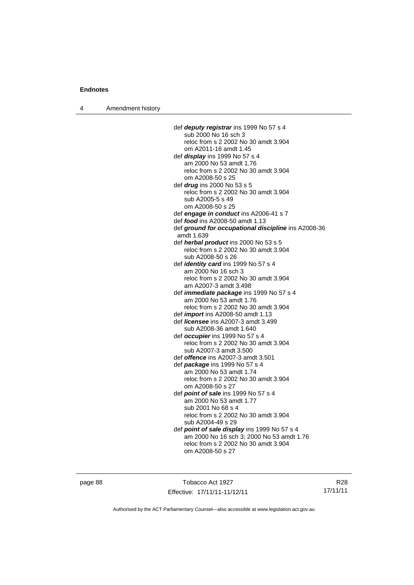4 Amendment history

 def *deputy registrar* ins 1999 No 57 s 4 sub 2000 No 16 sch 3 reloc from s 2 2002 No 30 amdt 3.904 om A2011-16 amdt 1.45 def *display* ins 1999 No 57 s 4 am 2000 No 53 amdt 1.76 reloc from s 2 2002 No 30 amdt 3.904 om A2008-50 s 25 def *drug* ins 2000 No 53 s 5 reloc from s 2 2002 No 30 amdt 3.904 sub A2005-5 s 49 om A2008-50 s 25 def *engage in conduct* ins A2006-41 s 7 def *food* ins A2008-50 amdt 1.13 def *ground for occupational discipline* ins A2008-36 amdt 1.639 def *herbal product* ins 2000 No 53 s 5 reloc from s 2 2002 No 30 amdt 3.904 sub A2008-50 s 26 def *identity card* ins 1999 No 57 s 4 am 2000 No 16 sch 3 reloc from s 2 2002 No 30 amdt 3.904 am A2007-3 amdt 3.498 def *immediate package* ins 1999 No 57 s 4 am 2000 No 53 amdt 1.76 reloc from s 2 2002 No 30 amdt 3.904 def *import* ins A2008-50 amdt 1.13 def *licensee* ins A2007-3 amdt 3.499 sub A2008-36 amdt 1.640 def *occupier* ins 1999 No 57 s 4 reloc from s 2 2002 No 30 amdt 3.904 sub A2007-3 amdt 3.500 def *offence* ins A2007-3 amdt 3.501 def *package* ins 1999 No 57 s 4 am 2000 No 53 amdt 1.74 reloc from s 2 2002 No 30 amdt 3.904 om A2008-50 s 27 def *point of sale* ins 1999 No 57 s 4 am 2000 No 53 amdt 1.77 sub 2001 No 68 s 4 reloc from s 2 2002 No 30 amdt 3.904 sub A2004-49 s 29 def *point of sale display* ins 1999 No 57 s 4 am 2000 No 16 sch 3; 2000 No 53 amdt 1.76 reloc from s 2 2002 No 30 amdt 3.904 om A2008-50 s 27

page 88 Tobacco Act 1927 Effective: 17/11/11-11/12/11

R28 17/11/11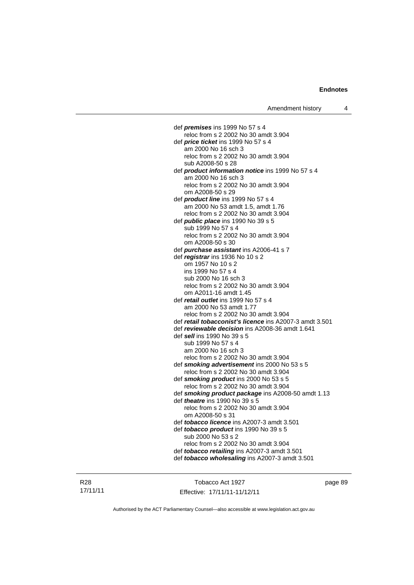def *premises* ins 1999 No 57 s 4 reloc from s 2 2002 No 30 amdt 3.904 def *price ticket* ins 1999 No 57 s 4 am 2000 No 16 sch 3 reloc from s 2 2002 No 30 amdt 3.904 sub A2008-50 s 28 def *product information notice* ins 1999 No 57 s 4 am 2000 No 16 sch 3 reloc from s 2 2002 No 30 amdt 3.904 om A2008-50 s 29 def *product line* ins 1999 No 57 s 4 am 2000 No 53 amdt 1.5, amdt 1.76 reloc from s 2 2002 No 30 amdt 3.904 def *public place* ins 1990 No 39 s 5 sub 1999 No 57 s 4 reloc from s 2 2002 No 30 amdt 3.904 om A2008-50 s 30 def *purchase assistant* ins A2006-41 s 7 def *registrar* ins 1936 No 10 s 2 om 1957 No 10 s 2 ins 1999 No 57 s 4 sub 2000 No 16 sch 3 reloc from s 2 2002 No 30 amdt 3.904 om A2011-16 amdt 1.45 def *retail outlet* ins 1999 No 57 s 4 am 2000 No 53 amdt 1.77 reloc from s 2 2002 No 30 amdt 3.904 def *retail tobacconist's licence* ins A2007-3 amdt 3.501 def *reviewable decision* ins A2008-36 amdt 1.641 def *sell* ins 1990 No 39 s 5 sub 1999 No 57 s 4 am 2000 No 16 sch 3 reloc from s 2 2002 No 30 amdt 3.904 def *smoking advertisement* ins 2000 No 53 s 5 reloc from s 2 2002 No 30 amdt 3.904 def *smoking product* ins 2000 No 53 s 5 reloc from s 2 2002 No 30 amdt 3.904 def *smoking product package* ins A2008-50 amdt 1.13 def *theatre* ins 1990 No 39 s 5 reloc from s 2 2002 No 30 amdt 3.904 om A2008-50 s 31 def *tobacco licence* ins A2007-3 amdt 3.501 def *tobacco product* ins 1990 No 39 s 5 sub 2000 No 53 s 2 reloc from s 2 2002 No 30 amdt 3.904 def *tobacco retailing* ins A2007-3 amdt 3.501 def *tobacco wholesaling* ins A2007-3 amdt 3.501

R28 17/11/11

Tobacco Act 1927 Effective: 17/11/11-11/12/11 page 89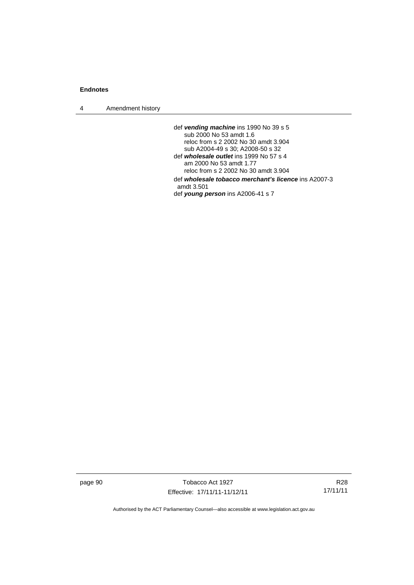4 Amendment history

 def *vending machine* ins 1990 No 39 s 5 sub 2000 No 53 amdt 1.6 reloc from s 2 2002 No 30 amdt 3.904 sub A2004-49 s 30; A2008-50 s 32 def *wholesale outlet* ins 1999 No 57 s 4 am 2000 No 53 amdt 1.77 reloc from s 2 2002 No 30 amdt 3.904 def *wholesale tobacco merchant's licence* ins A2007-3 amdt 3.501 def *young person* ins A2006-41 s 7

page 90 Tobacco Act 1927 Effective: 17/11/11-11/12/11

R28 17/11/11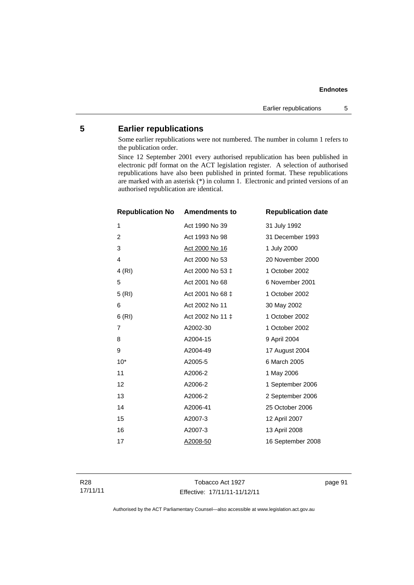# **5 Earlier republications**

Some earlier republications were not numbered. The number in column 1 refers to the publication order.

Since 12 September 2001 every authorised republication has been published in electronic pdf format on the ACT legislation register. A selection of authorised republications have also been published in printed format. These republications are marked with an asterisk (\*) in column 1. Electronic and printed versions of an authorised republication are identical.

| <b>Republication No</b> | <b>Amendments to</b>  | <b>Republication date</b> |
|-------------------------|-----------------------|---------------------------|
| 1                       | Act 1990 No 39        | 31 July 1992              |
| $\overline{2}$          | Act 1993 No 98        | 31 December 1993          |
| 3                       | <u>Act 2000 No 16</u> | 1 July 2000               |
| $\overline{4}$          | Act 2000 No 53        | 20 November 2000          |
| 4(RI)                   | Act 2000 No 53 ‡      | 1 October 2002            |
| 5                       | Act 2001 No 68        | 6 November 2001           |
| 5(RI)                   | Act 2001 No 68 ‡      | 1 October 2002            |
| 6                       | Act 2002 No 11        | 30 May 2002               |
| 6(RI)                   | Act 2002 No 11 ±      | 1 October 2002            |
| 7                       | A2002-30              | 1 October 2002            |
| 8                       | A2004-15              | 9 April 2004              |
| 9                       | A2004-49              | 17 August 2004            |
| $10*$                   | A2005-5               | 6 March 2005              |
| 11                      | A2006-2               | 1 May 2006                |
| 12                      | A2006-2               | 1 September 2006          |
| 13                      | A2006-2               | 2 September 2006          |
| 14                      | A2006-41              | 25 October 2006           |
| 15                      | A2007-3               | 12 April 2007             |
| 16                      | A2007-3               | 13 April 2008             |
| 17                      | A2008-50              | 16 September 2008         |

R28 17/11/11

Tobacco Act 1927 Effective: 17/11/11-11/12/11 page 91